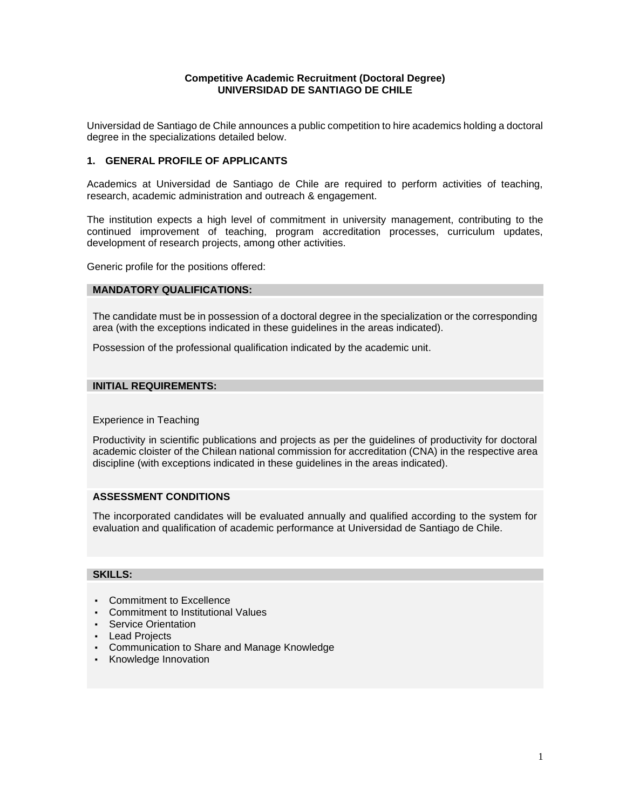#### **Competitive Academic Recruitment (Doctoral Degree) UNIVERSIDAD DE SANTIAGO DE CHILE**

Universidad de Santiago de Chile announces a public competition to hire academics holding a doctoral degree in the specializations detailed below.

#### **1. GENERAL PROFILE OF APPLICANTS**

Academics at Universidad de Santiago de Chile are required to perform activities of teaching, research, academic administration and outreach & engagement.

The institution expects a high level of commitment in university management, contributing to the continued improvement of teaching, program accreditation processes, curriculum updates, development of research projects, among other activities.

Generic profile for the positions offered:

#### **MANDATORY QUALIFICATIONS:**

The candidate must be in possession of a doctoral degree in the specialization or the corresponding area (with the exceptions indicated in these guidelines in the areas indicated).

Possession of the professional qualification indicated by the academic unit.

#### **INITIAL REQUIREMENTS:**

Experience in Teaching

Productivity in scientific publications and projects as per the guidelines of productivity for doctoral academic cloister of the Chilean national commission for accreditation (CNA) in the respective area discipline (with exceptions indicated in these guidelines in the areas indicated).

#### **ASSESSMENT CONDITIONS**

The incorporated candidates will be evaluated annually and qualified according to the system for evaluation and qualification of academic performance at Universidad de Santiago de Chile.

#### **SKILLS:**

- **▪** Commitment to Excellence
- **▪** Commitment to Institutional Values
- **▪** Service Orientation
- **▪** Lead Projects
- **▪** Communication to Share and Manage Knowledge
- **▪** Knowledge Innovation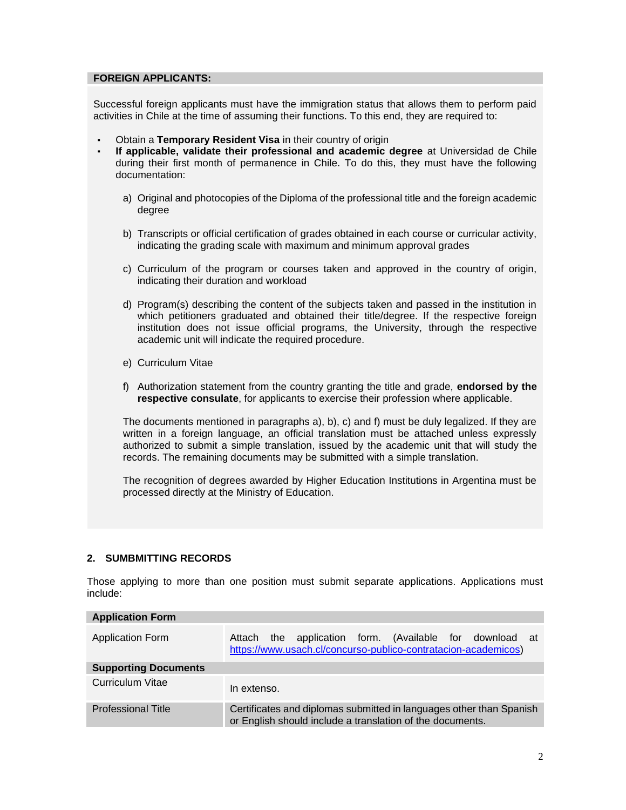#### **FOREIGN APPLICANTS:**

Successful foreign applicants must have the immigration status that allows them to perform paid activities in Chile at the time of assuming their functions. To this end, they are required to:

- **Obtain a Temporary Resident Visa in their country of origin**
- **▪ If applicable, validate their professional and academic degree** at Universidad de Chile during their first month of permanence in Chile. To do this, they must have the following documentation:
	- a) Original and photocopies of the Diploma of the professional title and the foreign academic degree
	- b) Transcripts or official certification of grades obtained in each course or curricular activity, indicating the grading scale with maximum and minimum approval grades
	- c) Curriculum of the program or courses taken and approved in the country of origin, indicating their duration and workload
	- d) Program(s) describing the content of the subjects taken and passed in the institution in which petitioners graduated and obtained their title/degree. If the respective foreign institution does not issue official programs, the University, through the respective academic unit will indicate the required procedure.
	- e) Curriculum Vitae
	- f) Authorization statement from the country granting the title and grade, **endorsed by the respective consulate**, for applicants to exercise their profession where applicable.

The documents mentioned in paragraphs a), b), c) and f) must be duly legalized. If they are written in a foreign language, an official translation must be attached unless expressly authorized to submit a simple translation, issued by the academic unit that will study the records. The remaining documents may be submitted with a simple translation.

The recognition of degrees awarded by Higher Education Institutions in Argentina must be processed directly at the Ministry of Education.

#### **2. SUMBMITTING RECORDS**

Those applying to more than one position must submit separate applications. Applications must include:

| <b>Application Form</b>     |                                                                                                                                  |
|-----------------------------|----------------------------------------------------------------------------------------------------------------------------------|
| Application Form            | application form. (Available for download at<br>the<br>Attach<br>https://www.usach.cl/concurso-publico-contratacion-academicos)  |
| <b>Supporting Documents</b> |                                                                                                                                  |
| Curriculum Vitae            | In extenso.                                                                                                                      |
| <b>Professional Title</b>   | Certificates and diplomas submitted in languages other than Spanish<br>or English should include a translation of the documents. |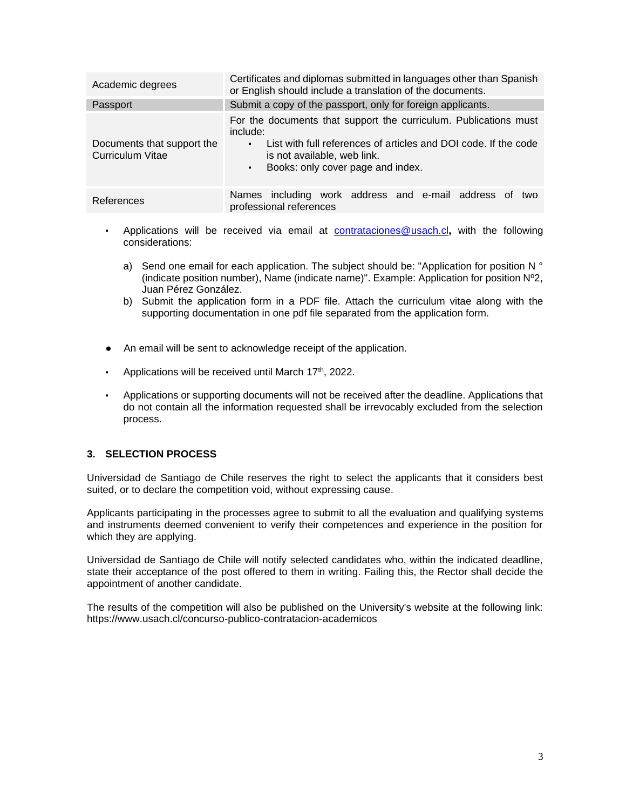| Academic degrees                               | Certificates and diplomas submitted in languages other than Spanish<br>or English should include a translation of the documents.                                                                                                                |  |  |  |  |
|------------------------------------------------|-------------------------------------------------------------------------------------------------------------------------------------------------------------------------------------------------------------------------------------------------|--|--|--|--|
| Passport                                       | Submit a copy of the passport, only for foreign applicants.                                                                                                                                                                                     |  |  |  |  |
| Documents that support the<br>Curriculum Vitae | For the documents that support the curriculum. Publications must<br>include:<br>List with full references of articles and DOI code. If the code<br>$\blacksquare$<br>is not available, web link.<br>Books: only cover page and index.<br>$\sim$ |  |  |  |  |
| References                                     | Names including work address and e-mail address of two<br>professional references                                                                                                                                                               |  |  |  |  |

- **•** Applications will be received via email at **[contrataciones@usach.cl](mailto:contrataciones@usach.cl)**, with the following considerations:
	- a) Send one email for each application. The subject should be: "Application for position N ° (indicate position number), Name (indicate name)". Example: Application for position Nº2, Juan Pérez González.
	- b) Submit the application form in a PDF file. Attach the curriculum vitae along with the supporting documentation in one pdf file separated from the application form.
- An email will be sent to acknowledge receipt of the application.
- **•** Applications will be received until March 17<sup>th</sup>, 2022.
- **▪** Applications or supporting documents will not be received after the deadline. Applications that do not contain all the information requested shall be irrevocably excluded from the selection process.

#### **3. SELECTION PROCESS**

Universidad de Santiago de Chile reserves the right to select the applicants that it considers best suited, or to declare the competition void, without expressing cause.

Applicants participating in the processes agree to submit to all the evaluation and qualifying systems and instruments deemed convenient to verify their competences and experience in the position for which they are applying.

Universidad de Santiago de Chile will notify selected candidates who, within the indicated deadline, state their acceptance of the post offered to them in writing. Failing this, the Rector shall decide the appointment of another candidate.

The results of the competition will also be published on the University's website at the following link: https://www.usach.cl/concurso-publico-contratacion-academicos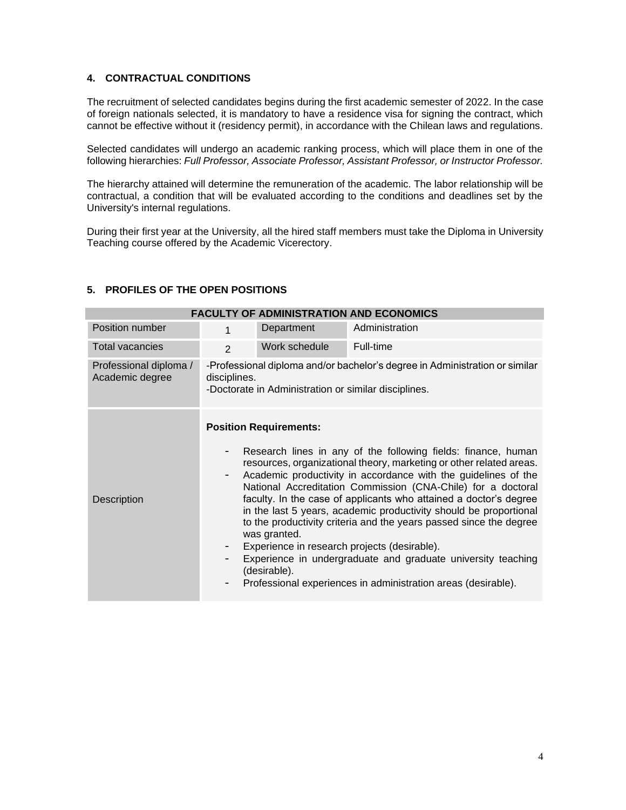#### **4. CONTRACTUAL CONDITIONS**

The recruitment of selected candidates begins during the first academic semester of 2022. In the case of foreign nationals selected, it is mandatory to have a residence visa for signing the contract, which cannot be effective without it (residency permit), in accordance with the Chilean laws and regulations.

Selected candidates will undergo an academic ranking process, which will place them in one of the following hierarchies: *Full Professor, Associate Professor, Assistant Professor, or Instructor Professor.*

The hierarchy attained will determine the remuneration of the academic. The labor relationship will be contractual, a condition that will be evaluated according to the conditions and deadlines set by the University's internal regulations.

During their first year at the University, all the hired staff members must take the Diploma in University Teaching course offered by the Academic Vicerectory.

#### **5. PROFILES OF THE OPEN POSITIONS**

| <b>FACULTY OF ADMINISTRATION AND ECONOMICS</b> |                                                                                                                                                     |                                                               |                                                                                                                                                                                                                                                                                                                                                                                                                                                                                                                                                                                                                                                                         |  |
|------------------------------------------------|-----------------------------------------------------------------------------------------------------------------------------------------------------|---------------------------------------------------------------|-------------------------------------------------------------------------------------------------------------------------------------------------------------------------------------------------------------------------------------------------------------------------------------------------------------------------------------------------------------------------------------------------------------------------------------------------------------------------------------------------------------------------------------------------------------------------------------------------------------------------------------------------------------------------|--|
| Position number                                | 1                                                                                                                                                   | Department                                                    | Administration                                                                                                                                                                                                                                                                                                                                                                                                                                                                                                                                                                                                                                                          |  |
| <b>Total vacancies</b>                         | $\mathcal{P}$                                                                                                                                       | Work schedule                                                 | Full-time                                                                                                                                                                                                                                                                                                                                                                                                                                                                                                                                                                                                                                                               |  |
| Professional diploma /<br>Academic degree      | -Professional diploma and/or bachelor's degree in Administration or similar<br>disciplines.<br>-Doctorate in Administration or similar disciplines. |                                                               |                                                                                                                                                                                                                                                                                                                                                                                                                                                                                                                                                                                                                                                                         |  |
| Description                                    | $\overline{\phantom{a}}$                                                                                                                            | <b>Position Requirements:</b><br>was granted.<br>(desirable). | Research lines in any of the following fields: finance, human<br>resources, organizational theory, marketing or other related areas.<br>Academic productivity in accordance with the guidelines of the<br>National Accreditation Commission (CNA-Chile) for a doctoral<br>faculty. In the case of applicants who attained a doctor's degree<br>in the last 5 years, academic productivity should be proportional<br>to the productivity criteria and the years passed since the degree<br>Experience in research projects (desirable).<br>Experience in undergraduate and graduate university teaching<br>Professional experiences in administration areas (desirable). |  |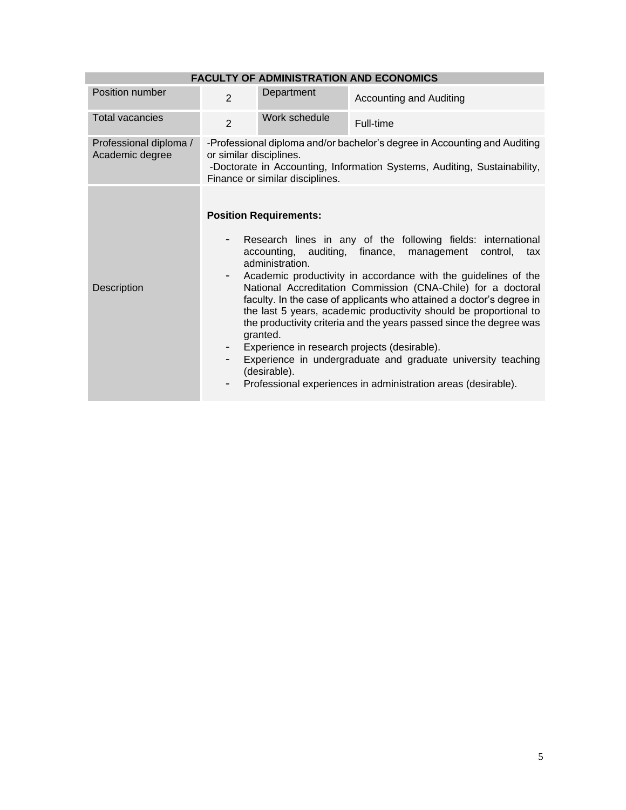| <b>FACULTY OF ADMINISTRATION AND ECONOMICS</b> |                         |                                                                                                                |                                                                                                                                                                                                                                                                                                                                                                                                                                                                                                                                                                                                                                      |  |
|------------------------------------------------|-------------------------|----------------------------------------------------------------------------------------------------------------|--------------------------------------------------------------------------------------------------------------------------------------------------------------------------------------------------------------------------------------------------------------------------------------------------------------------------------------------------------------------------------------------------------------------------------------------------------------------------------------------------------------------------------------------------------------------------------------------------------------------------------------|--|
| Position number                                | $\overline{2}$          | Department                                                                                                     | <b>Accounting and Auditing</b>                                                                                                                                                                                                                                                                                                                                                                                                                                                                                                                                                                                                       |  |
| <b>Total vacancies</b>                         | $\overline{2}$          | Work schedule                                                                                                  | Full-time                                                                                                                                                                                                                                                                                                                                                                                                                                                                                                                                                                                                                            |  |
| Professional diploma /<br>Academic degree      | or similar disciplines. | Finance or similar disciplines.                                                                                | -Professional diploma and/or bachelor's degree in Accounting and Auditing<br>-Doctorate in Accounting, Information Systems, Auditing, Sustainability,                                                                                                                                                                                                                                                                                                                                                                                                                                                                                |  |
| Description                                    | -<br>- 1                | <b>Position Requirements:</b><br>accounting, auditing, finance,<br>administration.<br>granted.<br>(desirable). | Research lines in any of the following fields: international<br>management<br>control,<br>tax<br>Academic productivity in accordance with the guidelines of the<br>National Accreditation Commission (CNA-Chile) for a doctoral<br>faculty. In the case of applicants who attained a doctor's degree in<br>the last 5 years, academic productivity should be proportional to<br>the productivity criteria and the years passed since the degree was<br>Experience in research projects (desirable).<br>Experience in undergraduate and graduate university teaching<br>Professional experiences in administration areas (desirable). |  |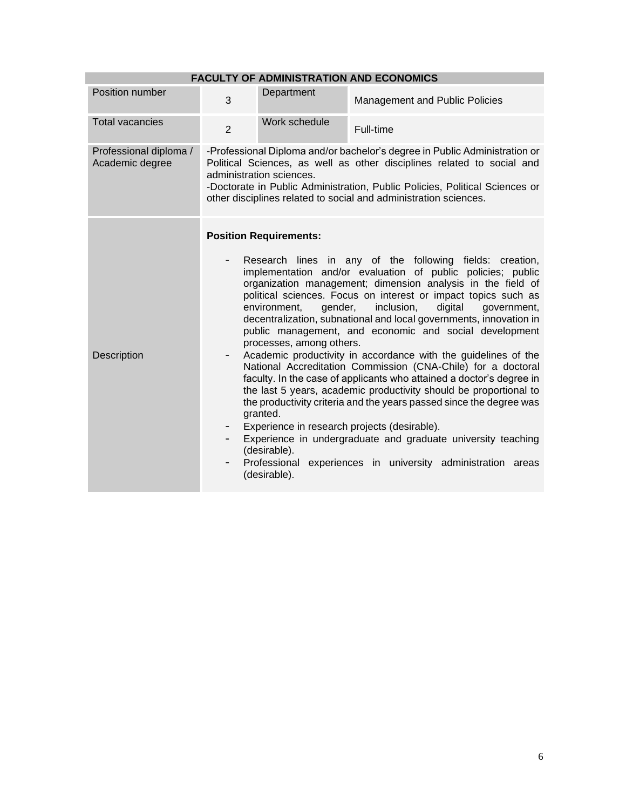| <b>FACULTY OF ADMINISTRATION AND ECONOMICS</b> |                |                                                                                                                                  |                                                                                                                                                                                                                                                                                                                                                                                                                                                                                                                                                                                                                                                                                                                                                                                                                                                                                                                                                                       |
|------------------------------------------------|----------------|----------------------------------------------------------------------------------------------------------------------------------|-----------------------------------------------------------------------------------------------------------------------------------------------------------------------------------------------------------------------------------------------------------------------------------------------------------------------------------------------------------------------------------------------------------------------------------------------------------------------------------------------------------------------------------------------------------------------------------------------------------------------------------------------------------------------------------------------------------------------------------------------------------------------------------------------------------------------------------------------------------------------------------------------------------------------------------------------------------------------|
| Position number                                | 3              | Department                                                                                                                       | Management and Public Policies                                                                                                                                                                                                                                                                                                                                                                                                                                                                                                                                                                                                                                                                                                                                                                                                                                                                                                                                        |
| <b>Total vacancies</b>                         | $\overline{2}$ | Work schedule                                                                                                                    | Full-time                                                                                                                                                                                                                                                                                                                                                                                                                                                                                                                                                                                                                                                                                                                                                                                                                                                                                                                                                             |
| Professional diploma /<br>Academic degree      |                | administration sciences.                                                                                                         | -Professional Diploma and/or bachelor's degree in Public Administration or<br>Political Sciences, as well as other disciplines related to social and<br>-Doctorate in Public Administration, Public Policies, Political Sciences or<br>other disciplines related to social and administration sciences.                                                                                                                                                                                                                                                                                                                                                                                                                                                                                                                                                                                                                                                               |
| Description                                    | -              | <b>Position Requirements:</b><br>gender,<br>environment,<br>processes, among others.<br>granted.<br>(desirable).<br>(desirable). | Research lines in any of the following fields: creation,<br>implementation and/or evaluation of public policies; public<br>organization management; dimension analysis in the field of<br>political sciences. Focus on interest or impact topics such as<br>inclusion,<br>digital<br>government,<br>decentralization, subnational and local governments, innovation in<br>public management, and economic and social development<br>Academic productivity in accordance with the guidelines of the<br>National Accreditation Commission (CNA-Chile) for a doctoral<br>faculty. In the case of applicants who attained a doctor's degree in<br>the last 5 years, academic productivity should be proportional to<br>the productivity criteria and the years passed since the degree was<br>Experience in research projects (desirable).<br>Experience in undergraduate and graduate university teaching<br>Professional experiences in university administration areas |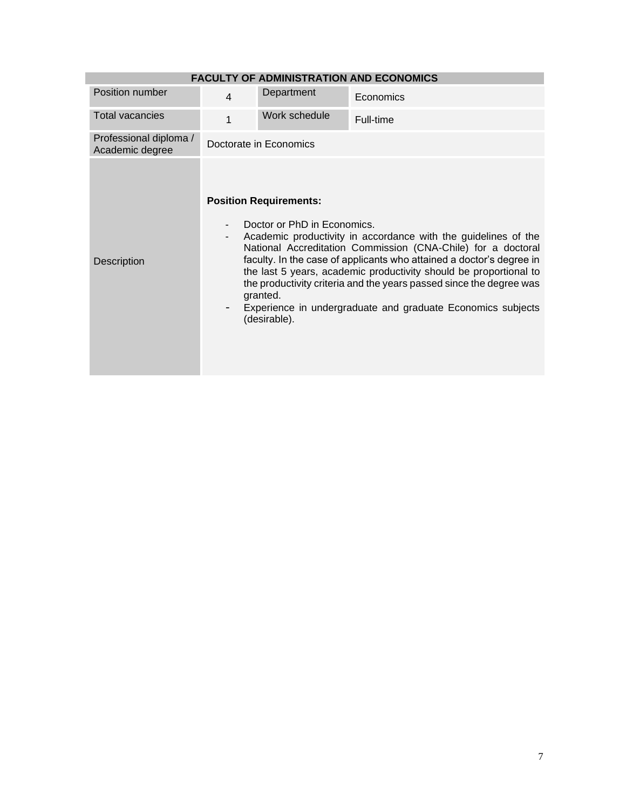| <b>FACULTY OF ADMINISTRATION AND ECONOMICS</b> |                          |                                                                                          |                                                                                                                                                                                                                                                                                                                                                                                                                   |  |
|------------------------------------------------|--------------------------|------------------------------------------------------------------------------------------|-------------------------------------------------------------------------------------------------------------------------------------------------------------------------------------------------------------------------------------------------------------------------------------------------------------------------------------------------------------------------------------------------------------------|--|
| Position number                                | $\overline{\mathbf{4}}$  | Department                                                                               | Economics                                                                                                                                                                                                                                                                                                                                                                                                         |  |
| <b>Total vacancies</b>                         | 1                        | Work schedule                                                                            | Full-time                                                                                                                                                                                                                                                                                                                                                                                                         |  |
| Professional diploma /<br>Academic degree      |                          | Doctorate in Economics                                                                   |                                                                                                                                                                                                                                                                                                                                                                                                                   |  |
| <b>Description</b>                             | $\overline{\phantom{a}}$ | <b>Position Requirements:</b><br>Doctor or PhD in Economics.<br>granted.<br>(desirable). | Academic productivity in accordance with the guidelines of the<br>National Accreditation Commission (CNA-Chile) for a doctoral<br>faculty. In the case of applicants who attained a doctor's degree in<br>the last 5 years, academic productivity should be proportional to<br>the productivity criteria and the years passed since the degree was<br>Experience in undergraduate and graduate Economics subjects |  |

ı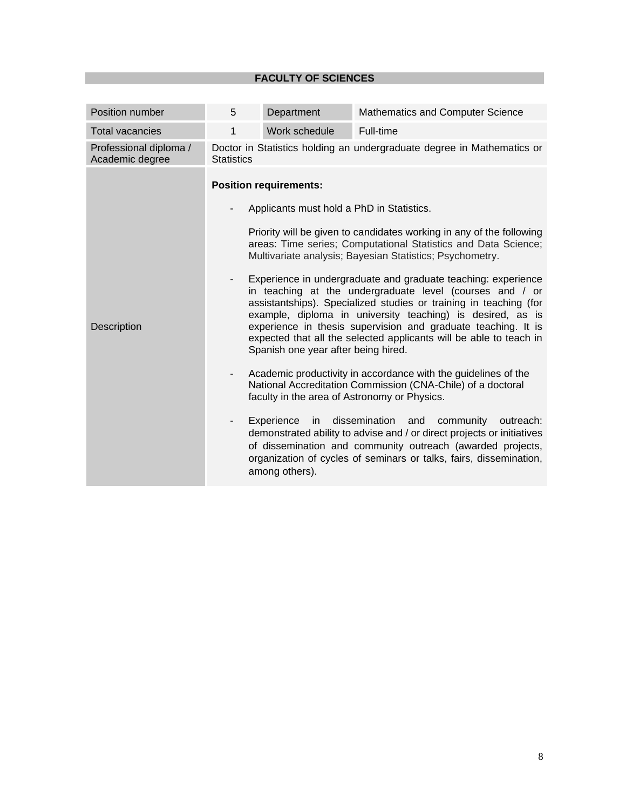## **FACULTY OF SCIENCES**

| Position number                           | 5                                                                                           | Department                                                                                                                                              | Mathematics and Computer Science                                                                                                                                                                                                                                                                                                                                                                                                                                                                                                                                                                                                                                                                                                                                                                                                                                                                                                                                                                                                                        |  |
|-------------------------------------------|---------------------------------------------------------------------------------------------|---------------------------------------------------------------------------------------------------------------------------------------------------------|---------------------------------------------------------------------------------------------------------------------------------------------------------------------------------------------------------------------------------------------------------------------------------------------------------------------------------------------------------------------------------------------------------------------------------------------------------------------------------------------------------------------------------------------------------------------------------------------------------------------------------------------------------------------------------------------------------------------------------------------------------------------------------------------------------------------------------------------------------------------------------------------------------------------------------------------------------------------------------------------------------------------------------------------------------|--|
| <b>Total vacancies</b>                    | 1                                                                                           | Work schedule                                                                                                                                           | Full-time                                                                                                                                                                                                                                                                                                                                                                                                                                                                                                                                                                                                                                                                                                                                                                                                                                                                                                                                                                                                                                               |  |
| Professional diploma /<br>Academic degree | Doctor in Statistics holding an undergraduate degree in Mathematics or<br><b>Statistics</b> |                                                                                                                                                         |                                                                                                                                                                                                                                                                                                                                                                                                                                                                                                                                                                                                                                                                                                                                                                                                                                                                                                                                                                                                                                                         |  |
| Description                               | $\overline{\phantom{a}}$<br>$\overline{\phantom{a}}$<br>-                                   | <b>Position requirements:</b><br>Applicants must hold a PhD in Statistics.<br>Spanish one year after being hired.<br>Experience<br>in<br>among others). | Priority will be given to candidates working in any of the following<br>areas: Time series; Computational Statistics and Data Science;<br>Multivariate analysis; Bayesian Statistics; Psychometry.<br>Experience in undergraduate and graduate teaching: experience<br>in teaching at the undergraduate level (courses and / or<br>assistantships). Specialized studies or training in teaching (for<br>example, diploma in university teaching) is desired, as is<br>experience in thesis supervision and graduate teaching. It is<br>expected that all the selected applicants will be able to teach in<br>Academic productivity in accordance with the guidelines of the<br>National Accreditation Commission (CNA-Chile) of a doctoral<br>faculty in the area of Astronomy or Physics.<br>dissemination and<br>community<br>outreach:<br>demonstrated ability to advise and / or direct projects or initiatives<br>of dissemination and community outreach (awarded projects,<br>organization of cycles of seminars or talks, fairs, dissemination, |  |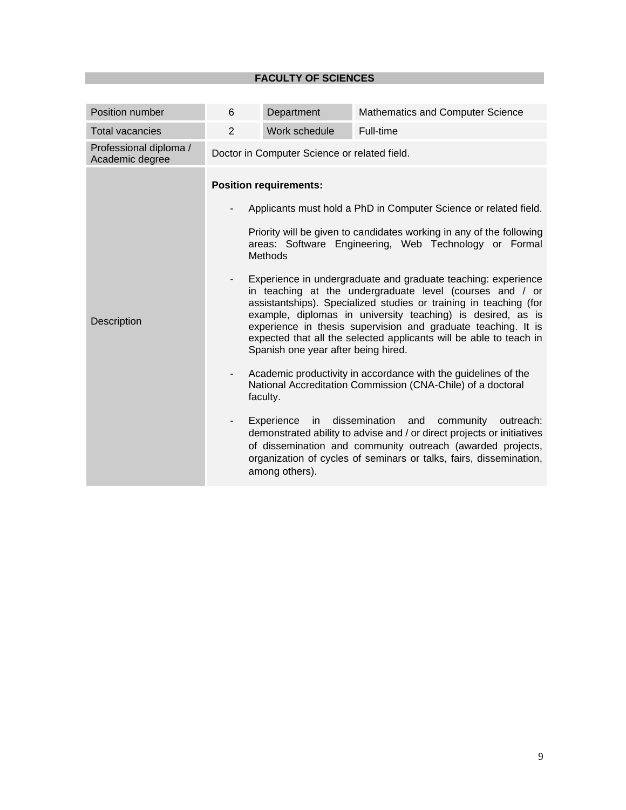## **FACULTY OF SCIENCES**

| Position number                           | 6                                                             | Department                                                                                                                                | Mathematics and Computer Science                                                                                                                                                                                                                                                                                                                                                                                                                                                                                                                                                                                                                                                                                                                                                                                                                                                                                                                                                                        |  |  |  |
|-------------------------------------------|---------------------------------------------------------------|-------------------------------------------------------------------------------------------------------------------------------------------|---------------------------------------------------------------------------------------------------------------------------------------------------------------------------------------------------------------------------------------------------------------------------------------------------------------------------------------------------------------------------------------------------------------------------------------------------------------------------------------------------------------------------------------------------------------------------------------------------------------------------------------------------------------------------------------------------------------------------------------------------------------------------------------------------------------------------------------------------------------------------------------------------------------------------------------------------------------------------------------------------------|--|--|--|
| <b>Total vacancies</b>                    | 2                                                             | Work schedule                                                                                                                             | Full-time                                                                                                                                                                                                                                                                                                                                                                                                                                                                                                                                                                                                                                                                                                                                                                                                                                                                                                                                                                                               |  |  |  |
| Professional diploma /<br>Academic degree |                                                               | Doctor in Computer Science or related field.                                                                                              |                                                                                                                                                                                                                                                                                                                                                                                                                                                                                                                                                                                                                                                                                                                                                                                                                                                                                                                                                                                                         |  |  |  |
| Description                               | $\overline{\phantom{0}}$<br>-<br>$\qquad \qquad \blacksquare$ | <b>Position requirements:</b><br><b>Methods</b><br>Spanish one year after being hired.<br>faculty.<br>Experience<br>in.<br>among others). | Applicants must hold a PhD in Computer Science or related field.<br>Priority will be given to candidates working in any of the following<br>areas: Software Engineering, Web Technology or Formal<br>Experience in undergraduate and graduate teaching: experience<br>in teaching at the undergraduate level (courses and / or<br>assistantships). Specialized studies or training in teaching (for<br>example, diplomas in university teaching) is desired, as is<br>experience in thesis supervision and graduate teaching. It is<br>expected that all the selected applicants will be able to teach in<br>Academic productivity in accordance with the guidelines of the<br>National Accreditation Commission (CNA-Chile) of a doctoral<br>dissemination and<br>community<br>outreach:<br>demonstrated ability to advise and / or direct projects or initiatives<br>of dissemination and community outreach (awarded projects,<br>organization of cycles of seminars or talks, fairs, dissemination, |  |  |  |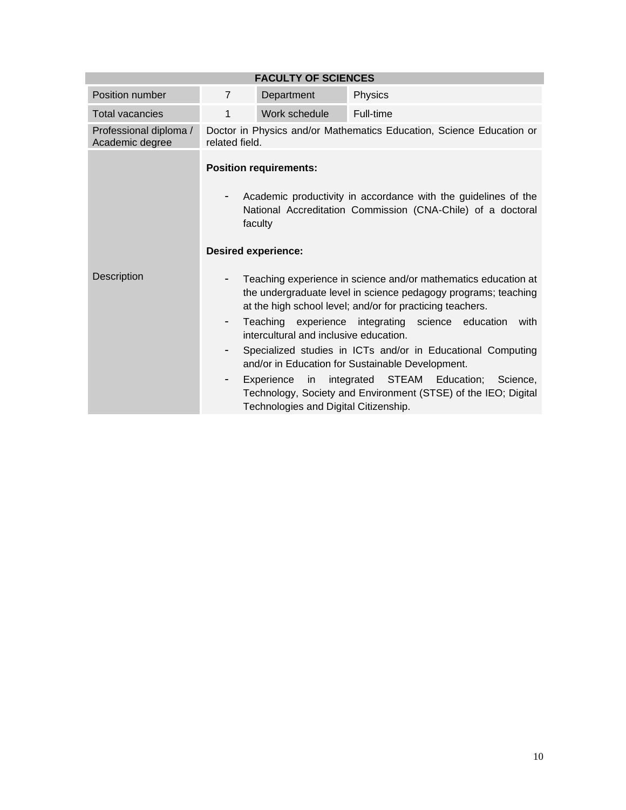| <b>FACULTY OF SCIENCES</b>                |                |                                                                                                  |                                                                                                                                                                                                                                                                                                                                                                                                                                                                                         |  |  |
|-------------------------------------------|----------------|--------------------------------------------------------------------------------------------------|-----------------------------------------------------------------------------------------------------------------------------------------------------------------------------------------------------------------------------------------------------------------------------------------------------------------------------------------------------------------------------------------------------------------------------------------------------------------------------------------|--|--|
| Position number                           | $\overline{7}$ | Department                                                                                       | Physics                                                                                                                                                                                                                                                                                                                                                                                                                                                                                 |  |  |
| <b>Total vacancies</b>                    | 1              | Work schedule                                                                                    | Full-time                                                                                                                                                                                                                                                                                                                                                                                                                                                                               |  |  |
| Professional diploma /<br>Academic degree | related field. |                                                                                                  | Doctor in Physics and/or Mathematics Education, Science Education or                                                                                                                                                                                                                                                                                                                                                                                                                    |  |  |
|                                           |                | <b>Position requirements:</b><br>faculty<br><b>Desired experience:</b>                           | Academic productivity in accordance with the guidelines of the<br>National Accreditation Commission (CNA-Chile) of a doctoral                                                                                                                                                                                                                                                                                                                                                           |  |  |
| <b>Description</b>                        | -              | intercultural and inclusive education.<br>Experience in<br>Technologies and Digital Citizenship. | Teaching experience in science and/or mathematics education at<br>the undergraduate level in science pedagogy programs; teaching<br>at the high school level; and/or for practicing teachers.<br>Teaching experience integrating science education<br>with<br>Specialized studies in ICTs and/or in Educational Computing<br>and/or in Education for Sustainable Development.<br>integrated STEAM Education; Science,<br>Technology, Society and Environment (STSE) of the IEO; Digital |  |  |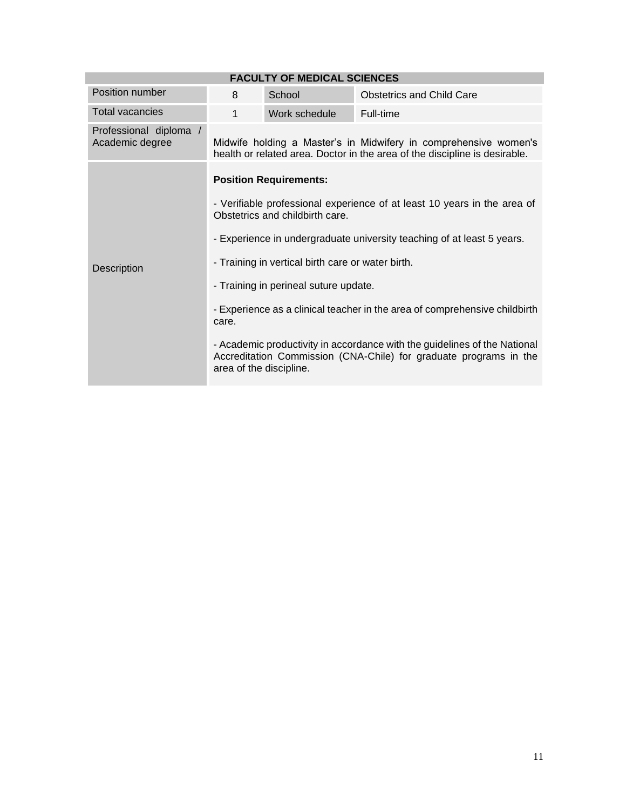| <b>FACULTY OF MEDICAL SCIENCES</b>        |                                                                                                             |                                       |                                                                                                                                                |  |
|-------------------------------------------|-------------------------------------------------------------------------------------------------------------|---------------------------------------|------------------------------------------------------------------------------------------------------------------------------------------------|--|
| Position number                           | 8                                                                                                           | School                                | <b>Obstetrics and Child Care</b>                                                                                                               |  |
| <b>Total vacancies</b>                    | 1                                                                                                           | Work schedule                         | Full-time                                                                                                                                      |  |
| Professional diploma /<br>Academic degree |                                                                                                             |                                       | Midwife holding a Master's in Midwifery in comprehensive women's<br>health or related area. Doctor in the area of the discipline is desirable. |  |
|                                           | <b>Position Requirements:</b>                                                                               |                                       |                                                                                                                                                |  |
|                                           | - Verifiable professional experience of at least 10 years in the area of<br>Obstetrics and childbirth care. |                                       |                                                                                                                                                |  |
|                                           | - Experience in undergraduate university teaching of at least 5 years.                                      |                                       |                                                                                                                                                |  |
| Description                               | - Training in vertical birth care or water birth.                                                           |                                       |                                                                                                                                                |  |
|                                           |                                                                                                             | - Training in perineal suture update. |                                                                                                                                                |  |
|                                           | - Experience as a clinical teacher in the area of comprehensive childbirth<br>care.                         |                                       |                                                                                                                                                |  |
|                                           | area of the discipline.                                                                                     |                                       | - Academic productivity in accordance with the guidelines of the National<br>Accreditation Commission (CNA-Chile) for graduate programs in the |  |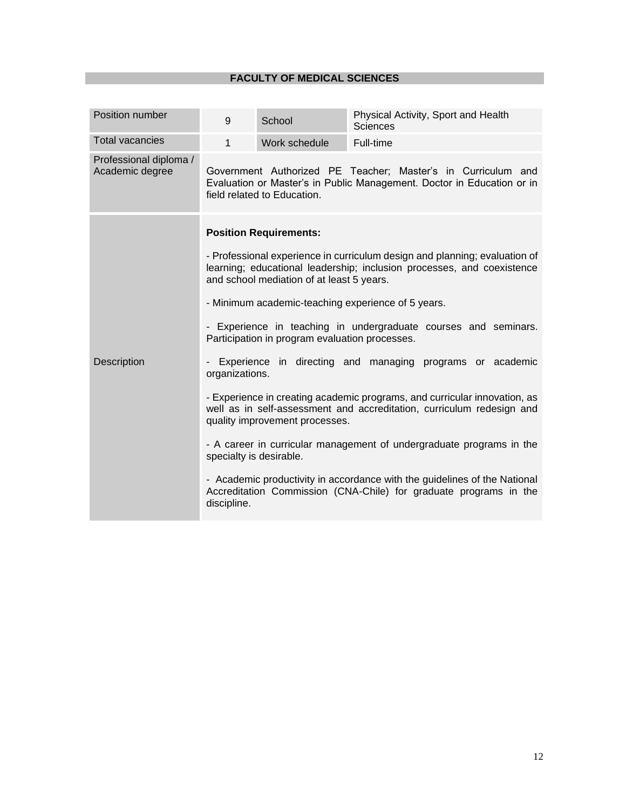| Position number                           | 9                                                                                                                                                                                                 | School                                                                                          | Physical Activity, Sport and Health<br><b>Sciences</b>                                                                                             |  |  |  |
|-------------------------------------------|---------------------------------------------------------------------------------------------------------------------------------------------------------------------------------------------------|-------------------------------------------------------------------------------------------------|----------------------------------------------------------------------------------------------------------------------------------------------------|--|--|--|
| <b>Total vacancies</b>                    | $\mathbf{1}$                                                                                                                                                                                      | Work schedule                                                                                   | Full-time                                                                                                                                          |  |  |  |
| Professional diploma /<br>Academic degree |                                                                                                                                                                                                   | field related to Education.                                                                     | Government Authorized PE Teacher; Master's in Curriculum and<br>Evaluation or Master's in Public Management. Doctor in Education or in             |  |  |  |
|                                           |                                                                                                                                                                                                   | <b>Position Requirements:</b>                                                                   |                                                                                                                                                    |  |  |  |
|                                           | - Professional experience in curriculum design and planning; evaluation of<br>learning; educational leadership; inclusion processes, and coexistence<br>and school mediation of at least 5 years. |                                                                                                 |                                                                                                                                                    |  |  |  |
|                                           | - Minimum academic-teaching experience of 5 years.                                                                                                                                                |                                                                                                 |                                                                                                                                                    |  |  |  |
|                                           |                                                                                                                                                                                                   | Participation in program evaluation processes.                                                  | - Experience in teaching in undergraduate courses and seminars.                                                                                    |  |  |  |
| Description                               | organizations.                                                                                                                                                                                    |                                                                                                 | Experience in directing and managing programs or academic                                                                                          |  |  |  |
|                                           |                                                                                                                                                                                                   | quality improvement processes.                                                                  | - Experience in creating academic programs, and curricular innovation, as<br>well as in self-assessment and accreditation, curriculum redesign and |  |  |  |
|                                           |                                                                                                                                                                                                   | - A career in curricular management of undergraduate programs in the<br>specialty is desirable. |                                                                                                                                                    |  |  |  |
|                                           | discipline.                                                                                                                                                                                       |                                                                                                 | - Academic productivity in accordance with the guidelines of the National<br>Accreditation Commission (CNA-Chile) for graduate programs in the     |  |  |  |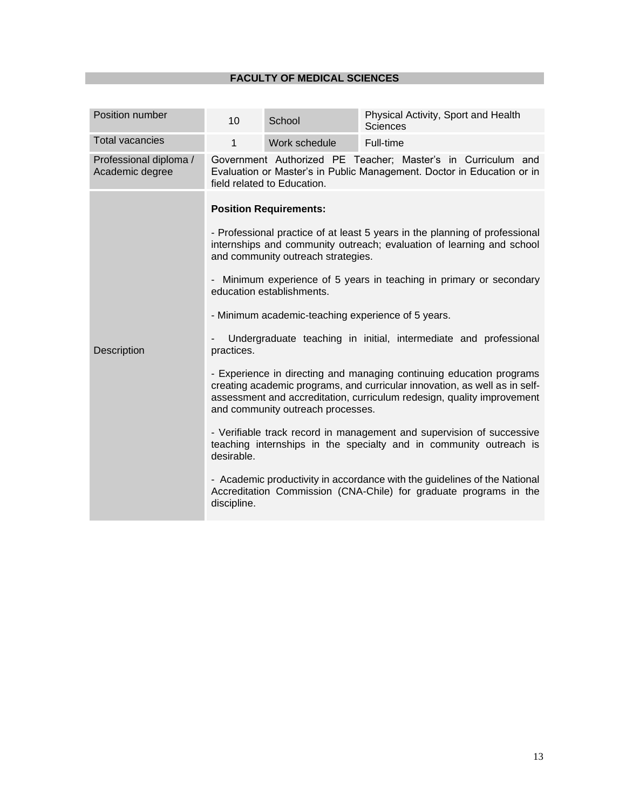| Position number                           | 10                                                   | School                                                                                                                                                                                      | Physical Activity, Sport and Health<br>Sciences                                                                                                                                                                                                                                                                                                                                                                                                                                                                                                                                                                                                                                                                                                                                                                                |
|-------------------------------------------|------------------------------------------------------|---------------------------------------------------------------------------------------------------------------------------------------------------------------------------------------------|--------------------------------------------------------------------------------------------------------------------------------------------------------------------------------------------------------------------------------------------------------------------------------------------------------------------------------------------------------------------------------------------------------------------------------------------------------------------------------------------------------------------------------------------------------------------------------------------------------------------------------------------------------------------------------------------------------------------------------------------------------------------------------------------------------------------------------|
| <b>Total vacancies</b>                    | $\mathbf{1}$                                         | Work schedule                                                                                                                                                                               | Full-time                                                                                                                                                                                                                                                                                                                                                                                                                                                                                                                                                                                                                                                                                                                                                                                                                      |
| Professional diploma /<br>Academic degree |                                                      | field related to Education.                                                                                                                                                                 | Government Authorized PE Teacher; Master's in Curriculum and<br>Evaluation or Master's in Public Management. Doctor in Education or in                                                                                                                                                                                                                                                                                                                                                                                                                                                                                                                                                                                                                                                                                         |
| <b>Description</b>                        | $\overline{\phantom{a}}$<br>practices.<br>desirable. | <b>Position Requirements:</b><br>and community outreach strategies.<br>education establishments.<br>- Minimum academic-teaching experience of 5 years.<br>and community outreach processes. | - Professional practice of at least 5 years in the planning of professional<br>internships and community outreach; evaluation of learning and school<br>Minimum experience of 5 years in teaching in primary or secondary<br>Undergraduate teaching in initial, intermediate and professional<br>- Experience in directing and managing continuing education programs<br>creating academic programs, and curricular innovation, as well as in self-<br>assessment and accreditation, curriculum redesign, quality improvement<br>- Verifiable track record in management and supervision of successive<br>teaching internships in the specialty and in community outreach is<br>- Academic productivity in accordance with the guidelines of the National<br>Accreditation Commission (CNA-Chile) for graduate programs in the |
|                                           | discipline.                                          |                                                                                                                                                                                             |                                                                                                                                                                                                                                                                                                                                                                                                                                                                                                                                                                                                                                                                                                                                                                                                                                |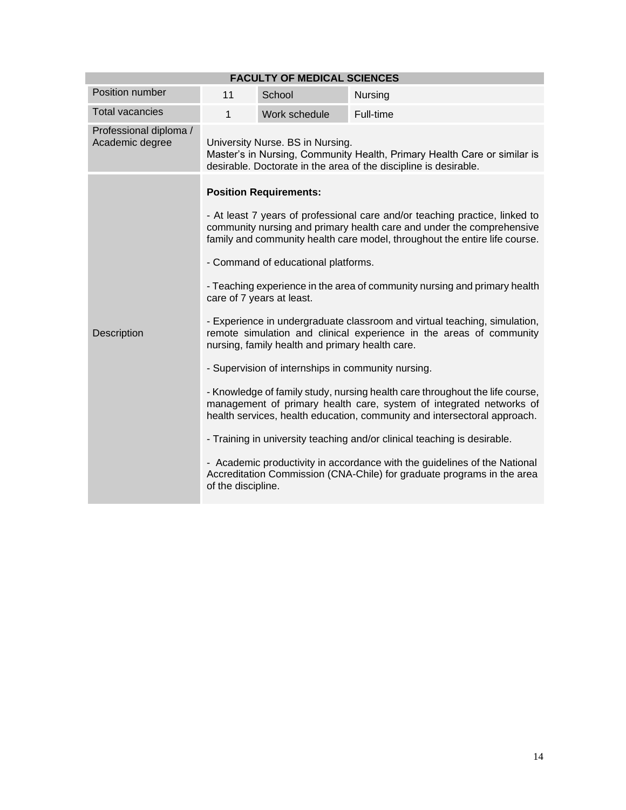| <b>FACULTY OF MEDICAL SCIENCES</b>        |                                                                                                                                                                                                                                                                                                                                                                                                                                                                                                                                                                                                                             |               |           |  |  |
|-------------------------------------------|-----------------------------------------------------------------------------------------------------------------------------------------------------------------------------------------------------------------------------------------------------------------------------------------------------------------------------------------------------------------------------------------------------------------------------------------------------------------------------------------------------------------------------------------------------------------------------------------------------------------------------|---------------|-----------|--|--|
| Position number                           | 11                                                                                                                                                                                                                                                                                                                                                                                                                                                                                                                                                                                                                          | School        | Nursing   |  |  |
| <b>Total vacancies</b>                    | $\mathbf{1}$                                                                                                                                                                                                                                                                                                                                                                                                                                                                                                                                                                                                                | Work schedule | Full-time |  |  |
| Professional diploma /<br>Academic degree | University Nurse. BS in Nursing.<br>Master's in Nursing, Community Health, Primary Health Care or similar is<br>desirable. Doctorate in the area of the discipline is desirable.                                                                                                                                                                                                                                                                                                                                                                                                                                            |               |           |  |  |
|                                           | <b>Position Requirements:</b><br>- At least 7 years of professional care and/or teaching practice, linked to<br>community nursing and primary health care and under the comprehensive<br>family and community health care model, throughout the entire life course.<br>- Command of educational platforms.<br>- Teaching experience in the area of community nursing and primary health<br>care of 7 years at least.<br>- Experience in undergraduate classroom and virtual teaching, simulation,<br>remote simulation and clinical experience in the areas of community<br>nursing, family health and primary health care. |               |           |  |  |
|                                           |                                                                                                                                                                                                                                                                                                                                                                                                                                                                                                                                                                                                                             |               |           |  |  |
|                                           |                                                                                                                                                                                                                                                                                                                                                                                                                                                                                                                                                                                                                             |               |           |  |  |
|                                           |                                                                                                                                                                                                                                                                                                                                                                                                                                                                                                                                                                                                                             |               |           |  |  |
| Description                               |                                                                                                                                                                                                                                                                                                                                                                                                                                                                                                                                                                                                                             |               |           |  |  |
|                                           | - Supervision of internships in community nursing.                                                                                                                                                                                                                                                                                                                                                                                                                                                                                                                                                                          |               |           |  |  |
|                                           | - Knowledge of family study, nursing health care throughout the life course,<br>management of primary health care, system of integrated networks of<br>health services, health education, community and intersectoral approach.<br>- Training in university teaching and/or clinical teaching is desirable.                                                                                                                                                                                                                                                                                                                 |               |           |  |  |
|                                           |                                                                                                                                                                                                                                                                                                                                                                                                                                                                                                                                                                                                                             |               |           |  |  |
|                                           | - Academic productivity in accordance with the guidelines of the National<br>Accreditation Commission (CNA-Chile) for graduate programs in the area<br>of the discipline.                                                                                                                                                                                                                                                                                                                                                                                                                                                   |               |           |  |  |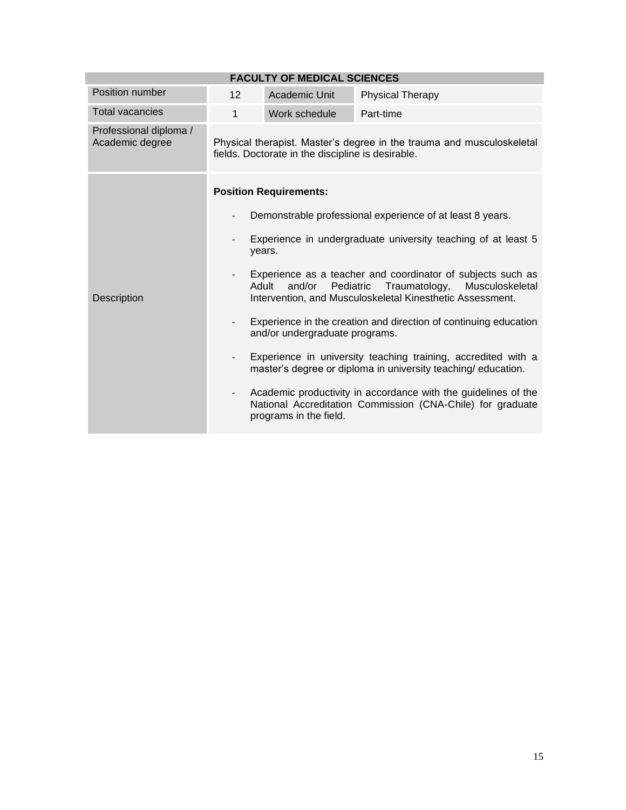| 12                                                                                                                                                                                           | Academic Unit | <b>Physical Therapy</b>                                                                                                        |  |
|----------------------------------------------------------------------------------------------------------------------------------------------------------------------------------------------|---------------|--------------------------------------------------------------------------------------------------------------------------------|--|
| $\mathbf{1}$                                                                                                                                                                                 | Work schedule | Part-time                                                                                                                      |  |
|                                                                                                                                                                                              |               | Physical therapist. Master's degree in the trauma and musculoskeletal                                                          |  |
| <b>Position Requirements:</b>                                                                                                                                                                |               |                                                                                                                                |  |
| Demonstrable professional experience of at least 8 years.                                                                                                                                    |               |                                                                                                                                |  |
| Experience in undergraduate university teaching of at least 5<br>years.                                                                                                                      |               |                                                                                                                                |  |
| Experience as a teacher and coordinator of subjects such as<br>and/or<br>Pediatric<br>Traumatology,<br>Musculoskeletal<br>Adult<br>Intervention, and Musculoskeletal Kinesthetic Assessment. |               |                                                                                                                                |  |
| Experience in the creation and direction of continuing education<br>$\overline{\phantom{0}}$<br>and/or undergraduate programs.                                                               |               |                                                                                                                                |  |
| $\overline{\phantom{a}}$                                                                                                                                                                     |               | Experience in university teaching training, accredited with a<br>master's degree or diploma in university teaching/ education. |  |
| $\overline{\phantom{0}}$                                                                                                                                                                     |               | Academic productivity in accordance with the guidelines of the<br>National Accreditation Commission (CNA-Chile) for graduate   |  |
|                                                                                                                                                                                              |               | <b>FACULTY OF MEDICAL SCIENCES</b><br>fields. Doctorate in the discipline is desirable.<br>programs in the field.              |  |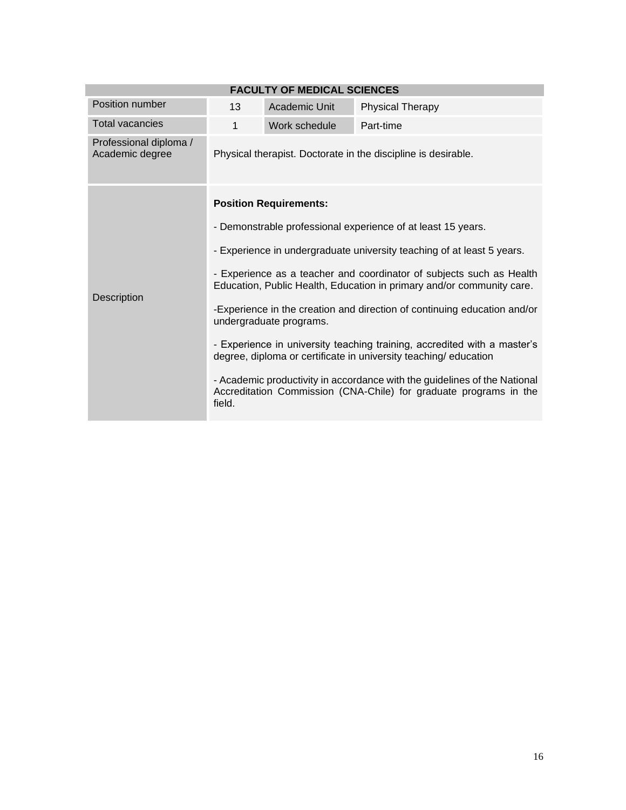|                                           |                                                                                                                                                          | <b>FACULTY OF MEDICAL SCIENCES</b> |                                                               |  |  |
|-------------------------------------------|----------------------------------------------------------------------------------------------------------------------------------------------------------|------------------------------------|---------------------------------------------------------------|--|--|
| Position number                           | 13                                                                                                                                                       | Academic Unit                      | <b>Physical Therapy</b>                                       |  |  |
| <b>Total vacancies</b>                    | 1                                                                                                                                                        | Work schedule                      | Part-time                                                     |  |  |
| Professional diploma /<br>Academic degree |                                                                                                                                                          |                                    | Physical therapist. Doctorate in the discipline is desirable. |  |  |
|                                           |                                                                                                                                                          | <b>Position Requirements:</b>      |                                                               |  |  |
|                                           | - Demonstrable professional experience of at least 15 years.                                                                                             |                                    |                                                               |  |  |
|                                           | - Experience in undergraduate university teaching of at least 5 years.                                                                                   |                                    |                                                               |  |  |
| Description                               | - Experience as a teacher and coordinator of subjects such as Health<br>Education, Public Health, Education in primary and/or community care.            |                                    |                                                               |  |  |
|                                           | -Experience in the creation and direction of continuing education and/or<br>undergraduate programs.                                                      |                                    |                                                               |  |  |
|                                           | - Experience in university teaching training, accredited with a master's<br>degree, diploma or certificate in university teaching/ education             |                                    |                                                               |  |  |
|                                           | - Academic productivity in accordance with the guidelines of the National<br>Accreditation Commission (CNA-Chile) for graduate programs in the<br>field. |                                    |                                                               |  |  |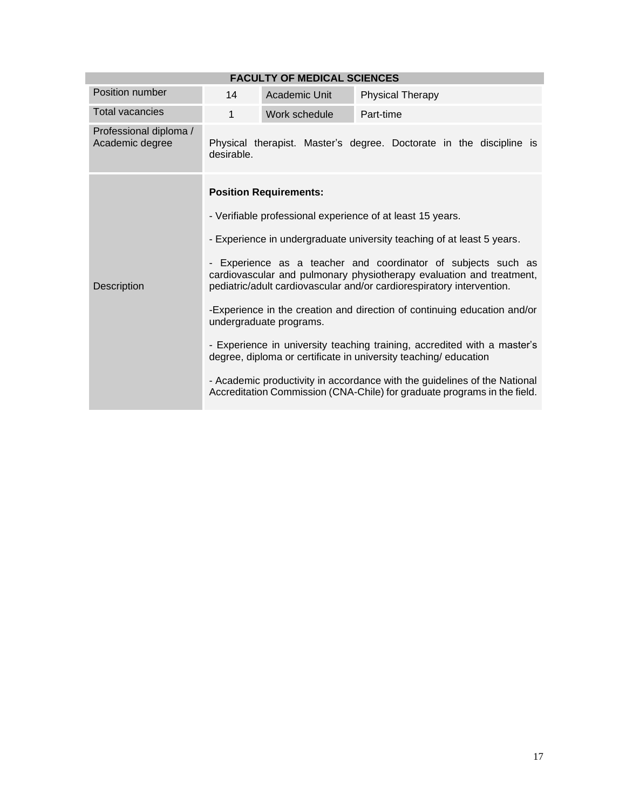|                                           |                                                                                                                                                                                                                | <b>FACULTY OF MEDICAL SCIENCES</b> |                                                                                                                                                       |  |  |
|-------------------------------------------|----------------------------------------------------------------------------------------------------------------------------------------------------------------------------------------------------------------|------------------------------------|-------------------------------------------------------------------------------------------------------------------------------------------------------|--|--|
| Position number                           | 14                                                                                                                                                                                                             | Academic Unit                      | <b>Physical Therapy</b>                                                                                                                               |  |  |
| <b>Total vacancies</b>                    | 1                                                                                                                                                                                                              | Work schedule                      | Part-time                                                                                                                                             |  |  |
| Professional diploma /<br>Academic degree | desirable.                                                                                                                                                                                                     |                                    | Physical therapist. Master's degree. Doctorate in the discipline is                                                                                   |  |  |
|                                           |                                                                                                                                                                                                                | <b>Position Requirements:</b>      |                                                                                                                                                       |  |  |
|                                           | - Verifiable professional experience of at least 15 years.                                                                                                                                                     |                                    |                                                                                                                                                       |  |  |
|                                           | - Experience in undergraduate university teaching of at least 5 years.                                                                                                                                         |                                    |                                                                                                                                                       |  |  |
| Description                               | - Experience as a teacher and coordinator of subjects such as<br>cardiovascular and pulmonary physiotherapy evaluation and treatment,<br>pediatric/adult cardiovascular and/or cardiorespiratory intervention. |                                    |                                                                                                                                                       |  |  |
|                                           | -Experience in the creation and direction of continuing education and/or<br>undergraduate programs.                                                                                                            |                                    |                                                                                                                                                       |  |  |
|                                           | - Experience in university teaching training, accredited with a master's<br>degree, diploma or certificate in university teaching/education                                                                    |                                    |                                                                                                                                                       |  |  |
|                                           |                                                                                                                                                                                                                |                                    | - Academic productivity in accordance with the guidelines of the National<br>Accreditation Commission (CNA-Chile) for graduate programs in the field. |  |  |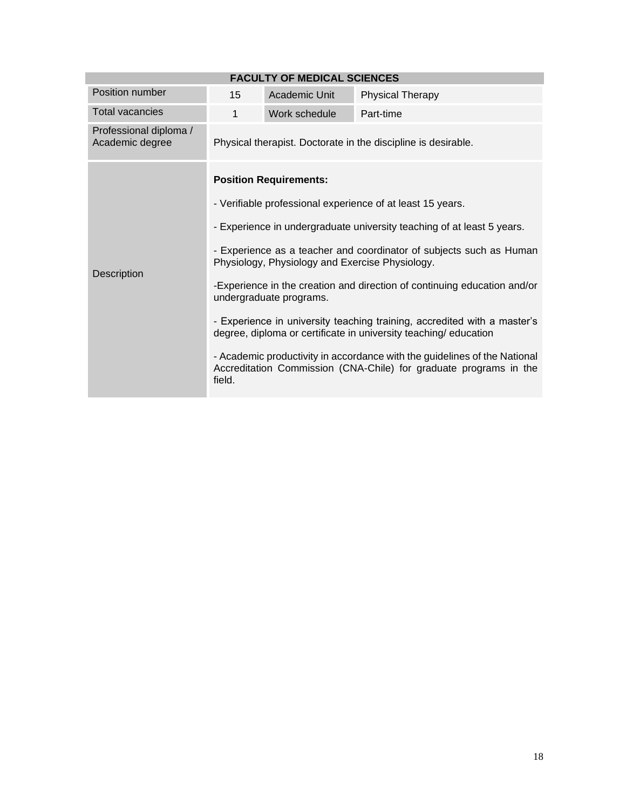|                                           |                                                                                                                                                          | <b>FACULTY OF MEDICAL SCIENCES</b> |                                                               |  |  |
|-------------------------------------------|----------------------------------------------------------------------------------------------------------------------------------------------------------|------------------------------------|---------------------------------------------------------------|--|--|
| Position number                           | 15                                                                                                                                                       | Academic Unit                      | <b>Physical Therapy</b>                                       |  |  |
| <b>Total vacancies</b>                    | 1                                                                                                                                                        | Work schedule                      | Part-time                                                     |  |  |
| Professional diploma /<br>Academic degree |                                                                                                                                                          |                                    | Physical therapist. Doctorate in the discipline is desirable. |  |  |
|                                           |                                                                                                                                                          | <b>Position Requirements:</b>      |                                                               |  |  |
|                                           | - Verifiable professional experience of at least 15 years.                                                                                               |                                    |                                                               |  |  |
|                                           | - Experience in undergraduate university teaching of at least 5 years.                                                                                   |                                    |                                                               |  |  |
| Description                               | - Experience as a teacher and coordinator of subjects such as Human<br>Physiology, Physiology and Exercise Physiology.                                   |                                    |                                                               |  |  |
|                                           | -Experience in the creation and direction of continuing education and/or<br>undergraduate programs.                                                      |                                    |                                                               |  |  |
|                                           | - Experience in university teaching training, accredited with a master's<br>degree, diploma or certificate in university teaching/education              |                                    |                                                               |  |  |
|                                           | - Academic productivity in accordance with the guidelines of the National<br>Accreditation Commission (CNA-Chile) for graduate programs in the<br>field. |                                    |                                                               |  |  |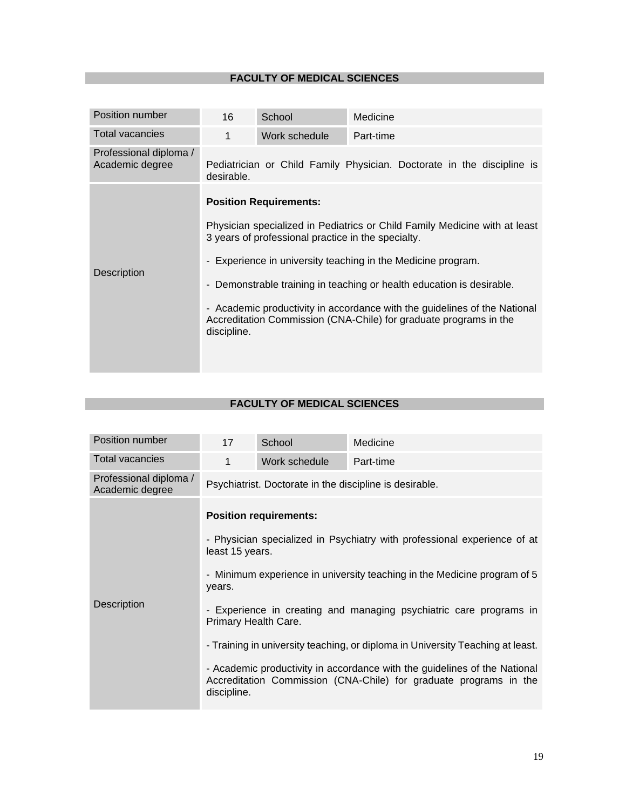| Position number                           | 16          | School                                                                              | Medicine                                                                                                                                                                                                                                                                                                                                                              |
|-------------------------------------------|-------------|-------------------------------------------------------------------------------------|-----------------------------------------------------------------------------------------------------------------------------------------------------------------------------------------------------------------------------------------------------------------------------------------------------------------------------------------------------------------------|
| Total vacancies                           | 1           | Work schedule                                                                       | Part-time                                                                                                                                                                                                                                                                                                                                                             |
| Professional diploma /<br>Academic degree | desirable.  |                                                                                     | Pediatrician or Child Family Physician. Doctorate in the discipline is                                                                                                                                                                                                                                                                                                |
| Description                               | discipline. | <b>Position Requirements:</b><br>3 years of professional practice in the specialty. | Physician specialized in Pediatrics or Child Family Medicine with at least<br>- Experience in university teaching in the Medicine program.<br>- Demonstrable training in teaching or health education is desirable.<br>- Academic productivity in accordance with the guidelines of the National<br>Accreditation Commission (CNA-Chile) for graduate programs in the |

| Position number                           | 17                                                                                                                                                                                                                                                                                                                                                                                                                                                                                                                                                                  | School        | Medicine  |  |  |
|-------------------------------------------|---------------------------------------------------------------------------------------------------------------------------------------------------------------------------------------------------------------------------------------------------------------------------------------------------------------------------------------------------------------------------------------------------------------------------------------------------------------------------------------------------------------------------------------------------------------------|---------------|-----------|--|--|
| <b>Total vacancies</b>                    | 1                                                                                                                                                                                                                                                                                                                                                                                                                                                                                                                                                                   | Work schedule | Part-time |  |  |
| Professional diploma /<br>Academic degree | Psychiatrist. Doctorate in the discipline is desirable.                                                                                                                                                                                                                                                                                                                                                                                                                                                                                                             |               |           |  |  |
| <b>Description</b>                        | <b>Position requirements:</b><br>- Physician specialized in Psychiatry with professional experience of at<br>least 15 years.<br>- Minimum experience in university teaching in the Medicine program of 5<br>years.<br>- Experience in creating and managing psychiatric care programs in<br>Primary Health Care.<br>- Training in university teaching, or diploma in University Teaching at least.<br>- Academic productivity in accordance with the guidelines of the National<br>Accreditation Commission (CNA-Chile) for graduate programs in the<br>discipline. |               |           |  |  |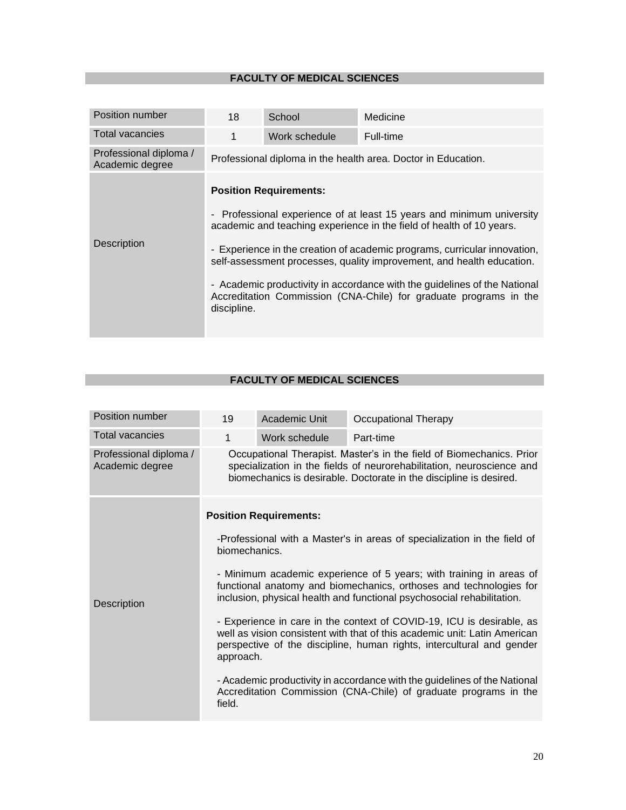| Position number                           | 18                                                                                                                                                                                                                                                                                                                                                                                                                                                                                                                                                                                               | School        | Medicine  |
|-------------------------------------------|--------------------------------------------------------------------------------------------------------------------------------------------------------------------------------------------------------------------------------------------------------------------------------------------------------------------------------------------------------------------------------------------------------------------------------------------------------------------------------------------------------------------------------------------------------------------------------------------------|---------------|-----------|
| <b>Total vacancies</b>                    | $\mathbf 1$                                                                                                                                                                                                                                                                                                                                                                                                                                                                                                                                                                                      | Work schedule | Full-time |
| Professional diploma /<br>Academic degree |                                                                                                                                                                                                                                                                                                                                                                                                                                                                                                                                                                                                  |               |           |
| Description                               | Professional diploma in the health area. Doctor in Education.<br><b>Position Requirements:</b><br>Professional experience of at least 15 years and minimum university<br>$\overline{\phantom{a}}$<br>academic and teaching experience in the field of health of 10 years.<br>- Experience in the creation of academic programs, curricular innovation,<br>self-assessment processes, quality improvement, and health education.<br>- Academic productivity in accordance with the guidelines of the National<br>Accreditation Commission (CNA-Chile) for graduate programs in the<br>discipline. |               |           |

| Position number                           | 19                                                                                                                                                                                                                                       | Academic Unit                                                                                                                                                                                                       | <b>Occupational Therapy</b> |  |
|-------------------------------------------|------------------------------------------------------------------------------------------------------------------------------------------------------------------------------------------------------------------------------------------|---------------------------------------------------------------------------------------------------------------------------------------------------------------------------------------------------------------------|-----------------------------|--|
| <b>Total vacancies</b>                    | 1                                                                                                                                                                                                                                        | Work schedule                                                                                                                                                                                                       | Part-time                   |  |
| Professional diploma /<br>Academic degree |                                                                                                                                                                                                                                          | Occupational Therapist. Master's in the field of Biomechanics. Prior<br>specialization in the fields of neurorehabilitation, neuroscience and<br>biomechanics is desirable. Doctorate in the discipline is desired. |                             |  |
|                                           |                                                                                                                                                                                                                                          | <b>Position Requirements:</b>                                                                                                                                                                                       |                             |  |
| Description                               | -Professional with a Master's in areas of specialization in the field of<br>biomechanics.                                                                                                                                                |                                                                                                                                                                                                                     |                             |  |
|                                           | - Minimum academic experience of 5 years; with training in areas of<br>functional anatomy and biomechanics, orthoses and technologies for<br>inclusion, physical health and functional psychosocial rehabilitation.                      |                                                                                                                                                                                                                     |                             |  |
|                                           | - Experience in care in the context of COVID-19, ICU is desirable, as<br>well as vision consistent with that of this academic unit: Latin American<br>perspective of the discipline, human rights, intercultural and gender<br>approach. |                                                                                                                                                                                                                     |                             |  |
|                                           | - Academic productivity in accordance with the guidelines of the National<br>Accreditation Commission (CNA-Chile) of graduate programs in the<br>field.                                                                                  |                                                                                                                                                                                                                     |                             |  |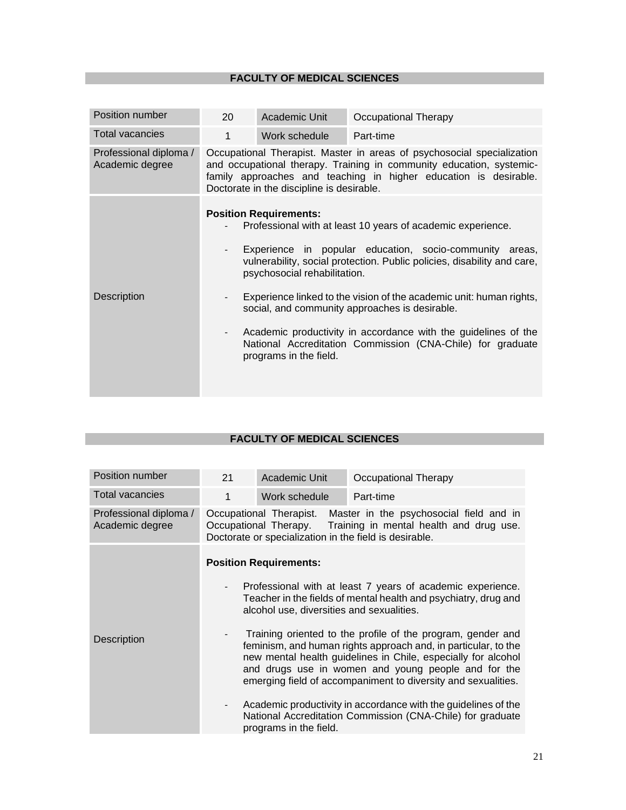| Position number                           | 20                                                                                                                                                                                                                                                              | Academic Unit                                                                           | Occupational Therapy                                                                                                                                                                                                                                                                                                                                                                                                                                       |
|-------------------------------------------|-----------------------------------------------------------------------------------------------------------------------------------------------------------------------------------------------------------------------------------------------------------------|-----------------------------------------------------------------------------------------|------------------------------------------------------------------------------------------------------------------------------------------------------------------------------------------------------------------------------------------------------------------------------------------------------------------------------------------------------------------------------------------------------------------------------------------------------------|
| <b>Total vacancies</b>                    | 1                                                                                                                                                                                                                                                               | Work schedule                                                                           | Part-time                                                                                                                                                                                                                                                                                                                                                                                                                                                  |
| Professional diploma /<br>Academic degree | Occupational Therapist. Master in areas of psychosocial specialization<br>and occupational therapy. Training in community education, systemic-<br>family approaches and teaching in higher education is desirable.<br>Doctorate in the discipline is desirable. |                                                                                         |                                                                                                                                                                                                                                                                                                                                                                                                                                                            |
| Description                               | $\overline{\phantom{a}}$<br>$\sim$                                                                                                                                                                                                                              | <b>Position Requirements:</b><br>psychosocial rehabilitation.<br>programs in the field. | Professional with at least 10 years of academic experience.<br>Experience in popular education, socio-community areas,<br>vulnerability, social protection. Public policies, disability and care,<br>Experience linked to the vision of the academic unit: human rights,<br>social, and community approaches is desirable.<br>Academic productivity in accordance with the guidelines of the<br>National Accreditation Commission (CNA-Chile) for graduate |

| Position number                           | 21                                                   | <b>Academic Unit</b>                                                       | <b>Occupational Therapy</b>                                                                                                                                                                                                                                                                                                                                                                                                                                                                                                                                                             |
|-------------------------------------------|------------------------------------------------------|----------------------------------------------------------------------------|-----------------------------------------------------------------------------------------------------------------------------------------------------------------------------------------------------------------------------------------------------------------------------------------------------------------------------------------------------------------------------------------------------------------------------------------------------------------------------------------------------------------------------------------------------------------------------------------|
| <b>Total vacancies</b>                    | 1                                                    | Work schedule                                                              | Part-time                                                                                                                                                                                                                                                                                                                                                                                                                                                                                                                                                                               |
| Professional diploma /<br>Academic degree |                                                      | Doctorate or specialization in the field is desirable.                     | Occupational Therapist. Master in the psychosocial field and in<br>Occupational Therapy. Training in mental health and drug use.                                                                                                                                                                                                                                                                                                                                                                                                                                                        |
| <b>Description</b>                        | $\overline{\phantom{a}}$<br>$\overline{\phantom{a}}$ | <b>Position Requirements:</b><br>alcohol use, diversities and sexualities. | Professional with at least 7 years of academic experience.<br>Teacher in the fields of mental health and psychiatry, drug and<br>Training oriented to the profile of the program, gender and<br>feminism, and human rights approach and, in particular, to the<br>new mental health guidelines in Chile, especially for alcohol<br>and drugs use in women and young people and for the<br>emerging field of accompaniment to diversity and sexualities.<br>Academic productivity in accordance with the guidelines of the<br>National Accreditation Commission (CNA-Chile) for graduate |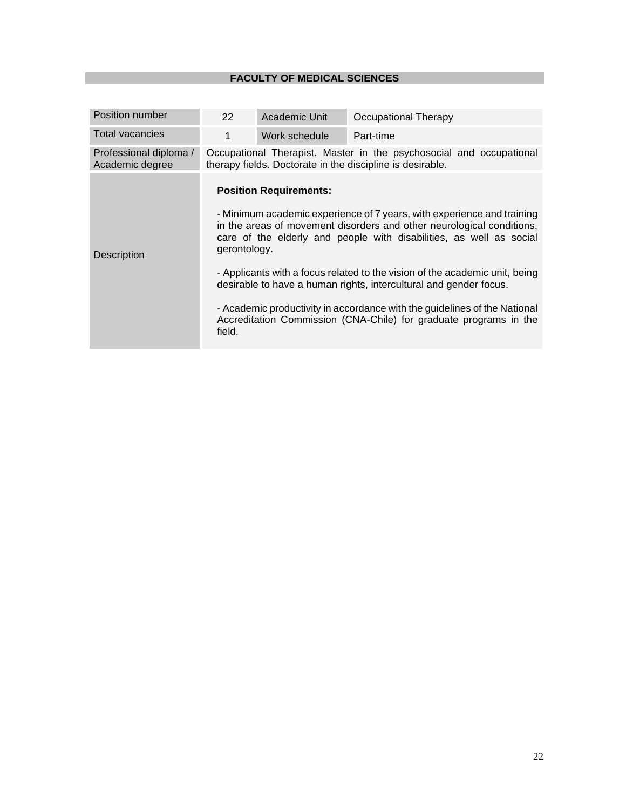| Position number                           | 22                     | Academic Unit                                                                                                                    | Occupational Therapy                                                                                                                                                                                                                                                                                                                                                                                                                                                                                                         |  |
|-------------------------------------------|------------------------|----------------------------------------------------------------------------------------------------------------------------------|------------------------------------------------------------------------------------------------------------------------------------------------------------------------------------------------------------------------------------------------------------------------------------------------------------------------------------------------------------------------------------------------------------------------------------------------------------------------------------------------------------------------------|--|
| Total vacancies                           | 1                      | Work schedule                                                                                                                    | Part-time                                                                                                                                                                                                                                                                                                                                                                                                                                                                                                                    |  |
| Professional diploma /<br>Academic degree |                        | Occupational Therapist. Master in the psychosocial and occupational<br>therapy fields. Doctorate in the discipline is desirable. |                                                                                                                                                                                                                                                                                                                                                                                                                                                                                                                              |  |
| <b>Description</b>                        | gerontology.<br>field. | <b>Position Requirements:</b>                                                                                                    | - Minimum academic experience of 7 years, with experience and training<br>in the areas of movement disorders and other neurological conditions,<br>care of the elderly and people with disabilities, as well as social<br>- Applicants with a focus related to the vision of the academic unit, being<br>desirable to have a human rights, intercultural and gender focus.<br>- Academic productivity in accordance with the guidelines of the National<br>Accreditation Commission (CNA-Chile) for graduate programs in the |  |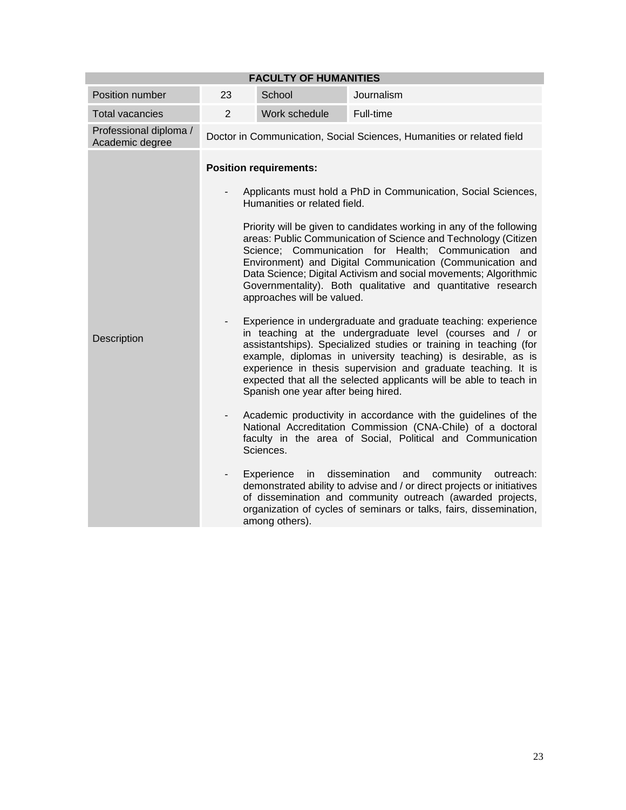| <b>FACULTY OF HUMANITIES</b>              |                          |                                                            |                                                                                                                                                                                                                                                                                                                                                                                                        |  |  |
|-------------------------------------------|--------------------------|------------------------------------------------------------|--------------------------------------------------------------------------------------------------------------------------------------------------------------------------------------------------------------------------------------------------------------------------------------------------------------------------------------------------------------------------------------------------------|--|--|
| Position number                           | 23                       | School                                                     | Journalism                                                                                                                                                                                                                                                                                                                                                                                             |  |  |
| <b>Total vacancies</b>                    | $\overline{2}$           | Work schedule                                              | Full-time                                                                                                                                                                                                                                                                                                                                                                                              |  |  |
| Professional diploma /<br>Academic degree |                          |                                                            | Doctor in Communication, Social Sciences, Humanities or related field                                                                                                                                                                                                                                                                                                                                  |  |  |
|                                           |                          | <b>Position requirements:</b>                              | Applicants must hold a PhD in Communication, Social Sciences,                                                                                                                                                                                                                                                                                                                                          |  |  |
|                                           |                          | Humanities or related field.<br>approaches will be valued. | Priority will be given to candidates working in any of the following<br>areas: Public Communication of Science and Technology (Citizen<br>Science; Communication for Health; Communication and<br>Environment) and Digital Communication (Communication and<br>Data Science; Digital Activism and social movements; Algorithmic<br>Governmentality). Both qualitative and quantitative research        |  |  |
| Description                               |                          | Spanish one year after being hired.                        | Experience in undergraduate and graduate teaching: experience<br>in teaching at the undergraduate level (courses and / or<br>assistantships). Specialized studies or training in teaching (for<br>example, diplomas in university teaching) is desirable, as is<br>experience in thesis supervision and graduate teaching. It is<br>expected that all the selected applicants will be able to teach in |  |  |
|                                           | $\overline{\phantom{a}}$ | Sciences.                                                  | Academic productivity in accordance with the guidelines of the<br>National Accreditation Commission (CNA-Chile) of a doctoral<br>faculty in the area of Social, Political and Communication                                                                                                                                                                                                            |  |  |
|                                           | $\overline{\phantom{a}}$ | Experience<br>in<br>among others).                         | dissemination<br>and<br>community<br>outreach:<br>demonstrated ability to advise and / or direct projects or initiatives<br>of dissemination and community outreach (awarded projects,<br>organization of cycles of seminars or talks, fairs, dissemination,                                                                                                                                           |  |  |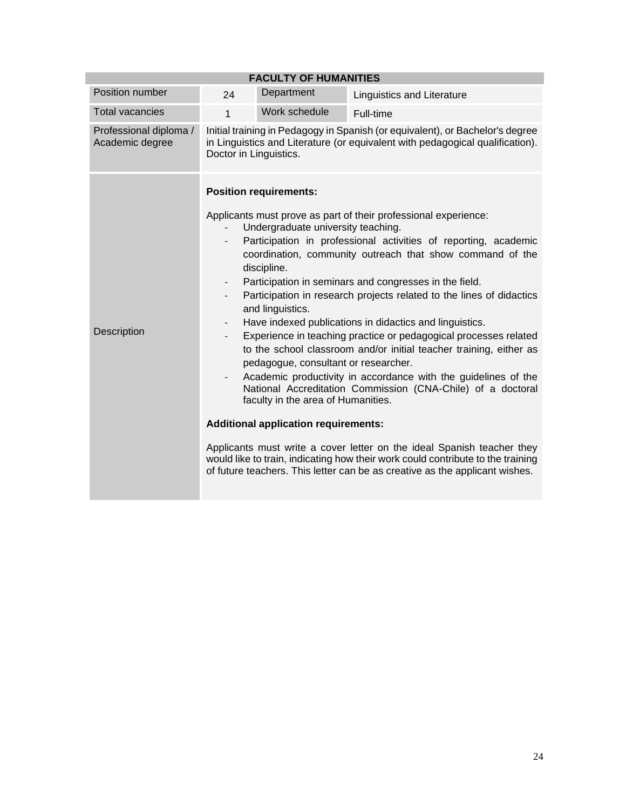| <b>FACULTY OF HUMANITIES</b>              |                                                                                                                                                                                          |                                                                                                                                                                                                                                     |                                                                                                                                                                                                                                                                                                                                                                                                                                                                                                                                                                                                                                                                                                                                                                                                                                                                                                                     |  |  |
|-------------------------------------------|------------------------------------------------------------------------------------------------------------------------------------------------------------------------------------------|-------------------------------------------------------------------------------------------------------------------------------------------------------------------------------------------------------------------------------------|---------------------------------------------------------------------------------------------------------------------------------------------------------------------------------------------------------------------------------------------------------------------------------------------------------------------------------------------------------------------------------------------------------------------------------------------------------------------------------------------------------------------------------------------------------------------------------------------------------------------------------------------------------------------------------------------------------------------------------------------------------------------------------------------------------------------------------------------------------------------------------------------------------------------|--|--|
| Position number                           | 24                                                                                                                                                                                       | Department                                                                                                                                                                                                                          | <b>Linguistics and Literature</b>                                                                                                                                                                                                                                                                                                                                                                                                                                                                                                                                                                                                                                                                                                                                                                                                                                                                                   |  |  |
| <b>Total vacancies</b>                    | 1                                                                                                                                                                                        | Work schedule                                                                                                                                                                                                                       | Full-time                                                                                                                                                                                                                                                                                                                                                                                                                                                                                                                                                                                                                                                                                                                                                                                                                                                                                                           |  |  |
| Professional diploma /<br>Academic degree | Initial training in Pedagogy in Spanish (or equivalent), or Bachelor's degree<br>in Linguistics and Literature (or equivalent with pedagogical qualification).<br>Doctor in Linguistics. |                                                                                                                                                                                                                                     |                                                                                                                                                                                                                                                                                                                                                                                                                                                                                                                                                                                                                                                                                                                                                                                                                                                                                                                     |  |  |
| Description                               | $\overline{\phantom{a}}$<br>$\overline{\phantom{a}}$<br>$\overline{\phantom{a}}$<br>$\overline{\phantom{a}}$                                                                             | <b>Position requirements:</b><br>Undergraduate university teaching.<br>discipline.<br>and linguistics.<br>pedagogue, consultant or researcher.<br>faculty in the area of Humanities.<br><b>Additional application requirements:</b> | Applicants must prove as part of their professional experience:<br>Participation in professional activities of reporting, academic<br>coordination, community outreach that show command of the<br>Participation in seminars and congresses in the field.<br>Participation in research projects related to the lines of didactics<br>Have indexed publications in didactics and linguistics.<br>Experience in teaching practice or pedagogical processes related<br>to the school classroom and/or initial teacher training, either as<br>Academic productivity in accordance with the guidelines of the<br>National Accreditation Commission (CNA-Chile) of a doctoral<br>Applicants must write a cover letter on the ideal Spanish teacher they<br>would like to train, indicating how their work could contribute to the training<br>of future teachers. This letter can be as creative as the applicant wishes. |  |  |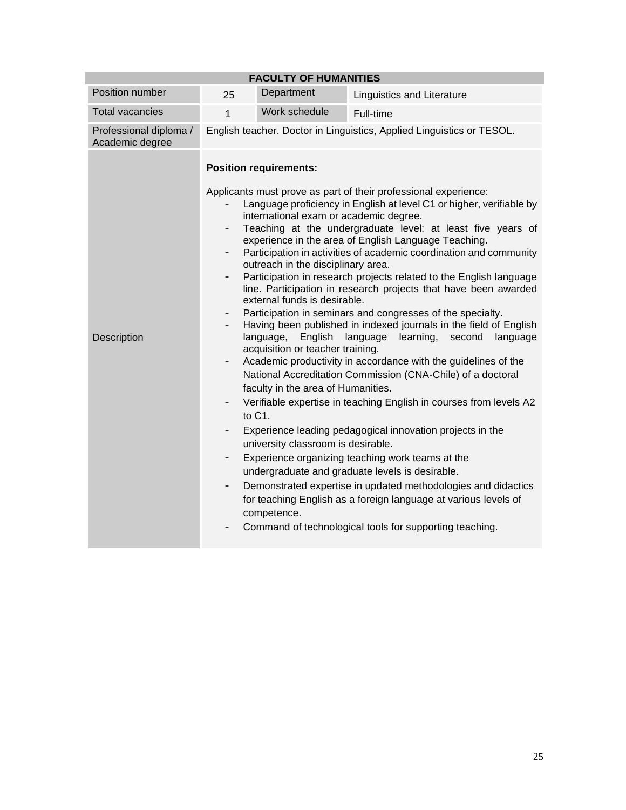| <b>FACULTY OF HUMANITIES</b>              |              |                                                                                                                                                                                                                                                                                                                |                                                                                                                                                                                                                                                                                                                                                                                                                                                                                                                                                                                                                                                                                                                                                                                                                                                                                                                                                                                                                                                                                                                                                                                                                                           |  |  |
|-------------------------------------------|--------------|----------------------------------------------------------------------------------------------------------------------------------------------------------------------------------------------------------------------------------------------------------------------------------------------------------------|-------------------------------------------------------------------------------------------------------------------------------------------------------------------------------------------------------------------------------------------------------------------------------------------------------------------------------------------------------------------------------------------------------------------------------------------------------------------------------------------------------------------------------------------------------------------------------------------------------------------------------------------------------------------------------------------------------------------------------------------------------------------------------------------------------------------------------------------------------------------------------------------------------------------------------------------------------------------------------------------------------------------------------------------------------------------------------------------------------------------------------------------------------------------------------------------------------------------------------------------|--|--|
| Position number                           | 25           | Department                                                                                                                                                                                                                                                                                                     | <b>Linguistics and Literature</b>                                                                                                                                                                                                                                                                                                                                                                                                                                                                                                                                                                                                                                                                                                                                                                                                                                                                                                                                                                                                                                                                                                                                                                                                         |  |  |
| <b>Total vacancies</b>                    | $\mathbf{1}$ | Work schedule                                                                                                                                                                                                                                                                                                  | Full-time                                                                                                                                                                                                                                                                                                                                                                                                                                                                                                                                                                                                                                                                                                                                                                                                                                                                                                                                                                                                                                                                                                                                                                                                                                 |  |  |
| Professional diploma /<br>Academic degree |              |                                                                                                                                                                                                                                                                                                                | English teacher. Doctor in Linguistics, Applied Linguistics or TESOL.                                                                                                                                                                                                                                                                                                                                                                                                                                                                                                                                                                                                                                                                                                                                                                                                                                                                                                                                                                                                                                                                                                                                                                     |  |  |
| Description                               | -<br>-       | <b>Position requirements:</b><br>international exam or academic degree.<br>outreach in the disciplinary area.<br>external funds is desirable.<br>English<br>language,<br>acquisition or teacher training.<br>faculty in the area of Humanities.<br>to C1.<br>university classroom is desirable.<br>competence. | Applicants must prove as part of their professional experience:<br>Language proficiency in English at level C1 or higher, verifiable by<br>Teaching at the undergraduate level: at least five years of<br>experience in the area of English Language Teaching.<br>Participation in activities of academic coordination and community<br>Participation in research projects related to the English language<br>line. Participation in research projects that have been awarded<br>Participation in seminars and congresses of the specialty.<br>Having been published in indexed journals in the field of English<br>language<br>learning,<br>second<br>language<br>Academic productivity in accordance with the guidelines of the<br>National Accreditation Commission (CNA-Chile) of a doctoral<br>Verifiable expertise in teaching English in courses from levels A2<br>Experience leading pedagogical innovation projects in the<br>Experience organizing teaching work teams at the<br>undergraduate and graduate levels is desirable.<br>Demonstrated expertise in updated methodologies and didactics<br>for teaching English as a foreign language at various levels of<br>Command of technological tools for supporting teaching. |  |  |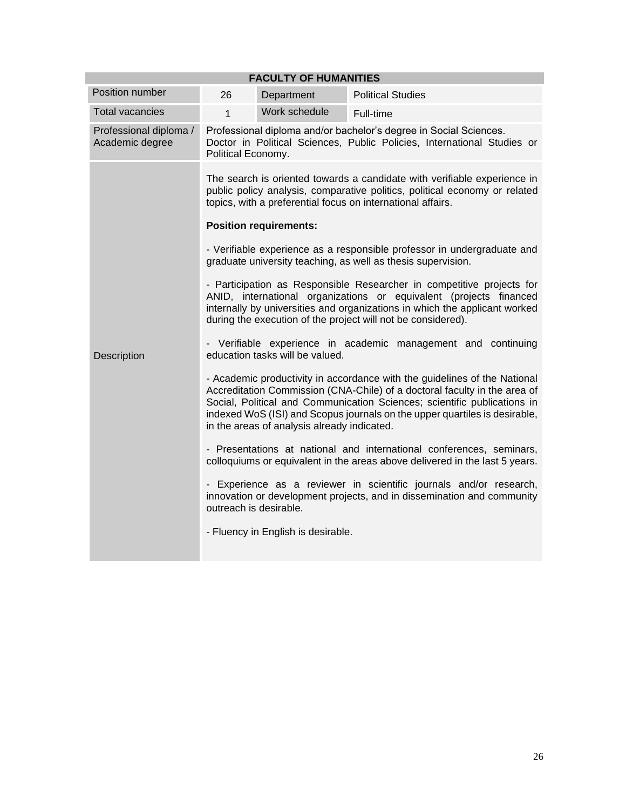| <b>FACULTY OF HUMANITIES</b>              |                                                                                                                                                                                                                                                                                                                                                                                               |                               |                                                                                                                                                                                                                       |  |  |
|-------------------------------------------|-----------------------------------------------------------------------------------------------------------------------------------------------------------------------------------------------------------------------------------------------------------------------------------------------------------------------------------------------------------------------------------------------|-------------------------------|-----------------------------------------------------------------------------------------------------------------------------------------------------------------------------------------------------------------------|--|--|
| Position number                           | 26                                                                                                                                                                                                                                                                                                                                                                                            | Department                    | <b>Political Studies</b>                                                                                                                                                                                              |  |  |
| <b>Total vacancies</b>                    | $\mathbf{1}$                                                                                                                                                                                                                                                                                                                                                                                  | Work schedule                 | Full-time                                                                                                                                                                                                             |  |  |
| Professional diploma /<br>Academic degree | Professional diploma and/or bachelor's degree in Social Sciences.<br>Doctor in Political Sciences, Public Policies, International Studies or<br>Political Economy.                                                                                                                                                                                                                            |                               |                                                                                                                                                                                                                       |  |  |
|                                           |                                                                                                                                                                                                                                                                                                                                                                                               | <b>Position requirements:</b> | The search is oriented towards a candidate with verifiable experience in<br>public policy analysis, comparative politics, political economy or related<br>topics, with a preferential focus on international affairs. |  |  |
|                                           | - Verifiable experience as a responsible professor in undergraduate and<br>graduate university teaching, as well as thesis supervision.                                                                                                                                                                                                                                                       |                               |                                                                                                                                                                                                                       |  |  |
|                                           | - Participation as Responsible Researcher in competitive projects for<br>ANID, international organizations or equivalent (projects financed<br>internally by universities and organizations in which the applicant worked<br>during the execution of the project will not be considered).<br>- Verifiable experience in academic management and continuing<br>education tasks will be valued. |                               |                                                                                                                                                                                                                       |  |  |
| Description                               |                                                                                                                                                                                                                                                                                                                                                                                               |                               |                                                                                                                                                                                                                       |  |  |
|                                           | - Academic productivity in accordance with the guidelines of the National<br>Accreditation Commission (CNA-Chile) of a doctoral faculty in the area of<br>Social, Political and Communication Sciences; scientific publications in<br>indexed WoS (ISI) and Scopus journals on the upper quartiles is desirable,<br>in the areas of analysis already indicated.                               |                               |                                                                                                                                                                                                                       |  |  |
|                                           | - Presentations at national and international conferences, seminars,<br>colloquiums or equivalent in the areas above delivered in the last 5 years.                                                                                                                                                                                                                                           |                               |                                                                                                                                                                                                                       |  |  |
|                                           | - Experience as a reviewer in scientific journals and/or research,<br>innovation or development projects, and in dissemination and community                                                                                                                                                                                                                                                  |                               |                                                                                                                                                                                                                       |  |  |
|                                           | - Fluency in English is desirable.                                                                                                                                                                                                                                                                                                                                                            |                               |                                                                                                                                                                                                                       |  |  |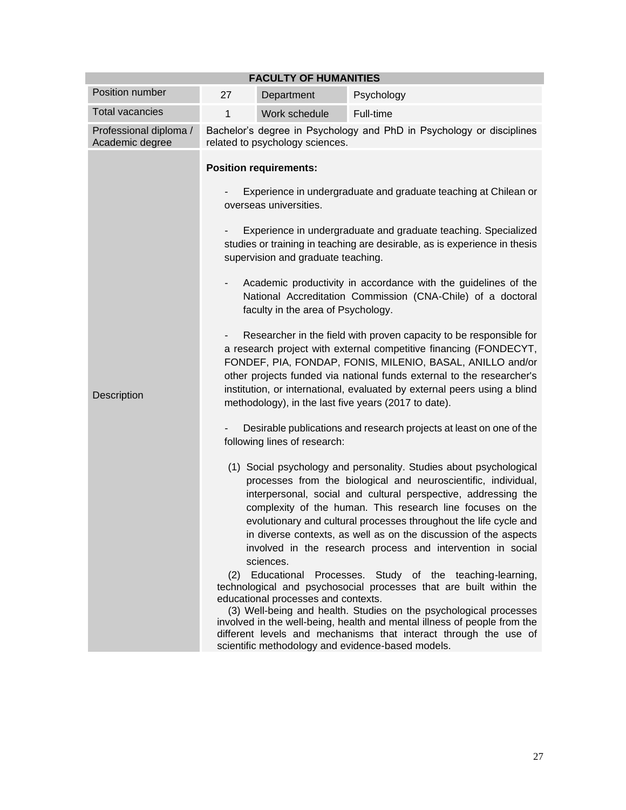| <b>FACULTY OF HUMANITIES</b>              |                                                                                                                                                                                                                                                                                                                                                                                                                                                                                                                                                                                                                                                                                                 |                                                  |                                                                                                                                                                                                                                                                                                                                                                                                                                                                                                                                                                                                                                                                                                                                                                                                                                                                                        |  |  |
|-------------------------------------------|-------------------------------------------------------------------------------------------------------------------------------------------------------------------------------------------------------------------------------------------------------------------------------------------------------------------------------------------------------------------------------------------------------------------------------------------------------------------------------------------------------------------------------------------------------------------------------------------------------------------------------------------------------------------------------------------------|--------------------------------------------------|----------------------------------------------------------------------------------------------------------------------------------------------------------------------------------------------------------------------------------------------------------------------------------------------------------------------------------------------------------------------------------------------------------------------------------------------------------------------------------------------------------------------------------------------------------------------------------------------------------------------------------------------------------------------------------------------------------------------------------------------------------------------------------------------------------------------------------------------------------------------------------------|--|--|
| Position number                           | 27                                                                                                                                                                                                                                                                                                                                                                                                                                                                                                                                                                                                                                                                                              | Department                                       | Psychology                                                                                                                                                                                                                                                                                                                                                                                                                                                                                                                                                                                                                                                                                                                                                                                                                                                                             |  |  |
| <b>Total vacancies</b>                    | 1                                                                                                                                                                                                                                                                                                                                                                                                                                                                                                                                                                                                                                                                                               | Work schedule                                    | Full-time                                                                                                                                                                                                                                                                                                                                                                                                                                                                                                                                                                                                                                                                                                                                                                                                                                                                              |  |  |
| Professional diploma /<br>Academic degree | Bachelor's degree in Psychology and PhD in Psychology or disciplines<br>related to psychology sciences.                                                                                                                                                                                                                                                                                                                                                                                                                                                                                                                                                                                         |                                                  |                                                                                                                                                                                                                                                                                                                                                                                                                                                                                                                                                                                                                                                                                                                                                                                                                                                                                        |  |  |
|                                           | <b>Position requirements:</b><br>Experience in undergraduate and graduate teaching at Chilean or<br>overseas universities.                                                                                                                                                                                                                                                                                                                                                                                                                                                                                                                                                                      |                                                  |                                                                                                                                                                                                                                                                                                                                                                                                                                                                                                                                                                                                                                                                                                                                                                                                                                                                                        |  |  |
|                                           |                                                                                                                                                                                                                                                                                                                                                                                                                                                                                                                                                                                                                                                                                                 |                                                  |                                                                                                                                                                                                                                                                                                                                                                                                                                                                                                                                                                                                                                                                                                                                                                                                                                                                                        |  |  |
|                                           | Experience in undergraduate and graduate teaching. Specialized<br>studies or training in teaching are desirable, as is experience in thesis<br>supervision and graduate teaching.                                                                                                                                                                                                                                                                                                                                                                                                                                                                                                               |                                                  |                                                                                                                                                                                                                                                                                                                                                                                                                                                                                                                                                                                                                                                                                                                                                                                                                                                                                        |  |  |
|                                           | Academic productivity in accordance with the guidelines of the<br>National Accreditation Commission (CNA-Chile) of a doctoral<br>faculty in the area of Psychology.<br>Researcher in the field with proven capacity to be responsible for<br>a research project with external competitive financing (FONDECYT,<br>FONDEF, PIA, FONDAP, FONIS, MILENIO, BASAL, ANILLO and/or<br>other projects funded via national funds external to the researcher's<br>institution, or international, evaluated by external peers using a blind<br>methodology), in the last five years (2017 to date).<br>Desirable publications and research projects at least on one of the<br>following lines of research: |                                                  |                                                                                                                                                                                                                                                                                                                                                                                                                                                                                                                                                                                                                                                                                                                                                                                                                                                                                        |  |  |
| Description                               |                                                                                                                                                                                                                                                                                                                                                                                                                                                                                                                                                                                                                                                                                                 |                                                  |                                                                                                                                                                                                                                                                                                                                                                                                                                                                                                                                                                                                                                                                                                                                                                                                                                                                                        |  |  |
|                                           |                                                                                                                                                                                                                                                                                                                                                                                                                                                                                                                                                                                                                                                                                                 |                                                  |                                                                                                                                                                                                                                                                                                                                                                                                                                                                                                                                                                                                                                                                                                                                                                                                                                                                                        |  |  |
|                                           | (2)                                                                                                                                                                                                                                                                                                                                                                                                                                                                                                                                                                                                                                                                                             | sciences.<br>educational processes and contexts. | (1) Social psychology and personality. Studies about psychological<br>processes from the biological and neuroscientific, individual,<br>interpersonal, social and cultural perspective, addressing the<br>complexity of the human. This research line focuses on the<br>evolutionary and cultural processes throughout the life cycle and<br>in diverse contexts, as well as on the discussion of the aspects<br>involved in the research process and intervention in social<br>Educational Processes. Study of the teaching-learning,<br>technological and psychosocial processes that are built within the<br>(3) Well-being and health. Studies on the psychological processes<br>involved in the well-being, health and mental illness of people from the<br>different levels and mechanisms that interact through the use of<br>scientific methodology and evidence-based models. |  |  |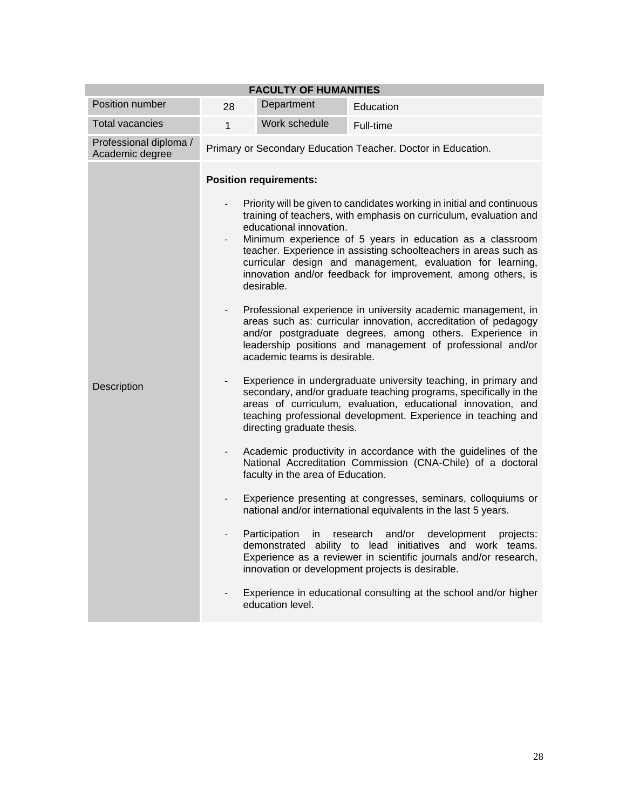| <b>FACULTY OF HUMANITIES</b>              |                                                                                                                                                                                                                                                                                                                                                   |                                                                                                                                                                                                                                                                                                                                                                                                                                                     |                                                              |  |  |
|-------------------------------------------|---------------------------------------------------------------------------------------------------------------------------------------------------------------------------------------------------------------------------------------------------------------------------------------------------------------------------------------------------|-----------------------------------------------------------------------------------------------------------------------------------------------------------------------------------------------------------------------------------------------------------------------------------------------------------------------------------------------------------------------------------------------------------------------------------------------------|--------------------------------------------------------------|--|--|
| Position number                           | 28                                                                                                                                                                                                                                                                                                                                                | Department                                                                                                                                                                                                                                                                                                                                                                                                                                          | Education                                                    |  |  |
| <b>Total vacancies</b>                    | $\mathbf{1}$                                                                                                                                                                                                                                                                                                                                      | Work schedule                                                                                                                                                                                                                                                                                                                                                                                                                                       | Full-time                                                    |  |  |
| Professional diploma /<br>Academic degree |                                                                                                                                                                                                                                                                                                                                                   |                                                                                                                                                                                                                                                                                                                                                                                                                                                     | Primary or Secondary Education Teacher. Doctor in Education. |  |  |
|                                           | <b>Position requirements:</b>                                                                                                                                                                                                                                                                                                                     |                                                                                                                                                                                                                                                                                                                                                                                                                                                     |                                                              |  |  |
|                                           |                                                                                                                                                                                                                                                                                                                                                   | Priority will be given to candidates working in initial and continuous<br>training of teachers, with emphasis on curriculum, evaluation and<br>educational innovation.<br>Minimum experience of 5 years in education as a classroom<br>teacher. Experience in assisting schoolteachers in areas such as<br>curricular design and management, evaluation for learning,<br>innovation and/or feedback for improvement, among others, is<br>desirable. |                                                              |  |  |
|                                           | $\overline{\phantom{0}}$                                                                                                                                                                                                                                                                                                                          | Professional experience in university academic management, in<br>areas such as: curricular innovation, accreditation of pedagogy<br>and/or postgraduate degrees, among others. Experience in<br>leadership positions and management of professional and/or<br>academic teams is desirable.                                                                                                                                                          |                                                              |  |  |
| Description                               |                                                                                                                                                                                                                                                                                                                                                   | Experience in undergraduate university teaching, in primary and<br>secondary, and/or graduate teaching programs, specifically in the<br>areas of curriculum, evaluation, educational innovation, and<br>teaching professional development. Experience in teaching and<br>directing graduate thesis.                                                                                                                                                 |                                                              |  |  |
|                                           | Academic productivity in accordance with the guidelines of the<br>$\overline{\phantom{0}}$<br>National Accreditation Commission (CNA-Chile) of a doctoral<br>faculty in the area of Education.                                                                                                                                                    |                                                                                                                                                                                                                                                                                                                                                                                                                                                     |                                                              |  |  |
|                                           |                                                                                                                                                                                                                                                                                                                                                   | Experience presenting at congresses, seminars, colloquiums or<br>national and/or international equivalents in the last 5 years.                                                                                                                                                                                                                                                                                                                     |                                                              |  |  |
|                                           | Participation<br>and/or<br>development<br>in<br>research<br>projects:<br>demonstrated ability to lead initiatives and work teams.<br>Experience as a reviewer in scientific journals and/or research,<br>innovation or development projects is desirable.<br>Experience in educational consulting at the school and/or higher<br>education level. |                                                                                                                                                                                                                                                                                                                                                                                                                                                     |                                                              |  |  |
|                                           |                                                                                                                                                                                                                                                                                                                                                   |                                                                                                                                                                                                                                                                                                                                                                                                                                                     |                                                              |  |  |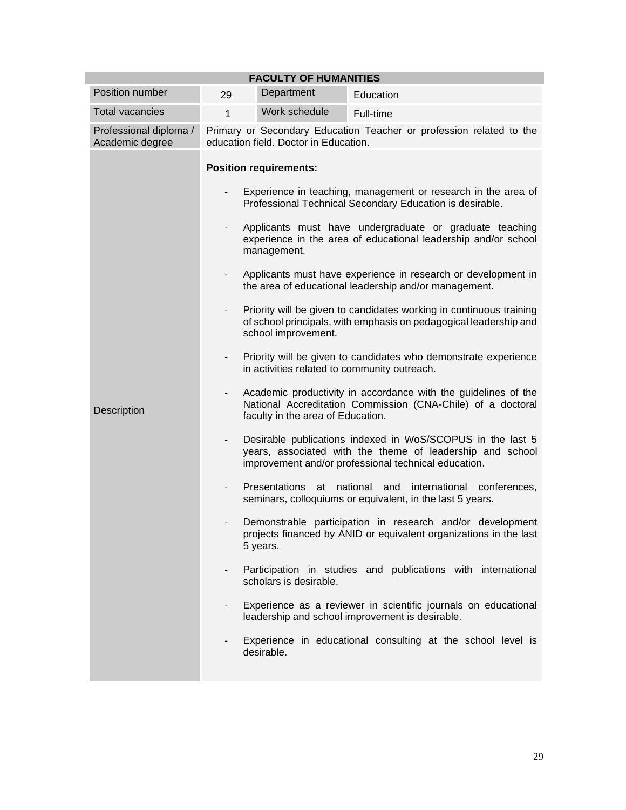| <b>FACULTY OF HUMANITIES</b>              |                               |                                                                                                                                                                 |                                                                                                                                                                                 |  |  |  |
|-------------------------------------------|-------------------------------|-----------------------------------------------------------------------------------------------------------------------------------------------------------------|---------------------------------------------------------------------------------------------------------------------------------------------------------------------------------|--|--|--|
| Position number                           | 29                            | Department                                                                                                                                                      | Education                                                                                                                                                                       |  |  |  |
| <b>Total vacancies</b>                    | $\mathbf{1}$                  | Work schedule                                                                                                                                                   | Full-time                                                                                                                                                                       |  |  |  |
| Professional diploma /<br>Academic degree |                               | Primary or Secondary Education Teacher or profession related to the<br>education field. Doctor in Education.                                                    |                                                                                                                                                                                 |  |  |  |
|                                           | <b>Position requirements:</b> |                                                                                                                                                                 |                                                                                                                                                                                 |  |  |  |
|                                           |                               | Experience in teaching, management or research in the area of<br>Professional Technical Secondary Education is desirable.                                       |                                                                                                                                                                                 |  |  |  |
|                                           |                               | management.                                                                                                                                                     | Applicants must have undergraduate or graduate teaching<br>experience in the area of educational leadership and/or school                                                       |  |  |  |
|                                           |                               |                                                                                                                                                                 | Applicants must have experience in research or development in<br>the area of educational leadership and/or management.                                                          |  |  |  |
|                                           |                               | Priority will be given to candidates working in continuous training<br>of school principals, with emphasis on pedagogical leadership and<br>school improvement. |                                                                                                                                                                                 |  |  |  |
|                                           |                               | Priority will be given to candidates who demonstrate experience<br>in activities related to community outreach.                                                 |                                                                                                                                                                                 |  |  |  |
| Description                               | $\overline{\phantom{0}}$      | faculty in the area of Education.                                                                                                                               | Academic productivity in accordance with the guidelines of the<br>National Accreditation Commission (CNA-Chile) of a doctoral                                                   |  |  |  |
|                                           | $\overline{\phantom{0}}$      |                                                                                                                                                                 | Desirable publications indexed in WoS/SCOPUS in the last 5<br>years, associated with the theme of leadership and school<br>improvement and/or professional technical education. |  |  |  |
|                                           |                               | Presentations<br>at                                                                                                                                             | national<br>and<br>international<br>conferences,<br>seminars, colloquiums or equivalent, in the last 5 years.                                                                   |  |  |  |
|                                           |                               | Demonstrable participation in research and/or development<br>projects financed by ANID or equivalent organizations in the last<br>5 years.                      |                                                                                                                                                                                 |  |  |  |
|                                           | $\overline{\phantom{a}}$      | scholars is desirable.                                                                                                                                          | Participation in studies and publications with international                                                                                                                    |  |  |  |
|                                           |                               |                                                                                                                                                                 | Experience as a reviewer in scientific journals on educational<br>leadership and school improvement is desirable.                                                               |  |  |  |
|                                           |                               | desirable.                                                                                                                                                      | Experience in educational consulting at the school level is                                                                                                                     |  |  |  |
|                                           |                               |                                                                                                                                                                 |                                                                                                                                                                                 |  |  |  |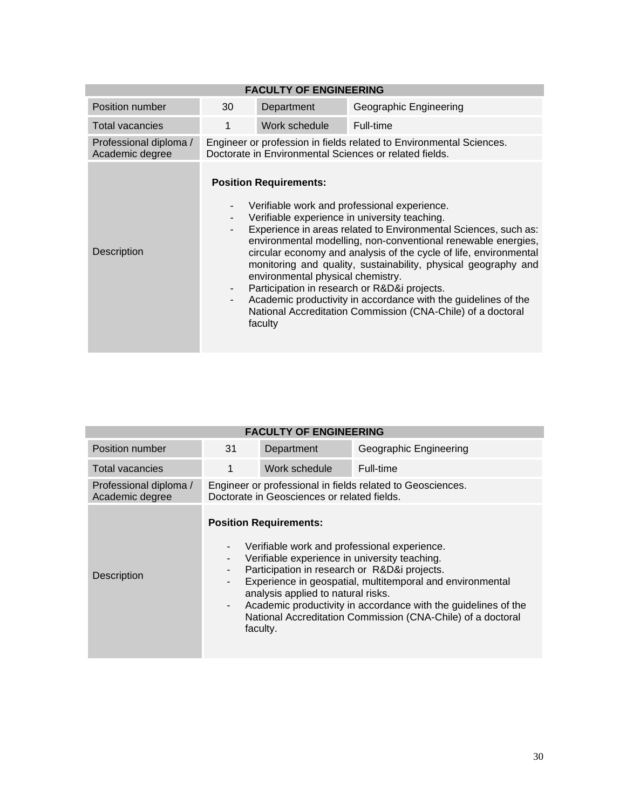| <b>FACULTY OF ENGINEERING</b>             |                                                                                                                               |                                                                               |                                                                                                                                                                                                                                                                                                                                                                                                                                                                                                                                                           |  |
|-------------------------------------------|-------------------------------------------------------------------------------------------------------------------------------|-------------------------------------------------------------------------------|-----------------------------------------------------------------------------------------------------------------------------------------------------------------------------------------------------------------------------------------------------------------------------------------------------------------------------------------------------------------------------------------------------------------------------------------------------------------------------------------------------------------------------------------------------------|--|
| Position number                           | 30                                                                                                                            | Department                                                                    | Geographic Engineering                                                                                                                                                                                                                                                                                                                                                                                                                                                                                                                                    |  |
| <b>Total vacancies</b>                    | 1                                                                                                                             | Work schedule                                                                 | Full-time                                                                                                                                                                                                                                                                                                                                                                                                                                                                                                                                                 |  |
| Professional diploma /<br>Academic degree | Engineer or profession in fields related to Environmental Sciences.<br>Doctorate in Environmental Sciences or related fields. |                                                                               |                                                                                                                                                                                                                                                                                                                                                                                                                                                                                                                                                           |  |
| Description                               |                                                                                                                               | <b>Position Requirements:</b><br>environmental physical chemistry.<br>faculty | Verifiable work and professional experience.<br>Verifiable experience in university teaching.<br>Experience in areas related to Environmental Sciences, such as:<br>environmental modelling, non-conventional renewable energies,<br>circular economy and analysis of the cycle of life, environmental<br>monitoring and quality, sustainability, physical geography and<br>Participation in research or R&D&i projects.<br>Academic productivity in accordance with the guidelines of the<br>National Accreditation Commission (CNA-Chile) of a doctoral |  |

| <b>FACULTY OF ENGINEERING</b>             |                                                                                                           |                                                                                                                                                                                  |                                                                                                                                                                                                                                            |  |  |
|-------------------------------------------|-----------------------------------------------------------------------------------------------------------|----------------------------------------------------------------------------------------------------------------------------------------------------------------------------------|--------------------------------------------------------------------------------------------------------------------------------------------------------------------------------------------------------------------------------------------|--|--|
| Position number                           | 31                                                                                                        | Department                                                                                                                                                                       | Geographic Engineering                                                                                                                                                                                                                     |  |  |
| <b>Total vacancies</b>                    |                                                                                                           | Work schedule                                                                                                                                                                    | Full-time                                                                                                                                                                                                                                  |  |  |
| Professional diploma /<br>Academic degree | Engineer or professional in fields related to Geosciences.<br>Doctorate in Geosciences or related fields. |                                                                                                                                                                                  |                                                                                                                                                                                                                                            |  |  |
| Description                               | $\blacksquare$<br>$\overline{\phantom{a}}$                                                                | <b>Position Requirements:</b><br>Verifiable experience in university teaching.<br>Participation in research or R&D&i projects.<br>analysis applied to natural risks.<br>faculty. | Verifiable work and professional experience.<br>Experience in geospatial, multitemporal and environmental<br>Academic productivity in accordance with the guidelines of the<br>National Accreditation Commission (CNA-Chile) of a doctoral |  |  |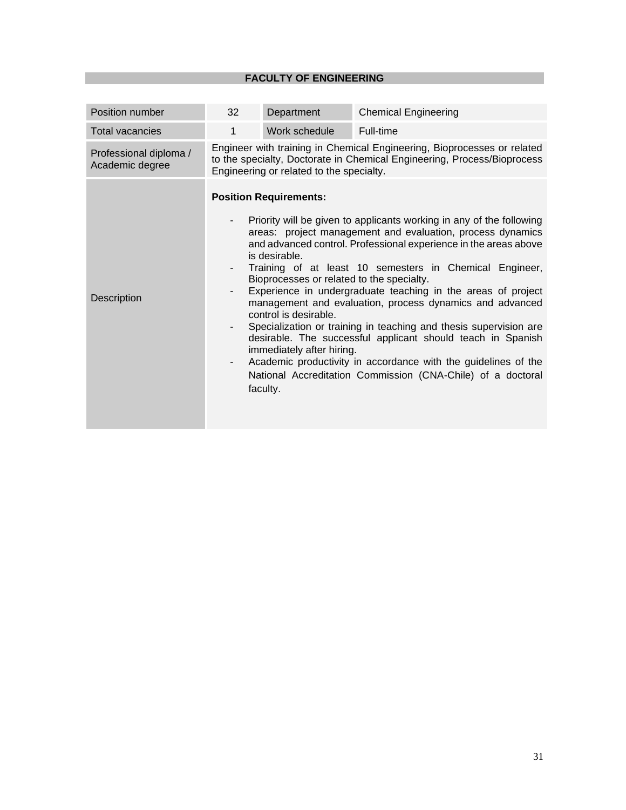| Position number                           | 32                                                                                                                                                                                                                                                                                                                                                                                                                                                                                                                                                                                                                                                                                                                                                                                                                                                                                                        | Department    | <b>Chemical Engineering</b> |  |
|-------------------------------------------|-----------------------------------------------------------------------------------------------------------------------------------------------------------------------------------------------------------------------------------------------------------------------------------------------------------------------------------------------------------------------------------------------------------------------------------------------------------------------------------------------------------------------------------------------------------------------------------------------------------------------------------------------------------------------------------------------------------------------------------------------------------------------------------------------------------------------------------------------------------------------------------------------------------|---------------|-----------------------------|--|
| <b>Total vacancies</b>                    | 1                                                                                                                                                                                                                                                                                                                                                                                                                                                                                                                                                                                                                                                                                                                                                                                                                                                                                                         | Work schedule | Full-time                   |  |
| Professional diploma /<br>Academic degree | Engineer with training in Chemical Engineering, Bioprocesses or related<br>to the specialty, Doctorate in Chemical Engineering, Process/Bioprocess<br>Engineering or related to the specialty.                                                                                                                                                                                                                                                                                                                                                                                                                                                                                                                                                                                                                                                                                                            |               |                             |  |
| Description                               | <b>Position Requirements:</b><br>Priority will be given to applicants working in any of the following<br>areas: project management and evaluation, process dynamics<br>and advanced control. Professional experience in the areas above<br>is desirable.<br>Training of at least 10 semesters in Chemical Engineer,<br>-<br>Bioprocesses or related to the specialty.<br>Experience in undergraduate teaching in the areas of project<br>-<br>management and evaluation, process dynamics and advanced<br>control is desirable.<br>Specialization or training in teaching and thesis supervision are<br>$\qquad \qquad \blacksquare$<br>desirable. The successful applicant should teach in Spanish<br>immediately after hiring.<br>Academic productivity in accordance with the guidelines of the<br>$\overline{\phantom{a}}$<br>National Accreditation Commission (CNA-Chile) of a doctoral<br>faculty. |               |                             |  |
|                                           |                                                                                                                                                                                                                                                                                                                                                                                                                                                                                                                                                                                                                                                                                                                                                                                                                                                                                                           |               |                             |  |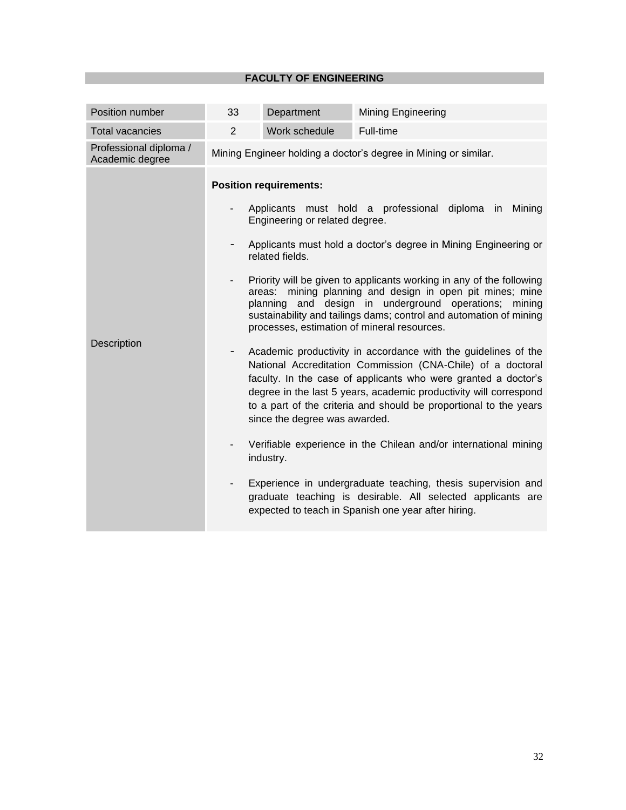| Position number                           | 33                                                                               | Department                                                                                                                                 | <b>Mining Engineering</b>                                                                                                                                                                                                                                                                                                                                                                                                                                                                                                                                                                                                                                                                                                                                                                                                                                                                                                                                                                                                                      |
|-------------------------------------------|----------------------------------------------------------------------------------|--------------------------------------------------------------------------------------------------------------------------------------------|------------------------------------------------------------------------------------------------------------------------------------------------------------------------------------------------------------------------------------------------------------------------------------------------------------------------------------------------------------------------------------------------------------------------------------------------------------------------------------------------------------------------------------------------------------------------------------------------------------------------------------------------------------------------------------------------------------------------------------------------------------------------------------------------------------------------------------------------------------------------------------------------------------------------------------------------------------------------------------------------------------------------------------------------|
| <b>Total vacancies</b>                    | $\overline{2}$                                                                   | Work schedule                                                                                                                              | Full-time                                                                                                                                                                                                                                                                                                                                                                                                                                                                                                                                                                                                                                                                                                                                                                                                                                                                                                                                                                                                                                      |
| Professional diploma /<br>Academic degree |                                                                                  |                                                                                                                                            | Mining Engineer holding a doctor's degree in Mining or similar.                                                                                                                                                                                                                                                                                                                                                                                                                                                                                                                                                                                                                                                                                                                                                                                                                                                                                                                                                                                |
| Description                               | $\overline{\phantom{a}}$<br>$\overline{\phantom{a}}$<br>$\overline{\phantom{0}}$ | <b>Position requirements:</b><br>Engineering or related degree.<br>related fields.<br>areas:<br>since the degree was awarded.<br>industry. | Applicants must hold a professional diploma in Mining<br>Applicants must hold a doctor's degree in Mining Engineering or<br>Priority will be given to applicants working in any of the following<br>mining planning and design in open pit mines; mine<br>planning and design in underground operations;<br>mining<br>sustainability and tailings dams; control and automation of mining<br>processes, estimation of mineral resources.<br>Academic productivity in accordance with the guidelines of the<br>National Accreditation Commission (CNA-Chile) of a doctoral<br>faculty. In the case of applicants who were granted a doctor's<br>degree in the last 5 years, academic productivity will correspond<br>to a part of the criteria and should be proportional to the years<br>Verifiable experience in the Chilean and/or international mining<br>Experience in undergraduate teaching, thesis supervision and<br>graduate teaching is desirable. All selected applicants are<br>expected to teach in Spanish one year after hiring. |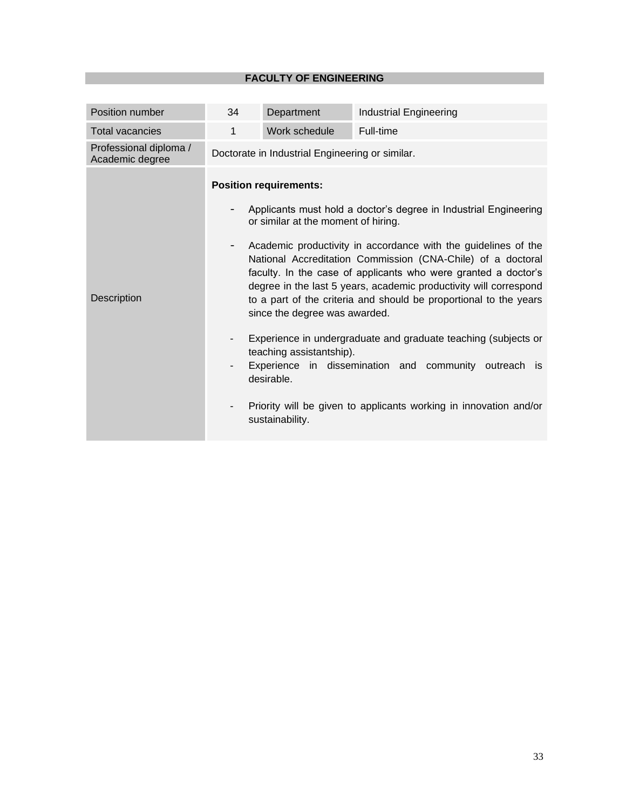| Position number                           | 34                                                                                                                                                                                                                                                                                                                                                                                                                                                                                                                                                                                                                                                                                                                                                                                                                                     | Department    | <b>Industrial Engineering</b> |  |  |
|-------------------------------------------|----------------------------------------------------------------------------------------------------------------------------------------------------------------------------------------------------------------------------------------------------------------------------------------------------------------------------------------------------------------------------------------------------------------------------------------------------------------------------------------------------------------------------------------------------------------------------------------------------------------------------------------------------------------------------------------------------------------------------------------------------------------------------------------------------------------------------------------|---------------|-------------------------------|--|--|
| <b>Total vacancies</b>                    | 1                                                                                                                                                                                                                                                                                                                                                                                                                                                                                                                                                                                                                                                                                                                                                                                                                                      | Work schedule | Full-time                     |  |  |
| Professional diploma /<br>Academic degree |                                                                                                                                                                                                                                                                                                                                                                                                                                                                                                                                                                                                                                                                                                                                                                                                                                        |               |                               |  |  |
| Description                               | Doctorate in Industrial Engineering or similar.<br><b>Position requirements:</b><br>Applicants must hold a doctor's degree in Industrial Engineering<br>or similar at the moment of hiring.<br>Academic productivity in accordance with the guidelines of the<br>National Accreditation Commission (CNA-Chile) of a doctoral<br>faculty. In the case of applicants who were granted a doctor's<br>degree in the last 5 years, academic productivity will correspond<br>to a part of the criteria and should be proportional to the years<br>since the degree was awarded.<br>Experience in undergraduate and graduate teaching (subjects or<br>teaching assistantship).<br>Experience in dissemination and community outreach is<br>desirable.<br>Priority will be given to applicants working in innovation and/or<br>sustainability. |               |                               |  |  |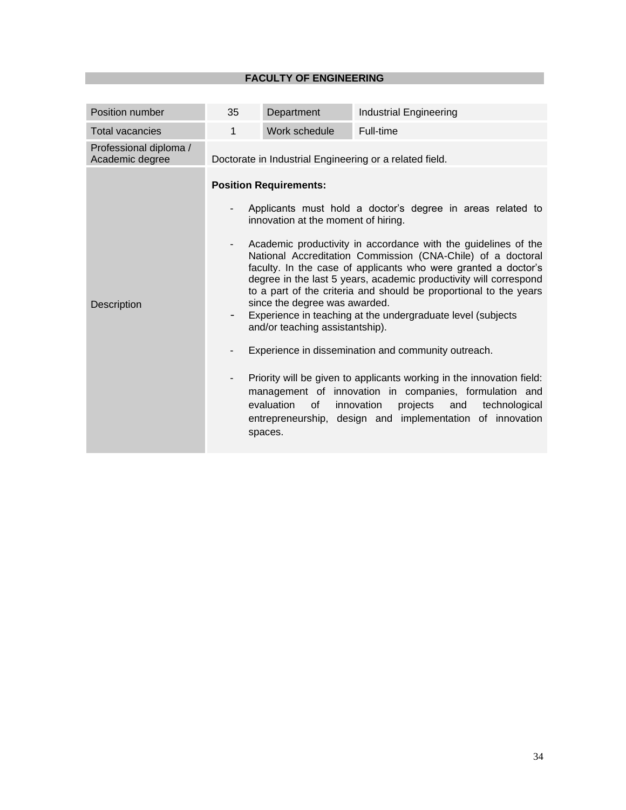|                                                                                                                                                           | Department                                                             | <b>Industrial Engineering</b>                                                                                                                                                                                                                                                                                                                                                                                                                                                                                                                                                                                                                                                                                                                                                                                          |  |  |  |
|-----------------------------------------------------------------------------------------------------------------------------------------------------------|------------------------------------------------------------------------|------------------------------------------------------------------------------------------------------------------------------------------------------------------------------------------------------------------------------------------------------------------------------------------------------------------------------------------------------------------------------------------------------------------------------------------------------------------------------------------------------------------------------------------------------------------------------------------------------------------------------------------------------------------------------------------------------------------------------------------------------------------------------------------------------------------------|--|--|--|
| $\mathbf{1}$<br><b>Total vacancies</b>                                                                                                                    | Work schedule                                                          | Full-time                                                                                                                                                                                                                                                                                                                                                                                                                                                                                                                                                                                                                                                                                                                                                                                                              |  |  |  |
| Professional diploma /<br>Academic degree                                                                                                                 | Doctorate in Industrial Engineering or a related field.                |                                                                                                                                                                                                                                                                                                                                                                                                                                                                                                                                                                                                                                                                                                                                                                                                                        |  |  |  |
| <b>Position Requirements:</b><br>$\overline{\phantom{a}}$<br>Description<br>$\overline{\phantom{a}}$<br>$\overline{\phantom{a}}$<br>evaluation<br>spaces. | since the degree was awarded.<br>and/or teaching assistantship).<br>of | Applicants must hold a doctor's degree in areas related to<br>innovation at the moment of hiring.<br>Academic productivity in accordance with the guidelines of the<br>National Accreditation Commission (CNA-Chile) of a doctoral<br>faculty. In the case of applicants who were granted a doctor's<br>degree in the last 5 years, academic productivity will correspond<br>to a part of the criteria and should be proportional to the years<br>Experience in teaching at the undergraduate level (subjects<br>Experience in dissemination and community outreach.<br>Priority will be given to applicants working in the innovation field:<br>management of innovation in companies, formulation and<br>innovation<br>projects<br>technological<br>and<br>entrepreneurship, design and implementation of innovation |  |  |  |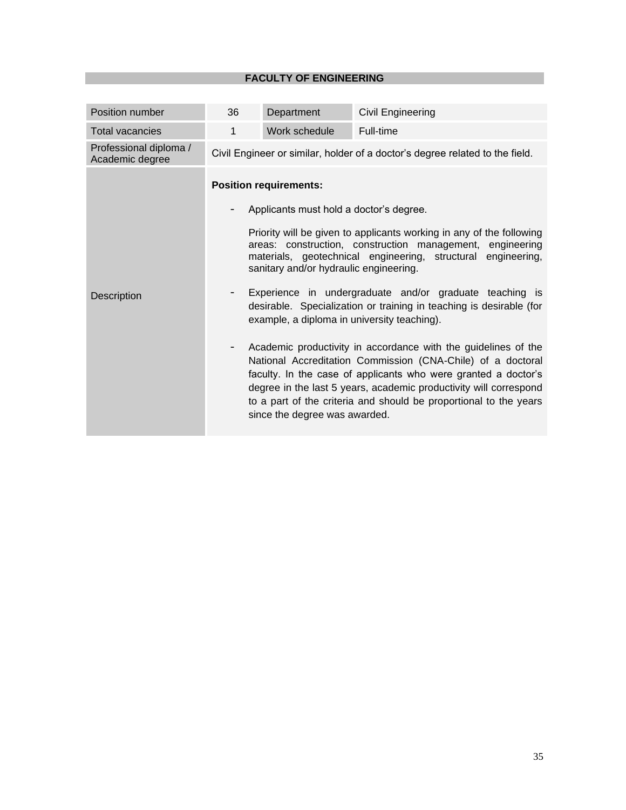| Position number                           | 36                                                                                                                                                                                                                                                                                                                      | Department                    | Civil Engineering                                                                                                                                                                                                                                                                                                                         |  |
|-------------------------------------------|-------------------------------------------------------------------------------------------------------------------------------------------------------------------------------------------------------------------------------------------------------------------------------------------------------------------------|-------------------------------|-------------------------------------------------------------------------------------------------------------------------------------------------------------------------------------------------------------------------------------------------------------------------------------------------------------------------------------------|--|
| <b>Total vacancies</b>                    | $\mathbf{1}$                                                                                                                                                                                                                                                                                                            | Work schedule                 | Full-time                                                                                                                                                                                                                                                                                                                                 |  |
| Professional diploma /<br>Academic degree |                                                                                                                                                                                                                                                                                                                         |                               | Civil Engineer or similar, holder of a doctor's degree related to the field.                                                                                                                                                                                                                                                              |  |
|                                           | <b>Position requirements:</b><br>Applicants must hold a doctor's degree.<br>Priority will be given to applicants working in any of the following<br>areas: construction, construction management, engineering<br>materials, geotechnical engineering, structural engineering,<br>sanitary and/or hydraulic engineering. |                               |                                                                                                                                                                                                                                                                                                                                           |  |
|                                           |                                                                                                                                                                                                                                                                                                                         |                               |                                                                                                                                                                                                                                                                                                                                           |  |
| Description                               | Experience in undergraduate and/or graduate teaching is<br>desirable. Specialization or training in teaching is desirable (for<br>example, a diploma in university teaching).                                                                                                                                           |                               |                                                                                                                                                                                                                                                                                                                                           |  |
|                                           | $\overline{\phantom{a}}$                                                                                                                                                                                                                                                                                                | since the degree was awarded. | Academic productivity in accordance with the guidelines of the<br>National Accreditation Commission (CNA-Chile) of a doctoral<br>faculty. In the case of applicants who were granted a doctor's<br>degree in the last 5 years, academic productivity will correspond<br>to a part of the criteria and should be proportional to the years |  |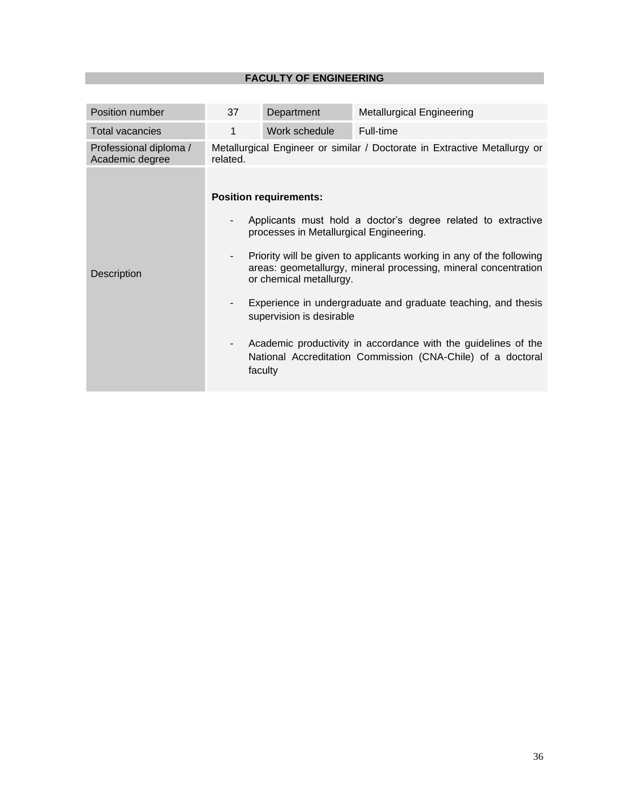| Position number                           | 37                                                                                                                                                                                                                                                                                                                                                                                                                                                                                                                                                                     | Department    | <b>Metallurgical Engineering</b> |  |  |
|-------------------------------------------|------------------------------------------------------------------------------------------------------------------------------------------------------------------------------------------------------------------------------------------------------------------------------------------------------------------------------------------------------------------------------------------------------------------------------------------------------------------------------------------------------------------------------------------------------------------------|---------------|----------------------------------|--|--|
| <b>Total vacancies</b>                    | 1                                                                                                                                                                                                                                                                                                                                                                                                                                                                                                                                                                      | Work schedule | Full-time                        |  |  |
| Professional diploma /<br>Academic degree | Metallurgical Engineer or similar / Doctorate in Extractive Metallurgy or<br>related.                                                                                                                                                                                                                                                                                                                                                                                                                                                                                  |               |                                  |  |  |
| Description                               | <b>Position requirements:</b><br>Applicants must hold a doctor's degree related to extractive<br>-<br>processes in Metallurgical Engineering.<br>Priority will be given to applicants working in any of the following<br>-<br>areas: geometallurgy, mineral processing, mineral concentration<br>or chemical metallurgy.<br>Experience in undergraduate and graduate teaching, and thesis<br>supervision is desirable<br>Academic productivity in accordance with the guidelines of the<br>-<br>National Accreditation Commission (CNA-Chile) of a doctoral<br>faculty |               |                                  |  |  |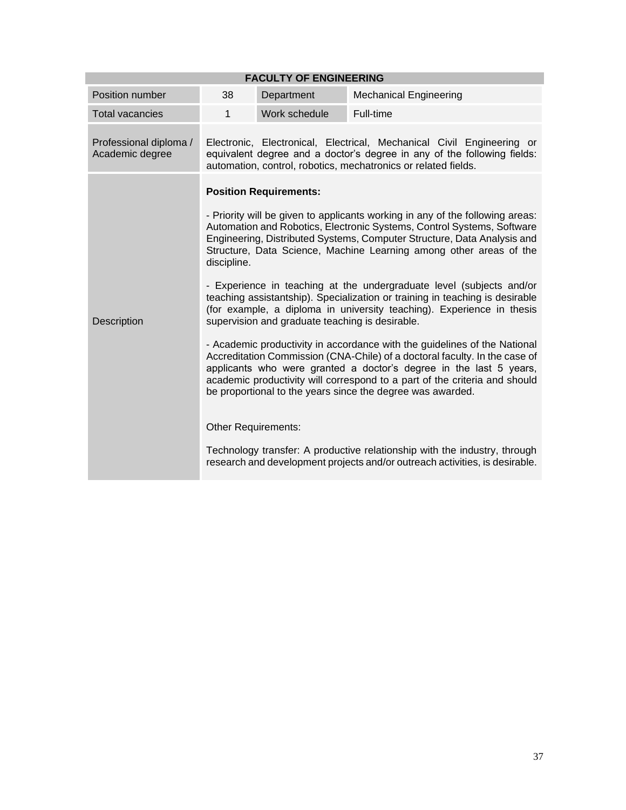| <b>FACULTY OF ENGINEERING</b>             |                                                                                                                                                                                                                                                                                                                                                                           |               |                                                                                                                                                                                                                    |  |
|-------------------------------------------|---------------------------------------------------------------------------------------------------------------------------------------------------------------------------------------------------------------------------------------------------------------------------------------------------------------------------------------------------------------------------|---------------|--------------------------------------------------------------------------------------------------------------------------------------------------------------------------------------------------------------------|--|
| Position number                           | 38                                                                                                                                                                                                                                                                                                                                                                        | Department    | <b>Mechanical Engineering</b>                                                                                                                                                                                      |  |
| <b>Total vacancies</b>                    | $\mathbf{1}$                                                                                                                                                                                                                                                                                                                                                              | Work schedule | Full-time                                                                                                                                                                                                          |  |
| Professional diploma /<br>Academic degree |                                                                                                                                                                                                                                                                                                                                                                           |               | Electronic, Electronical, Electrical, Mechanical Civil Engineering or<br>equivalent degree and a doctor's degree in any of the following fields:<br>automation, control, robotics, mechatronics or related fields. |  |
|                                           | <b>Position Requirements:</b>                                                                                                                                                                                                                                                                                                                                             |               |                                                                                                                                                                                                                    |  |
|                                           | - Priority will be given to applicants working in any of the following areas:<br>Automation and Robotics, Electronic Systems, Control Systems, Software<br>Engineering, Distributed Systems, Computer Structure, Data Analysis and<br>Structure, Data Science, Machine Learning among other areas of the<br>discipline.                                                   |               |                                                                                                                                                                                                                    |  |
| Description                               | - Experience in teaching at the undergraduate level (subjects and/or<br>teaching assistantship). Specialization or training in teaching is desirable<br>(for example, a diploma in university teaching). Experience in thesis<br>supervision and graduate teaching is desirable.                                                                                          |               |                                                                                                                                                                                                                    |  |
|                                           | - Academic productivity in accordance with the guidelines of the National<br>Accreditation Commission (CNA-Chile) of a doctoral faculty. In the case of<br>applicants who were granted a doctor's degree in the last 5 years,<br>academic productivity will correspond to a part of the criteria and should<br>be proportional to the years since the degree was awarded. |               |                                                                                                                                                                                                                    |  |
|                                           | Other Requirements:                                                                                                                                                                                                                                                                                                                                                       |               |                                                                                                                                                                                                                    |  |
|                                           |                                                                                                                                                                                                                                                                                                                                                                           |               | Technology transfer: A productive relationship with the industry, through<br>research and development projects and/or outreach activities, is desirable.                                                           |  |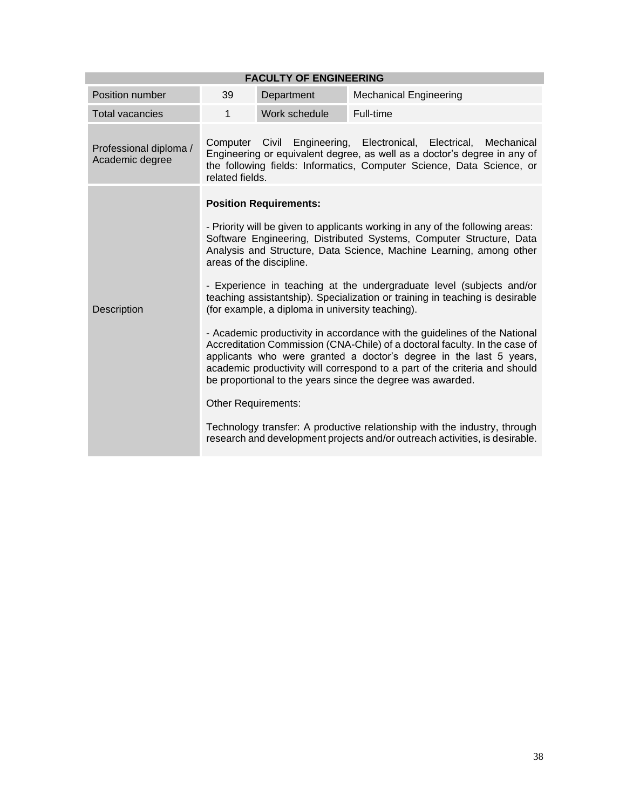| <b>FACULTY OF ENGINEERING</b>             |                             |                                                                                                               |                                                                                                                                                                                                                                                                                                                                                                                                                                                                                                                                                                                                                                                                                                                                                                                                                                                                                                                              |  |  |
|-------------------------------------------|-----------------------------|---------------------------------------------------------------------------------------------------------------|------------------------------------------------------------------------------------------------------------------------------------------------------------------------------------------------------------------------------------------------------------------------------------------------------------------------------------------------------------------------------------------------------------------------------------------------------------------------------------------------------------------------------------------------------------------------------------------------------------------------------------------------------------------------------------------------------------------------------------------------------------------------------------------------------------------------------------------------------------------------------------------------------------------------------|--|--|
| Position number                           | 39                          | Department                                                                                                    | <b>Mechanical Engineering</b>                                                                                                                                                                                                                                                                                                                                                                                                                                                                                                                                                                                                                                                                                                                                                                                                                                                                                                |  |  |
| <b>Total vacancies</b>                    | $\mathbf{1}$                | Work schedule                                                                                                 | Full-time                                                                                                                                                                                                                                                                                                                                                                                                                                                                                                                                                                                                                                                                                                                                                                                                                                                                                                                    |  |  |
| Professional diploma /<br>Academic degree | Computer<br>related fields. | Civil Engineering, Electronical,                                                                              | Electrical,<br>Mechanical<br>Engineering or equivalent degree, as well as a doctor's degree in any of<br>the following fields: Informatics, Computer Science, Data Science, or                                                                                                                                                                                                                                                                                                                                                                                                                                                                                                                                                                                                                                                                                                                                               |  |  |
| <b>Description</b>                        | Other Requirements:         | <b>Position Requirements:</b><br>areas of the discipline.<br>(for example, a diploma in university teaching). | - Priority will be given to applicants working in any of the following areas:<br>Software Engineering, Distributed Systems, Computer Structure, Data<br>Analysis and Structure, Data Science, Machine Learning, among other<br>- Experience in teaching at the undergraduate level (subjects and/or<br>teaching assistantship). Specialization or training in teaching is desirable<br>- Academic productivity in accordance with the guidelines of the National<br>Accreditation Commission (CNA-Chile) of a doctoral faculty. In the case of<br>applicants who were granted a doctor's degree in the last 5 years,<br>academic productivity will correspond to a part of the criteria and should<br>be proportional to the years since the degree was awarded.<br>Technology transfer: A productive relationship with the industry, through<br>research and development projects and/or outreach activities, is desirable. |  |  |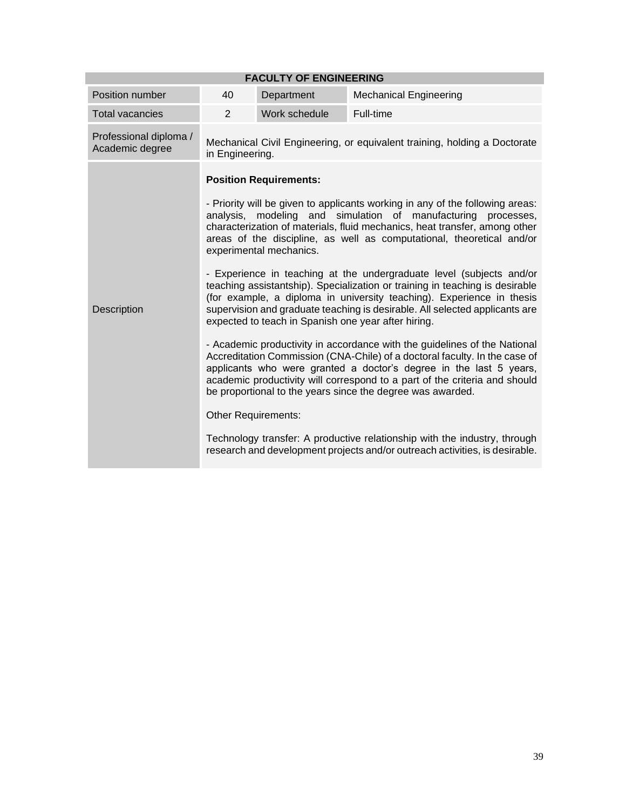| <b>FACULTY OF ENGINEERING</b>             |                                                                                                                                                                                                                                                                                                                                                                                                                                                                                                                                                                                                                                                                                                                                                                                                                                                                                                                                                                                                                                                                                                                                                                                                                                                                                                                 |               |                               |  |
|-------------------------------------------|-----------------------------------------------------------------------------------------------------------------------------------------------------------------------------------------------------------------------------------------------------------------------------------------------------------------------------------------------------------------------------------------------------------------------------------------------------------------------------------------------------------------------------------------------------------------------------------------------------------------------------------------------------------------------------------------------------------------------------------------------------------------------------------------------------------------------------------------------------------------------------------------------------------------------------------------------------------------------------------------------------------------------------------------------------------------------------------------------------------------------------------------------------------------------------------------------------------------------------------------------------------------------------------------------------------------|---------------|-------------------------------|--|
| Position number                           | 40                                                                                                                                                                                                                                                                                                                                                                                                                                                                                                                                                                                                                                                                                                                                                                                                                                                                                                                                                                                                                                                                                                                                                                                                                                                                                                              | Department    | <b>Mechanical Engineering</b> |  |
| <b>Total vacancies</b>                    | 2                                                                                                                                                                                                                                                                                                                                                                                                                                                                                                                                                                                                                                                                                                                                                                                                                                                                                                                                                                                                                                                                                                                                                                                                                                                                                                               | Work schedule | Full-time                     |  |
| Professional diploma /<br>Academic degree | Mechanical Civil Engineering, or equivalent training, holding a Doctorate<br>in Engineering.                                                                                                                                                                                                                                                                                                                                                                                                                                                                                                                                                                                                                                                                                                                                                                                                                                                                                                                                                                                                                                                                                                                                                                                                                    |               |                               |  |
| <b>Description</b>                        | <b>Position Requirements:</b><br>- Priority will be given to applicants working in any of the following areas:<br>analysis, modeling and simulation of manufacturing processes,<br>characterization of materials, fluid mechanics, heat transfer, among other<br>areas of the discipline, as well as computational, theoretical and/or<br>experimental mechanics.<br>- Experience in teaching at the undergraduate level (subjects and/or<br>teaching assistantship). Specialization or training in teaching is desirable<br>(for example, a diploma in university teaching). Experience in thesis<br>supervision and graduate teaching is desirable. All selected applicants are<br>expected to teach in Spanish one year after hiring.<br>- Academic productivity in accordance with the guidelines of the National<br>Accreditation Commission (CNA-Chile) of a doctoral faculty. In the case of<br>applicants who were granted a doctor's degree in the last 5 years,<br>academic productivity will correspond to a part of the criteria and should<br>be proportional to the years since the degree was awarded.<br><b>Other Requirements:</b><br>Technology transfer: A productive relationship with the industry, through<br>research and development projects and/or outreach activities, is desirable. |               |                               |  |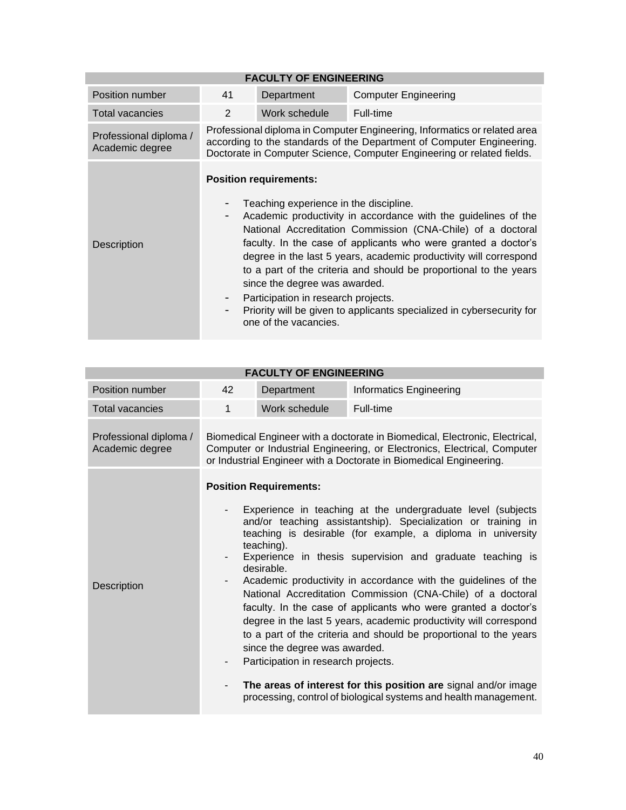| <b>FACULTY OF ENGINEERING</b>             |                                                                                                                                                                                                                              |                                                                                                                                                                          |                                                                                                                                                                                                                                                                                                                                                                                                                    |  |
|-------------------------------------------|------------------------------------------------------------------------------------------------------------------------------------------------------------------------------------------------------------------------------|--------------------------------------------------------------------------------------------------------------------------------------------------------------------------|--------------------------------------------------------------------------------------------------------------------------------------------------------------------------------------------------------------------------------------------------------------------------------------------------------------------------------------------------------------------------------------------------------------------|--|
| Position number                           | 41                                                                                                                                                                                                                           | Department                                                                                                                                                               | <b>Computer Engineering</b>                                                                                                                                                                                                                                                                                                                                                                                        |  |
| <b>Total vacancies</b>                    | 2                                                                                                                                                                                                                            | Work schedule                                                                                                                                                            | Full-time                                                                                                                                                                                                                                                                                                                                                                                                          |  |
| Professional diploma /<br>Academic degree | Professional diploma in Computer Engineering, Informatics or related area<br>according to the standards of the Department of Computer Engineering.<br>Doctorate in Computer Science, Computer Engineering or related fields. |                                                                                                                                                                          |                                                                                                                                                                                                                                                                                                                                                                                                                    |  |
| <b>Description</b>                        | -                                                                                                                                                                                                                            | <b>Position requirements:</b><br>Teaching experience in the discipline.<br>since the degree was awarded.<br>Participation in research projects.<br>one of the vacancies. | Academic productivity in accordance with the guidelines of the<br>National Accreditation Commission (CNA-Chile) of a doctoral<br>faculty. In the case of applicants who were granted a doctor's<br>degree in the last 5 years, academic productivity will correspond<br>to a part of the criteria and should be proportional to the years<br>Priority will be given to applicants specialized in cybersecurity for |  |

| <b>FACULTY OF ENGINEERING</b>             |                                                                                                                                                                                                                               |                                                                                                                                   |                                                                                                                                                                                                                                                                                                                                                                                                                                                                                                                                                                                                                                                                                                                                              |  |
|-------------------------------------------|-------------------------------------------------------------------------------------------------------------------------------------------------------------------------------------------------------------------------------|-----------------------------------------------------------------------------------------------------------------------------------|----------------------------------------------------------------------------------------------------------------------------------------------------------------------------------------------------------------------------------------------------------------------------------------------------------------------------------------------------------------------------------------------------------------------------------------------------------------------------------------------------------------------------------------------------------------------------------------------------------------------------------------------------------------------------------------------------------------------------------------------|--|
| Position number                           | 42                                                                                                                                                                                                                            | Department                                                                                                                        | Informatics Engineering                                                                                                                                                                                                                                                                                                                                                                                                                                                                                                                                                                                                                                                                                                                      |  |
| <b>Total vacancies</b>                    | 1                                                                                                                                                                                                                             | Work schedule                                                                                                                     | Full-time                                                                                                                                                                                                                                                                                                                                                                                                                                                                                                                                                                                                                                                                                                                                    |  |
| Professional diploma /<br>Academic degree | Biomedical Engineer with a doctorate in Biomedical, Electronic, Electrical,<br>Computer or Industrial Engineering, or Electronics, Electrical, Computer<br>or Industrial Engineer with a Doctorate in Biomedical Engineering. |                                                                                                                                   |                                                                                                                                                                                                                                                                                                                                                                                                                                                                                                                                                                                                                                                                                                                                              |  |
| <b>Description</b>                        |                                                                                                                                                                                                                               | <b>Position Requirements:</b><br>teaching).<br>desirable.<br>since the degree was awarded.<br>Participation in research projects. | Experience in teaching at the undergraduate level (subjects<br>and/or teaching assistantship). Specialization or training in<br>teaching is desirable (for example, a diploma in university<br>Experience in thesis supervision and graduate teaching is<br>Academic productivity in accordance with the guidelines of the<br>National Accreditation Commission (CNA-Chile) of a doctoral<br>faculty. In the case of applicants who were granted a doctor's<br>degree in the last 5 years, academic productivity will correspond<br>to a part of the criteria and should be proportional to the years<br>The areas of interest for this position are signal and/or image<br>processing, control of biological systems and health management. |  |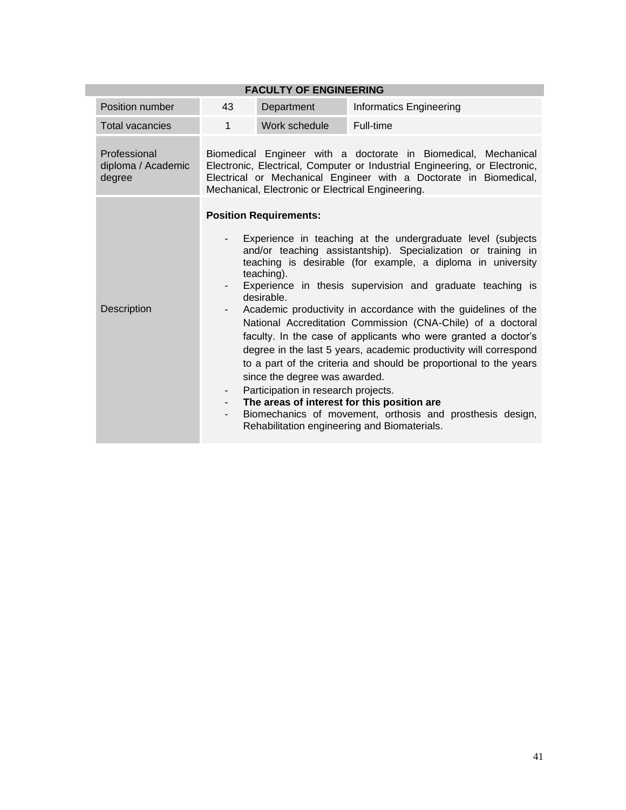| <b>FACULTY OF ENGINEERING</b>                |                                                                                                                                                                                                                                                                        |                                                                                                                                   |                                                                                                                                                                                                                                                                                                                                                                                                                                                                                                                                                                                                                                                                                                                                                                   |  |
|----------------------------------------------|------------------------------------------------------------------------------------------------------------------------------------------------------------------------------------------------------------------------------------------------------------------------|-----------------------------------------------------------------------------------------------------------------------------------|-------------------------------------------------------------------------------------------------------------------------------------------------------------------------------------------------------------------------------------------------------------------------------------------------------------------------------------------------------------------------------------------------------------------------------------------------------------------------------------------------------------------------------------------------------------------------------------------------------------------------------------------------------------------------------------------------------------------------------------------------------------------|--|
| Position number                              | 43                                                                                                                                                                                                                                                                     | Department                                                                                                                        | <b>Informatics Engineering</b>                                                                                                                                                                                                                                                                                                                                                                                                                                                                                                                                                                                                                                                                                                                                    |  |
| <b>Total vacancies</b>                       | $\mathbf{1}$                                                                                                                                                                                                                                                           | Work schedule                                                                                                                     | Full-time                                                                                                                                                                                                                                                                                                                                                                                                                                                                                                                                                                                                                                                                                                                                                         |  |
| Professional<br>diploma / Academic<br>degree | Biomedical Engineer with a doctorate in Biomedical, Mechanical<br>Electronic, Electrical, Computer or Industrial Engineering, or Electronic,<br>Electrical or Mechanical Engineer with a Doctorate in Biomedical,<br>Mechanical, Electronic or Electrical Engineering. |                                                                                                                                   |                                                                                                                                                                                                                                                                                                                                                                                                                                                                                                                                                                                                                                                                                                                                                                   |  |
| Description                                  | $\overline{\phantom{0}}$<br>$\overline{\phantom{0}}$<br>- 1<br>-                                                                                                                                                                                                       | <b>Position Requirements:</b><br>teaching).<br>desirable.<br>since the degree was awarded.<br>Participation in research projects. | Experience in teaching at the undergraduate level (subjects<br>and/or teaching assistantship). Specialization or training in<br>teaching is desirable (for example, a diploma in university<br>Experience in thesis supervision and graduate teaching is<br>Academic productivity in accordance with the guidelines of the<br>National Accreditation Commission (CNA-Chile) of a doctoral<br>faculty. In the case of applicants who were granted a doctor's<br>degree in the last 5 years, academic productivity will correspond<br>to a part of the criteria and should be proportional to the years<br>The areas of interest for this position are<br>Biomechanics of movement, orthosis and prosthesis design,<br>Rehabilitation engineering and Biomaterials. |  |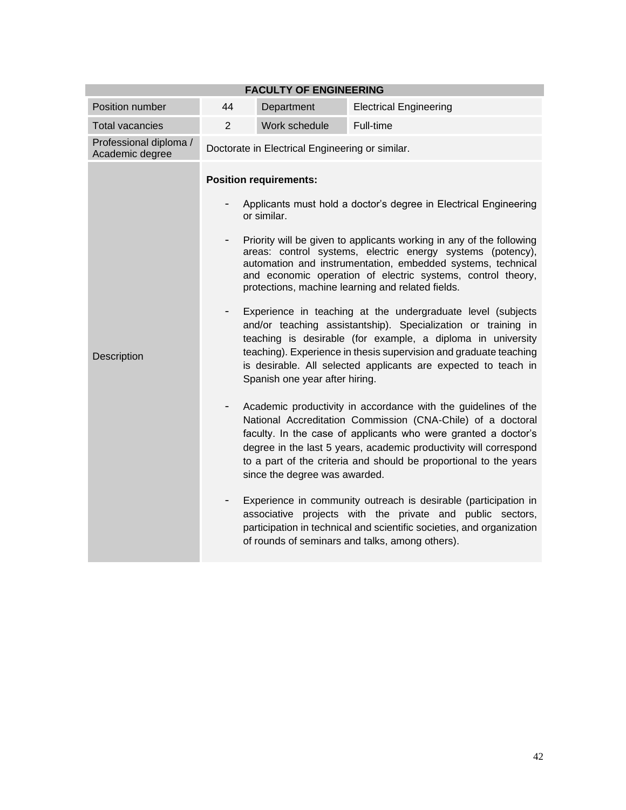| <b>FACULTY OF ENGINEERING</b>             |                                                                                                   |                                                 |                                                                                                                                                                                                                                                                                                                                           |  |  |
|-------------------------------------------|---------------------------------------------------------------------------------------------------|-------------------------------------------------|-------------------------------------------------------------------------------------------------------------------------------------------------------------------------------------------------------------------------------------------------------------------------------------------------------------------------------------------|--|--|
| Position number                           | 44                                                                                                | Department                                      | <b>Electrical Engineering</b>                                                                                                                                                                                                                                                                                                             |  |  |
| <b>Total vacancies</b>                    | $\overline{2}$                                                                                    | Work schedule                                   | Full-time                                                                                                                                                                                                                                                                                                                                 |  |  |
| Professional diploma /<br>Academic degree |                                                                                                   | Doctorate in Electrical Engineering or similar. |                                                                                                                                                                                                                                                                                                                                           |  |  |
|                                           | <b>Position requirements:</b><br>Applicants must hold a doctor's degree in Electrical Engineering |                                                 |                                                                                                                                                                                                                                                                                                                                           |  |  |
|                                           | $\overline{\phantom{0}}$                                                                          | or similar.                                     | Priority will be given to applicants working in any of the following<br>areas: control systems, electric energy systems (potency),<br>automation and instrumentation, embedded systems, technical<br>and economic operation of electric systems, control theory,<br>protections, machine learning and related fields.                     |  |  |
| Description                               | -                                                                                                 | Spanish one year after hiring.                  | Experience in teaching at the undergraduate level (subjects<br>and/or teaching assistantship). Specialization or training in<br>teaching is desirable (for example, a diploma in university<br>teaching). Experience in thesis supervision and graduate teaching<br>is desirable. All selected applicants are expected to teach in        |  |  |
|                                           |                                                                                                   | since the degree was awarded.                   | Academic productivity in accordance with the guidelines of the<br>National Accreditation Commission (CNA-Chile) of a doctoral<br>faculty. In the case of applicants who were granted a doctor's<br>degree in the last 5 years, academic productivity will correspond<br>to a part of the criteria and should be proportional to the years |  |  |
|                                           |                                                                                                   |                                                 | Experience in community outreach is desirable (participation in<br>associative projects with the private and public sectors,<br>participation in technical and scientific societies, and organization<br>of rounds of seminars and talks, among others).                                                                                  |  |  |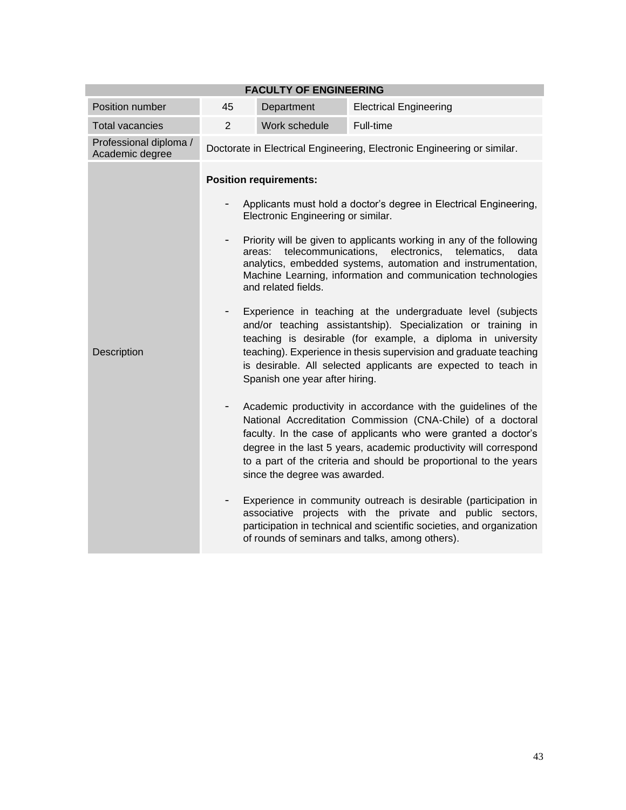| <b>FACULTY OF ENGINEERING</b>             |                          |                                                      |                                                                                                                                                                                                                                                                                                                                           |  |
|-------------------------------------------|--------------------------|------------------------------------------------------|-------------------------------------------------------------------------------------------------------------------------------------------------------------------------------------------------------------------------------------------------------------------------------------------------------------------------------------------|--|
| Position number                           | 45                       | Department                                           | <b>Electrical Engineering</b>                                                                                                                                                                                                                                                                                                             |  |
| <b>Total vacancies</b>                    | $\overline{2}$           | Work schedule                                        | Full-time                                                                                                                                                                                                                                                                                                                                 |  |
| Professional diploma /<br>Academic degree |                          |                                                      | Doctorate in Electrical Engineering, Electronic Engineering or similar.                                                                                                                                                                                                                                                                   |  |
|                                           |                          | <b>Position requirements:</b>                        |                                                                                                                                                                                                                                                                                                                                           |  |
|                                           |                          | Electronic Engineering or similar.                   | Applicants must hold a doctor's degree in Electrical Engineering,                                                                                                                                                                                                                                                                         |  |
| <b>Description</b>                        | $\overline{\phantom{a}}$ | telecommunications,<br>areas:<br>and related fields. | Priority will be given to applicants working in any of the following<br>electronics, telematics,<br>data<br>analytics, embedded systems, automation and instrumentation,<br>Machine Learning, information and communication technologies                                                                                                  |  |
|                                           |                          | Spanish one year after hiring.                       | Experience in teaching at the undergraduate level (subjects<br>and/or teaching assistantship). Specialization or training in<br>teaching is desirable (for example, a diploma in university<br>teaching). Experience in thesis supervision and graduate teaching<br>is desirable. All selected applicants are expected to teach in        |  |
|                                           | -                        | since the degree was awarded.                        | Academic productivity in accordance with the guidelines of the<br>National Accreditation Commission (CNA-Chile) of a doctoral<br>faculty. In the case of applicants who were granted a doctor's<br>degree in the last 5 years, academic productivity will correspond<br>to a part of the criteria and should be proportional to the years |  |
|                                           |                          |                                                      | Experience in community outreach is desirable (participation in<br>associative projects with the private and public sectors,<br>participation in technical and scientific societies, and organization<br>of rounds of seminars and talks, among others).                                                                                  |  |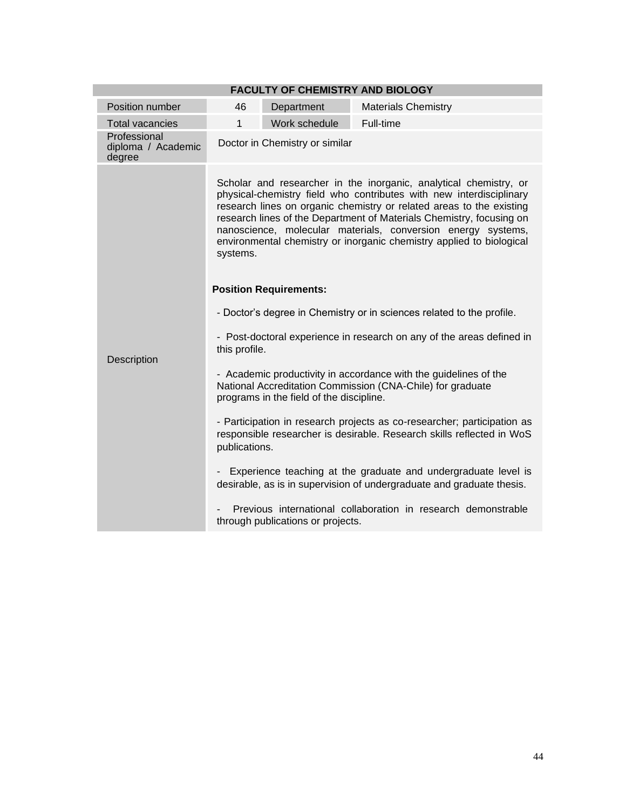| <b>FACULTY OF CHEMISTRY AND BIOLOGY</b>      |                                                                                                                                                                   |                                                                                                                                                                                                                                                                                                                                                                                                                                  |                                                                                                                                |  |  |  |
|----------------------------------------------|-------------------------------------------------------------------------------------------------------------------------------------------------------------------|----------------------------------------------------------------------------------------------------------------------------------------------------------------------------------------------------------------------------------------------------------------------------------------------------------------------------------------------------------------------------------------------------------------------------------|--------------------------------------------------------------------------------------------------------------------------------|--|--|--|
| Position number                              | 46                                                                                                                                                                | Department                                                                                                                                                                                                                                                                                                                                                                                                                       | <b>Materials Chemistry</b>                                                                                                     |  |  |  |
| <b>Total vacancies</b>                       | 1                                                                                                                                                                 | Work schedule                                                                                                                                                                                                                                                                                                                                                                                                                    | Full-time                                                                                                                      |  |  |  |
| Professional<br>diploma / Academic<br>degree | Doctor in Chemistry or similar                                                                                                                                    |                                                                                                                                                                                                                                                                                                                                                                                                                                  |                                                                                                                                |  |  |  |
|                                              | systems.                                                                                                                                                          | Scholar and researcher in the inorganic, analytical chemistry, or<br>physical-chemistry field who contributes with new interdisciplinary<br>research lines on organic chemistry or related areas to the existing<br>research lines of the Department of Materials Chemistry, focusing on<br>nanoscience, molecular materials, conversion energy systems,<br>environmental chemistry or inorganic chemistry applied to biological |                                                                                                                                |  |  |  |
|                                              | <b>Position Requirements:</b>                                                                                                                                     |                                                                                                                                                                                                                                                                                                                                                                                                                                  |                                                                                                                                |  |  |  |
|                                              | - Doctor's degree in Chemistry or in sciences related to the profile.                                                                                             |                                                                                                                                                                                                                                                                                                                                                                                                                                  |                                                                                                                                |  |  |  |
| Description                                  | - Post-doctoral experience in research on any of the areas defined in<br>this profile.                                                                            |                                                                                                                                                                                                                                                                                                                                                                                                                                  |                                                                                                                                |  |  |  |
|                                              |                                                                                                                                                                   | programs in the field of the discipline.                                                                                                                                                                                                                                                                                                                                                                                         | - Academic productivity in accordance with the guidelines of the<br>National Accreditation Commission (CNA-Chile) for graduate |  |  |  |
|                                              | - Participation in research projects as co-researcher; participation as<br>responsible researcher is desirable. Research skills reflected in WoS<br>publications. |                                                                                                                                                                                                                                                                                                                                                                                                                                  |                                                                                                                                |  |  |  |
|                                              | Experience teaching at the graduate and undergraduate level is<br>desirable, as is in supervision of undergraduate and graduate thesis.                           |                                                                                                                                                                                                                                                                                                                                                                                                                                  |                                                                                                                                |  |  |  |
|                                              | Previous international collaboration in research demonstrable<br>through publications or projects.                                                                |                                                                                                                                                                                                                                                                                                                                                                                                                                  |                                                                                                                                |  |  |  |

#### 44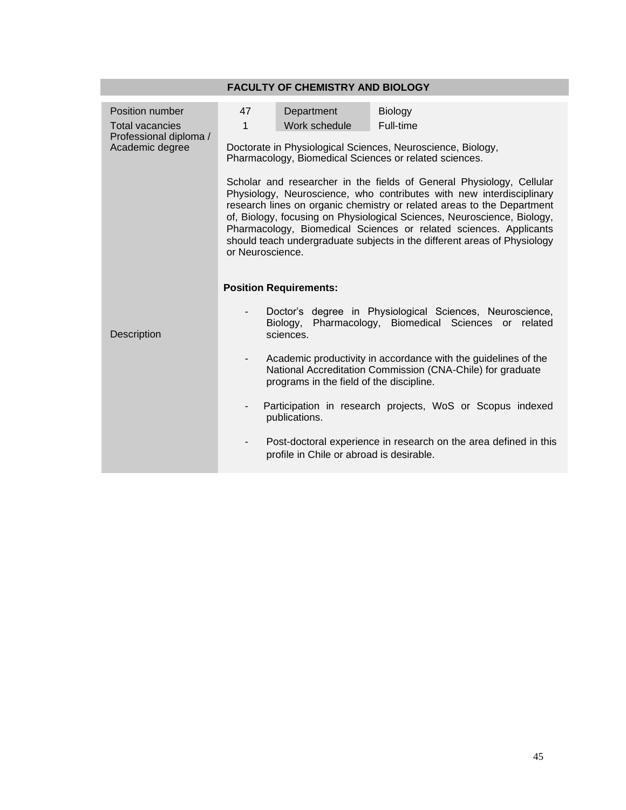|                                           |                                                                                                                                                                                                                                                                                                                                                                                                                                                                        | <b>FACULTY OF CHEMISTRY AND BIOLOGY</b>             |                                                                                                                              |  |  |
|-------------------------------------------|------------------------------------------------------------------------------------------------------------------------------------------------------------------------------------------------------------------------------------------------------------------------------------------------------------------------------------------------------------------------------------------------------------------------------------------------------------------------|-----------------------------------------------------|------------------------------------------------------------------------------------------------------------------------------|--|--|
| Position number<br><b>Total vacancies</b> | 47<br>$\mathbf{1}$                                                                                                                                                                                                                                                                                                                                                                                                                                                     | Department<br>Biology<br>Work schedule<br>Full-time |                                                                                                                              |  |  |
| Professional diploma /<br>Academic degree | Doctorate in Physiological Sciences, Neuroscience, Biology,<br>Pharmacology, Biomedical Sciences or related sciences.                                                                                                                                                                                                                                                                                                                                                  |                                                     |                                                                                                                              |  |  |
|                                           | Scholar and researcher in the fields of General Physiology, Cellular<br>Physiology, Neuroscience, who contributes with new interdisciplinary<br>research lines on organic chemistry or related areas to the Department<br>of, Biology, focusing on Physiological Sciences, Neuroscience, Biology,<br>Pharmacology, Biomedical Sciences or related sciences. Applicants<br>should teach undergraduate subjects in the different areas of Physiology<br>or Neuroscience. |                                                     |                                                                                                                              |  |  |
|                                           | <b>Position Requirements:</b>                                                                                                                                                                                                                                                                                                                                                                                                                                          |                                                     |                                                                                                                              |  |  |
| Description                               |                                                                                                                                                                                                                                                                                                                                                                                                                                                                        | sciences.                                           | Doctor's degree in Physiological Sciences, Neuroscience,<br>Biology, Pharmacology, Biomedical Sciences or<br>related         |  |  |
|                                           | $\sim$                                                                                                                                                                                                                                                                                                                                                                                                                                                                 | programs in the field of the discipline.            | Academic productivity in accordance with the guidelines of the<br>National Accreditation Commission (CNA-Chile) for graduate |  |  |
|                                           | $\overline{\phantom{a}}$                                                                                                                                                                                                                                                                                                                                                                                                                                               | publications.                                       | Participation in research projects, WoS or Scopus indexed                                                                    |  |  |
|                                           | $\overline{\phantom{a}}$                                                                                                                                                                                                                                                                                                                                                                                                                                               | profile in Chile or abroad is desirable.            | Post-doctoral experience in research on the area defined in this                                                             |  |  |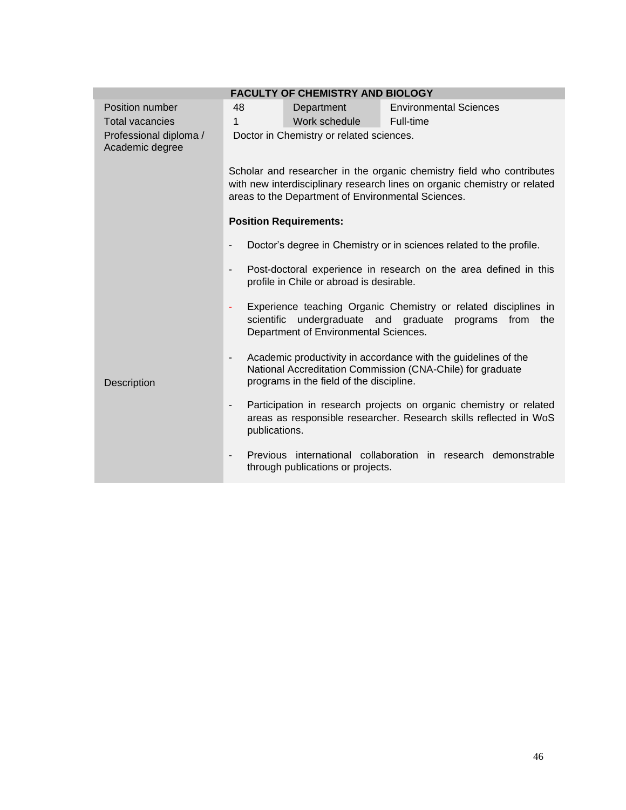| <b>FACULTY OF CHEMISTRY AND BIOLOGY</b>   |                                                                                                                                                                                                          |                                                                     |                                                                                                                              |  |  |  |
|-------------------------------------------|----------------------------------------------------------------------------------------------------------------------------------------------------------------------------------------------------------|---------------------------------------------------------------------|------------------------------------------------------------------------------------------------------------------------------|--|--|--|
| Position number                           | 48                                                                                                                                                                                                       | Department                                                          | <b>Environmental Sciences</b>                                                                                                |  |  |  |
| <b>Total vacancies</b>                    | 1                                                                                                                                                                                                        | Work schedule                                                       | Full-time                                                                                                                    |  |  |  |
| Professional diploma /<br>Academic degree | Doctor in Chemistry or related sciences.                                                                                                                                                                 |                                                                     |                                                                                                                              |  |  |  |
|                                           | Scholar and researcher in the organic chemistry field who contributes<br>with new interdisciplinary research lines on organic chemistry or related<br>areas to the Department of Environmental Sciences. |                                                                     |                                                                                                                              |  |  |  |
|                                           |                                                                                                                                                                                                          | <b>Position Requirements:</b>                                       |                                                                                                                              |  |  |  |
|                                           |                                                                                                                                                                                                          | Doctor's degree in Chemistry or in sciences related to the profile. |                                                                                                                              |  |  |  |
|                                           | Post-doctoral experience in research on the area defined in this<br>$\overline{\phantom{a}}$<br>profile in Chile or abroad is desirable.                                                                 |                                                                     |                                                                                                                              |  |  |  |
|                                           | Experience teaching Organic Chemistry or related disciplines in<br>۰<br>scientific<br>undergraduate and graduate programs<br>from<br>the<br>Department of Environmental Sciences.                        |                                                                     |                                                                                                                              |  |  |  |
| Description                               | -                                                                                                                                                                                                        | programs in the field of the discipline.                            | Academic productivity in accordance with the guidelines of the<br>National Accreditation Commission (CNA-Chile) for graduate |  |  |  |
|                                           | Participation in research projects on organic chemistry or related<br>-<br>areas as responsible researcher. Research skills reflected in WoS<br>publications.                                            |                                                                     |                                                                                                                              |  |  |  |
|                                           | Previous international collaboration in research demonstrable<br>through publications or projects.                                                                                                       |                                                                     |                                                                                                                              |  |  |  |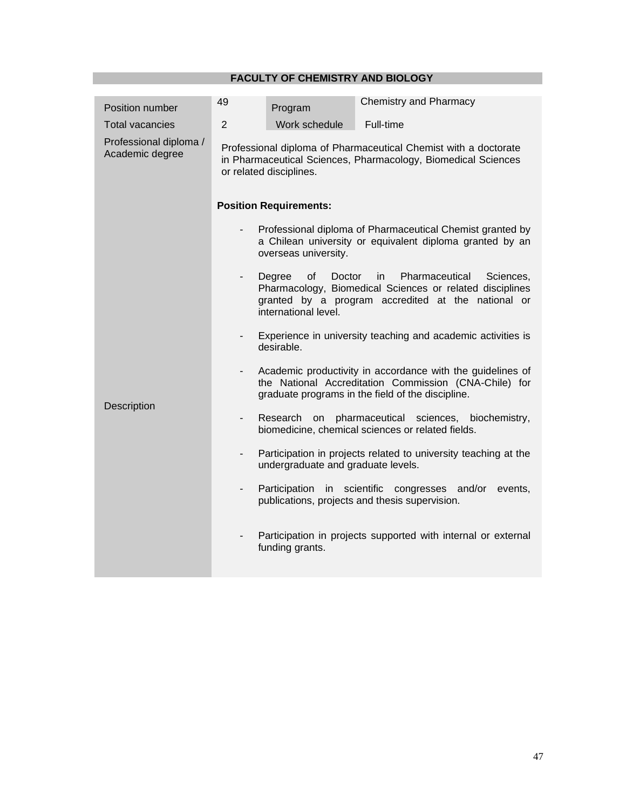## **FACULTY OF CHEMISTRY AND BIOLOGY**

| Position number                           | 49                                                                                                                                                          | Program                                                                                                                                                                                                | <b>Chemistry and Pharmacy</b>                                                                              |  |  |  |
|-------------------------------------------|-------------------------------------------------------------------------------------------------------------------------------------------------------------|--------------------------------------------------------------------------------------------------------------------------------------------------------------------------------------------------------|------------------------------------------------------------------------------------------------------------|--|--|--|
| <b>Total vacancies</b>                    | $\overline{2}$                                                                                                                                              | Work schedule                                                                                                                                                                                          | Full-time                                                                                                  |  |  |  |
| Professional diploma /<br>Academic degree | Professional diploma of Pharmaceutical Chemist with a doctorate<br>in Pharmaceutical Sciences, Pharmacology, Biomedical Sciences<br>or related disciplines. |                                                                                                                                                                                                        |                                                                                                            |  |  |  |
|                                           | <b>Position Requirements:</b>                                                                                                                               |                                                                                                                                                                                                        |                                                                                                            |  |  |  |
|                                           | Professional diploma of Pharmaceutical Chemist granted by<br>a Chilean university or equivalent diploma granted by an<br>overseas university.               |                                                                                                                                                                                                        |                                                                                                            |  |  |  |
|                                           | $\overline{\phantom{a}}$                                                                                                                                    | Degree<br>of<br>Doctor<br>Pharmaceutical<br>Sciences,<br>in.<br>Pharmacology, Biomedical Sciences or related disciplines<br>granted by a program accredited at the national or<br>international level. |                                                                                                            |  |  |  |
|                                           | -                                                                                                                                                           | Experience in university teaching and academic activities is<br>desirable.                                                                                                                             |                                                                                                            |  |  |  |
| Description                               | $\overline{\phantom{0}}$                                                                                                                                    | Academic productivity in accordance with the guidelines of<br>the National Accreditation Commission (CNA-Chile) for<br>graduate programs in the field of the discipline.                               |                                                                                                            |  |  |  |
|                                           | $\overline{\phantom{a}}$                                                                                                                                    | Research<br>pharmaceutical sciences, biochemistry,<br>on<br>biomedicine, chemical sciences or related fields.                                                                                          |                                                                                                            |  |  |  |
|                                           | -                                                                                                                                                           | Participation in projects related to university teaching at the<br>undergraduate and graduate levels.                                                                                                  |                                                                                                            |  |  |  |
|                                           | -                                                                                                                                                           |                                                                                                                                                                                                        | Participation in scientific congresses and/or<br>events,<br>publications, projects and thesis supervision. |  |  |  |
|                                           |                                                                                                                                                             | funding grants.                                                                                                                                                                                        | Participation in projects supported with internal or external                                              |  |  |  |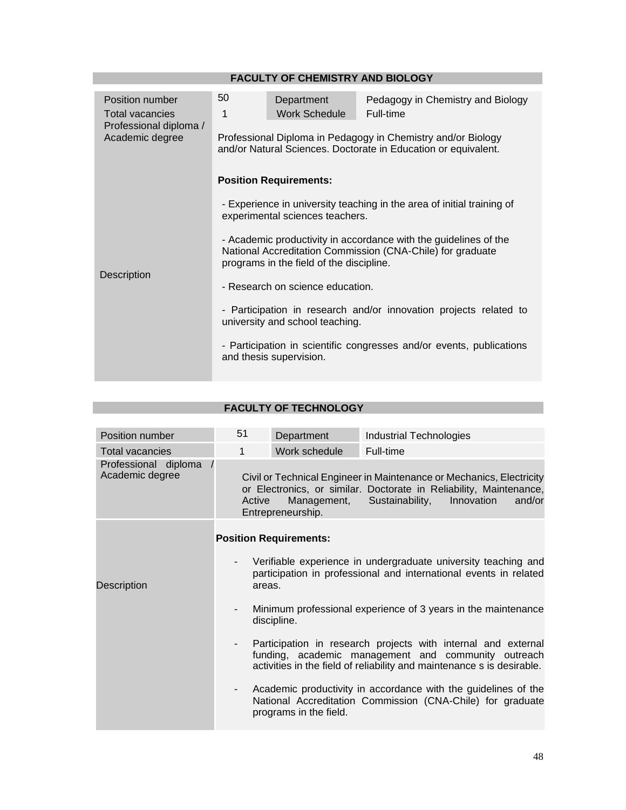|                                                                                        |                                                                                                                                                                                                                                                                                         | <b>FACULTY OF CHEMISTRY AND BIOLOGY</b>                                              |  |  |  |
|----------------------------------------------------------------------------------------|-----------------------------------------------------------------------------------------------------------------------------------------------------------------------------------------------------------------------------------------------------------------------------------------|--------------------------------------------------------------------------------------|--|--|--|
| Position number<br><b>Total vacancies</b><br>Professional diploma /<br>Academic degree | 50<br>1                                                                                                                                                                                                                                                                                 | Pedagogy in Chemistry and Biology<br>Department<br><b>Work Schedule</b><br>Full-time |  |  |  |
| <b>Description</b>                                                                     | Professional Diploma in Pedagogy in Chemistry and/or Biology<br>and/or Natural Sciences. Doctorate in Education or equivalent.<br><b>Position Requirements:</b>                                                                                                                         |                                                                                      |  |  |  |
|                                                                                        | - Experience in university teaching in the area of initial training of<br>experimental sciences teachers.<br>- Academic productivity in accordance with the guidelines of the<br>National Accreditation Commission (CNA-Chile) for graduate<br>programs in the field of the discipline. |                                                                                      |  |  |  |
|                                                                                        | - Research on science education.<br>- Participation in research and/or innovation projects related to<br>university and school teaching.<br>- Participation in scientific congresses and/or events, publications<br>and thesis supervision.                                             |                                                                                      |  |  |  |
|                                                                                        |                                                                                                                                                                                                                                                                                         |                                                                                      |  |  |  |

| Position number                         | 51                                                                                                                                                                                                                 | Department                       | <b>Industrial Technologies</b>                                                                                                                                                        |  |  |
|-----------------------------------------|--------------------------------------------------------------------------------------------------------------------------------------------------------------------------------------------------------------------|----------------------------------|---------------------------------------------------------------------------------------------------------------------------------------------------------------------------------------|--|--|
| <b>Total vacancies</b>                  | 1                                                                                                                                                                                                                  | Work schedule                    | Full-time                                                                                                                                                                             |  |  |
| Professional diploma<br>Academic degree | Active                                                                                                                                                                                                             | Management,<br>Entrepreneurship. | Civil or Technical Engineer in Maintenance or Mechanics, Electricity<br>or Electronics, or similar. Doctorate in Reliability, Maintenance,<br>Sustainability,<br>Innovation<br>and/or |  |  |
|                                         |                                                                                                                                                                                                                    | <b>Position Requirements:</b>    |                                                                                                                                                                                       |  |  |
| Description                             | Verifiable experience in undergraduate university teaching and<br>participation in professional and international events in related<br>areas.                                                                      |                                  |                                                                                                                                                                                       |  |  |
|                                         | Minimum professional experience of 3 years in the maintenance<br>discipline.                                                                                                                                       |                                  |                                                                                                                                                                                       |  |  |
|                                         | Participation in research projects with internal and external<br>$\sim$ 100 $\mu$<br>funding, academic management and community outreach<br>activities in the field of reliability and maintenance s is desirable. |                                  |                                                                                                                                                                                       |  |  |
|                                         | $\overline{\phantom{a}}$                                                                                                                                                                                           | programs in the field.           | Academic productivity in accordance with the guidelines of the<br>National Accreditation Commission (CNA-Chile) for graduate                                                          |  |  |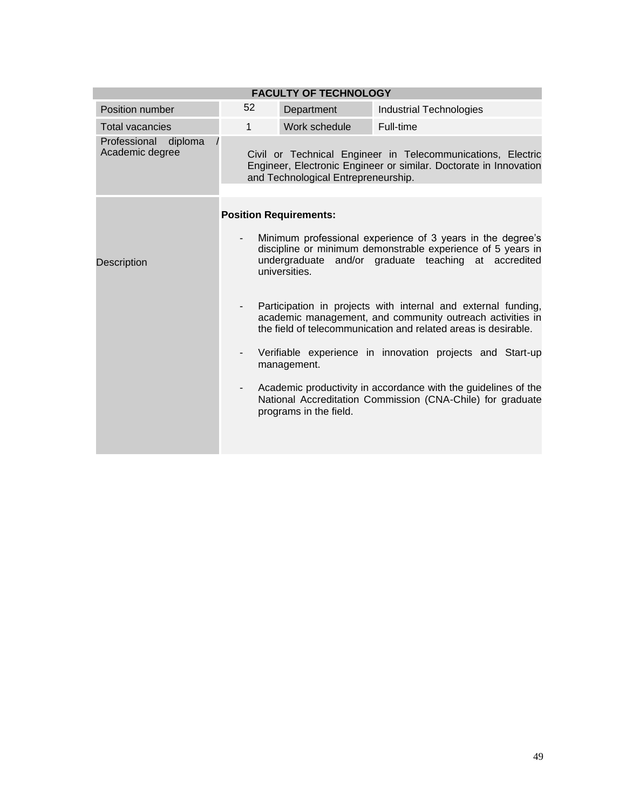|                                         |                          | <b>FACULTY OF TECHNOLOGY</b>        |                                                                                                                                                                                              |
|-----------------------------------------|--------------------------|-------------------------------------|----------------------------------------------------------------------------------------------------------------------------------------------------------------------------------------------|
| Position number                         | 52                       | Department                          | <b>Industrial Technologies</b>                                                                                                                                                               |
| <b>Total vacancies</b>                  | $\mathbf{1}$             | Work schedule                       | Full-time                                                                                                                                                                                    |
| Professional diploma<br>Academic degree |                          | and Technological Entrepreneurship. | Civil or Technical Engineer in Telecommunications, Electric<br>Engineer, Electronic Engineer or similar. Doctorate in Innovation                                                             |
|                                         |                          | <b>Position Requirements:</b>       |                                                                                                                                                                                              |
| <b>Description</b>                      |                          | universities.                       | Minimum professional experience of 3 years in the degree's<br>discipline or minimum demonstrable experience of 5 years in<br>undergraduate and/or graduate teaching at accredited            |
|                                         |                          |                                     | Participation in projects with internal and external funding,<br>academic management, and community outreach activities in<br>the field of telecommunication and related areas is desirable. |
|                                         | $\overline{\phantom{a}}$ | management.                         | Verifiable experience in innovation projects and Start-up                                                                                                                                    |
|                                         | $\overline{\phantom{a}}$ | programs in the field.              | Academic productivity in accordance with the guidelines of the<br>National Accreditation Commission (CNA-Chile) for graduate                                                                 |
|                                         |                          |                                     |                                                                                                                                                                                              |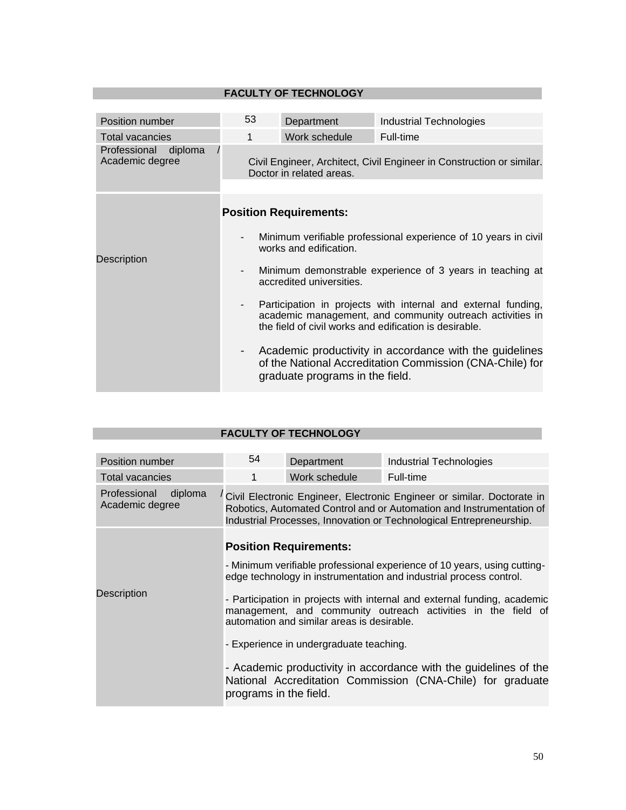| <b>FACULTY OF TECHNOLOGY</b>               |                                                                                                                                                                                                                  |                                 |                                                                                                                     |  |  |
|--------------------------------------------|------------------------------------------------------------------------------------------------------------------------------------------------------------------------------------------------------------------|---------------------------------|---------------------------------------------------------------------------------------------------------------------|--|--|
|                                            |                                                                                                                                                                                                                  |                                 |                                                                                                                     |  |  |
| Position number                            | 53                                                                                                                                                                                                               | Department                      | <b>Industrial Technologies</b>                                                                                      |  |  |
| Total vacancies                            | 1                                                                                                                                                                                                                | Work schedule                   | Full-time                                                                                                           |  |  |
| Professional<br>diploma<br>Academic degree | Civil Engineer, Architect, Civil Engineer in Construction or similar.<br>Doctor in related areas.                                                                                                                |                                 |                                                                                                                     |  |  |
|                                            |                                                                                                                                                                                                                  | <b>Position Requirements:</b>   |                                                                                                                     |  |  |
| Description                                | Minimum verifiable professional experience of 10 years in civil<br>works and edification.                                                                                                                        |                                 |                                                                                                                     |  |  |
|                                            | Minimum demonstrable experience of 3 years in teaching at<br>$\overline{\phantom{a}}$<br>accredited universities.                                                                                                |                                 |                                                                                                                     |  |  |
|                                            | Participation in projects with internal and external funding,<br>$\overline{\phantom{a}}$<br>academic management, and community outreach activities in<br>the field of civil works and edification is desirable. |                                 |                                                                                                                     |  |  |
|                                            | -                                                                                                                                                                                                                | graduate programs in the field. | Academic productivity in accordance with the guidelines<br>of the National Accreditation Commission (CNA-Chile) for |  |  |

| Position number                            | 54                                                                                                                                                                                                                     | Department                    | <b>Industrial Technologies</b>                                                                                                 |  |
|--------------------------------------------|------------------------------------------------------------------------------------------------------------------------------------------------------------------------------------------------------------------------|-------------------------------|--------------------------------------------------------------------------------------------------------------------------------|--|
| <b>Total vacancies</b>                     | 1                                                                                                                                                                                                                      | Work schedule                 | Full-time                                                                                                                      |  |
| diploma<br>Professional<br>Academic degree | Civil Electronic Engineer, Electronic Engineer or similar. Doctorate in<br>Robotics, Automated Control and or Automation and Instrumentation of<br>Industrial Processes, Innovation or Technological Entrepreneurship. |                               |                                                                                                                                |  |
|                                            |                                                                                                                                                                                                                        | <b>Position Requirements:</b> |                                                                                                                                |  |
|                                            | - Minimum verifiable professional experience of 10 years, using cutting-<br>edge technology in instrumentation and industrial process control.                                                                         |                               |                                                                                                                                |  |
| Description                                | - Participation in projects with internal and external funding, academic<br>management, and community outreach activities in the field of<br>automation and similar areas is desirable.                                |                               |                                                                                                                                |  |
|                                            | - Experience in undergraduate teaching.                                                                                                                                                                                |                               |                                                                                                                                |  |
|                                            | programs in the field.                                                                                                                                                                                                 |                               | - Academic productivity in accordance with the guidelines of the<br>National Accreditation Commission (CNA-Chile) for graduate |  |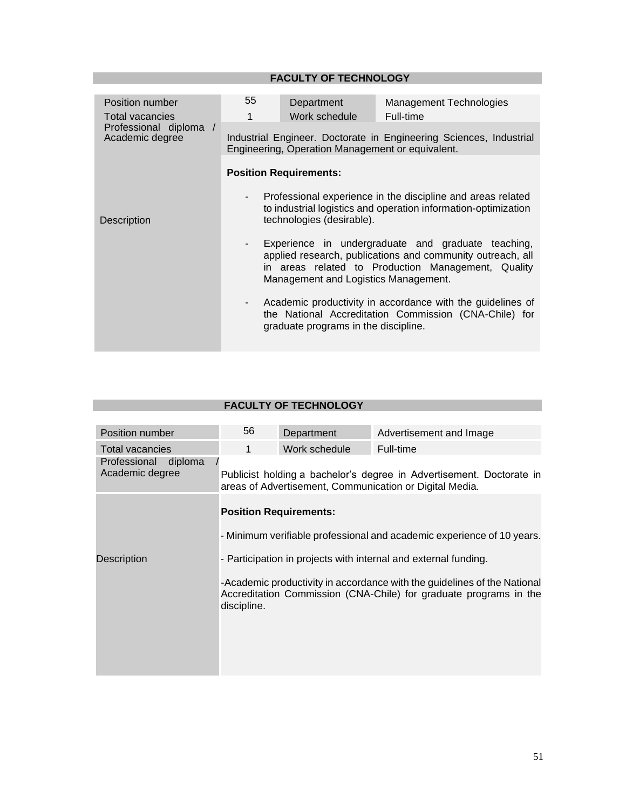| Position number<br><b>Total vacancies</b><br>Professional diploma /<br>Academic degree | 55<br>1                                                                                                                                                                                                                          | Department<br>Work schedule                                                                                                                                 | Management Technologies<br>Full-time |  |  |
|----------------------------------------------------------------------------------------|----------------------------------------------------------------------------------------------------------------------------------------------------------------------------------------------------------------------------------|-------------------------------------------------------------------------------------------------------------------------------------------------------------|--------------------------------------|--|--|
|                                                                                        | Industrial Engineer. Doctorate in Engineering Sciences, Industrial<br>Engineering, Operation Management or equivalent.                                                                                                           |                                                                                                                                                             |                                      |  |  |
|                                                                                        | <b>Position Requirements:</b>                                                                                                                                                                                                    |                                                                                                                                                             |                                      |  |  |
| Description                                                                            | Professional experience in the discipline and areas related<br>$\overline{\phantom{a}}$<br>to industrial logistics and operation information-optimization<br>technologies (desirable).                                           |                                                                                                                                                             |                                      |  |  |
|                                                                                        | Experience in undergraduate and graduate teaching,<br>$\blacksquare$<br>applied research, publications and community outreach, all<br>in areas related to Production Management, Quality<br>Management and Logistics Management. |                                                                                                                                                             |                                      |  |  |
|                                                                                        | $\blacksquare$                                                                                                                                                                                                                   | Academic productivity in accordance with the guidelines of<br>the National Accreditation Commission (CNA-Chile) for<br>graduate programs in the discipline. |                                      |  |  |

| Position number                            | 56                                                                                                                                                           | Department    | Advertisement and Image |  |
|--------------------------------------------|--------------------------------------------------------------------------------------------------------------------------------------------------------------|---------------|-------------------------|--|
| <b>Total vacancies</b>                     | 1                                                                                                                                                            | Work schedule | Full-time               |  |
| Professional<br>diploma<br>Academic degree | Publicist holding a bachelor's degree in Advertisement. Doctorate in<br>areas of Advertisement, Communication or Digital Media.                              |               |                         |  |
|                                            | <b>Position Requirements:</b>                                                                                                                                |               |                         |  |
|                                            | - Minimum verifiable professional and academic experience of 10 years.                                                                                       |               |                         |  |
| Description                                | - Participation in projects with internal and external funding.                                                                                              |               |                         |  |
|                                            | -Academic productivity in accordance with the guidelines of the National<br>Accreditation Commission (CNA-Chile) for graduate programs in the<br>discipline. |               |                         |  |
|                                            |                                                                                                                                                              |               |                         |  |
|                                            |                                                                                                                                                              |               |                         |  |
|                                            |                                                                                                                                                              |               |                         |  |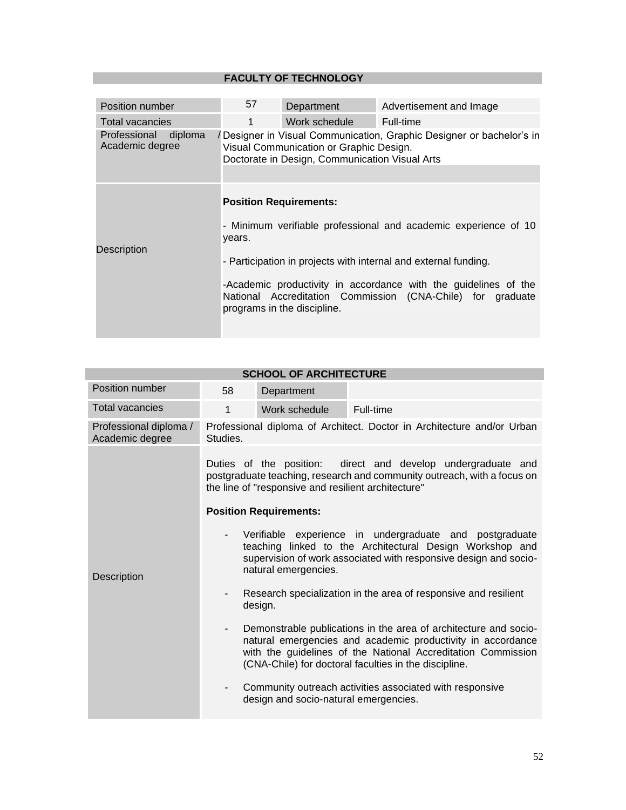| Position number                            | 57                                                                                                                                                                | Department                  | Advertisement and Image                                                                                                                                                                                                                                             |  |
|--------------------------------------------|-------------------------------------------------------------------------------------------------------------------------------------------------------------------|-----------------------------|---------------------------------------------------------------------------------------------------------------------------------------------------------------------------------------------------------------------------------------------------------------------|--|
| Total vacancies                            | 1                                                                                                                                                                 | Work schedule               | Full-time                                                                                                                                                                                                                                                           |  |
| Professional<br>diploma<br>Academic degree | /Designer in Visual Communication, Graphic Designer or bachelor's in<br>Visual Communication or Graphic Design.<br>Doctorate in Design, Communication Visual Arts |                             |                                                                                                                                                                                                                                                                     |  |
| Description                                | <b>Position Requirements:</b><br>years.                                                                                                                           | programs in the discipline. | - Minimum verifiable professional and academic experience of 10<br>- Participation in projects with internal and external funding.<br>-Academic productivity in accordance with the guidelines of the<br>National Accreditation Commission (CNA-Chile) for graduate |  |

| <b>SCHOOL OF ARCHITECTURE</b>             |                                                                                                                                                                                                                                                                |                                                                                                                                                                                                |                                                                 |  |  |  |
|-------------------------------------------|----------------------------------------------------------------------------------------------------------------------------------------------------------------------------------------------------------------------------------------------------------------|------------------------------------------------------------------------------------------------------------------------------------------------------------------------------------------------|-----------------------------------------------------------------|--|--|--|
| Position number                           | 58                                                                                                                                                                                                                                                             | Department                                                                                                                                                                                     |                                                                 |  |  |  |
| <b>Total vacancies</b>                    | 1                                                                                                                                                                                                                                                              | Work schedule                                                                                                                                                                                  | Full-time                                                       |  |  |  |
| Professional diploma /<br>Academic degree | Studies.                                                                                                                                                                                                                                                       | Professional diploma of Architect. Doctor in Architecture and/or Urban                                                                                                                         |                                                                 |  |  |  |
|                                           |                                                                                                                                                                                                                                                                | Duties of the position: direct and develop undergraduate and<br>postgraduate teaching, research and community outreach, with a focus on<br>the line of "responsive and resilient architecture" |                                                                 |  |  |  |
|                                           | <b>Position Requirements:</b>                                                                                                                                                                                                                                  |                                                                                                                                                                                                |                                                                 |  |  |  |
| <b>Description</b>                        | Verifiable experience in undergraduate and postgraduate<br>teaching linked to the Architectural Design Workshop and<br>supervision of work associated with responsive design and socio-<br>natural emergencies.                                                |                                                                                                                                                                                                |                                                                 |  |  |  |
|                                           | design.                                                                                                                                                                                                                                                        |                                                                                                                                                                                                | Research specialization in the area of responsive and resilient |  |  |  |
|                                           | Demonstrable publications in the area of architecture and socio-<br>۰.<br>natural emergencies and academic productivity in accordance<br>with the guidelines of the National Accreditation Commission<br>(CNA-Chile) for doctoral faculties in the discipline. |                                                                                                                                                                                                |                                                                 |  |  |  |
|                                           |                                                                                                                                                                                                                                                                | design and socio-natural emergencies.                                                                                                                                                          | Community outreach activities associated with responsive        |  |  |  |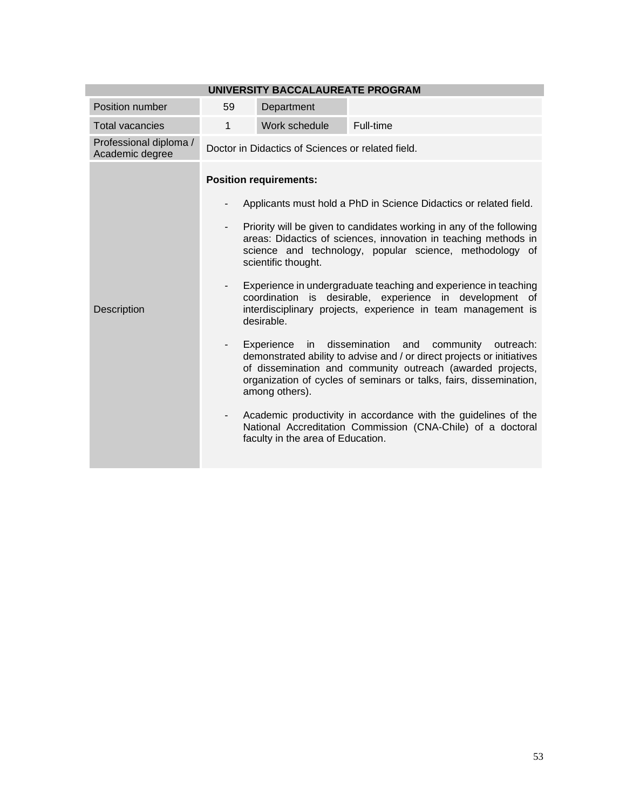| UNIVERSITY BACCALAUREATE PROGRAM          |                                                                                  |                                                                                                                                                                                                                                                                                                                                                                                                                                                                                                                                                                                                                                                                                                                                                                                                                                                                                                                                                                                                                         |           |  |  |  |
|-------------------------------------------|----------------------------------------------------------------------------------|-------------------------------------------------------------------------------------------------------------------------------------------------------------------------------------------------------------------------------------------------------------------------------------------------------------------------------------------------------------------------------------------------------------------------------------------------------------------------------------------------------------------------------------------------------------------------------------------------------------------------------------------------------------------------------------------------------------------------------------------------------------------------------------------------------------------------------------------------------------------------------------------------------------------------------------------------------------------------------------------------------------------------|-----------|--|--|--|
| Position number                           | 59                                                                               | Department                                                                                                                                                                                                                                                                                                                                                                                                                                                                                                                                                                                                                                                                                                                                                                                                                                                                                                                                                                                                              |           |  |  |  |
| <b>Total vacancies</b>                    | $\mathbf{1}$                                                                     | Work schedule                                                                                                                                                                                                                                                                                                                                                                                                                                                                                                                                                                                                                                                                                                                                                                                                                                                                                                                                                                                                           | Full-time |  |  |  |
| Professional diploma /<br>Academic degree | Doctor in Didactics of Sciences or related field.                                |                                                                                                                                                                                                                                                                                                                                                                                                                                                                                                                                                                                                                                                                                                                                                                                                                                                                                                                                                                                                                         |           |  |  |  |
| <b>Description</b>                        | $\overline{\phantom{a}}$<br>$\overline{\phantom{a}}$<br>$\overline{\phantom{a}}$ | <b>Position requirements:</b><br>Applicants must hold a PhD in Science Didactics or related field.<br>Priority will be given to candidates working in any of the following<br>areas: Didactics of sciences, innovation in teaching methods in<br>science and technology, popular science, methodology of<br>scientific thought.<br>Experience in undergraduate teaching and experience in teaching<br>coordination is desirable, experience in development of<br>interdisciplinary projects, experience in team management is<br>desirable.<br>dissemination<br>in<br>and<br>community<br>Experience<br>outreach:<br>demonstrated ability to advise and / or direct projects or initiatives<br>of dissemination and community outreach (awarded projects,<br>organization of cycles of seminars or talks, fairs, dissemination,<br>among others).<br>Academic productivity in accordance with the guidelines of the<br>National Accreditation Commission (CNA-Chile) of a doctoral<br>faculty in the area of Education. |           |  |  |  |

#### **UNIVERSITY BACCALAUREATE PROGRAM**